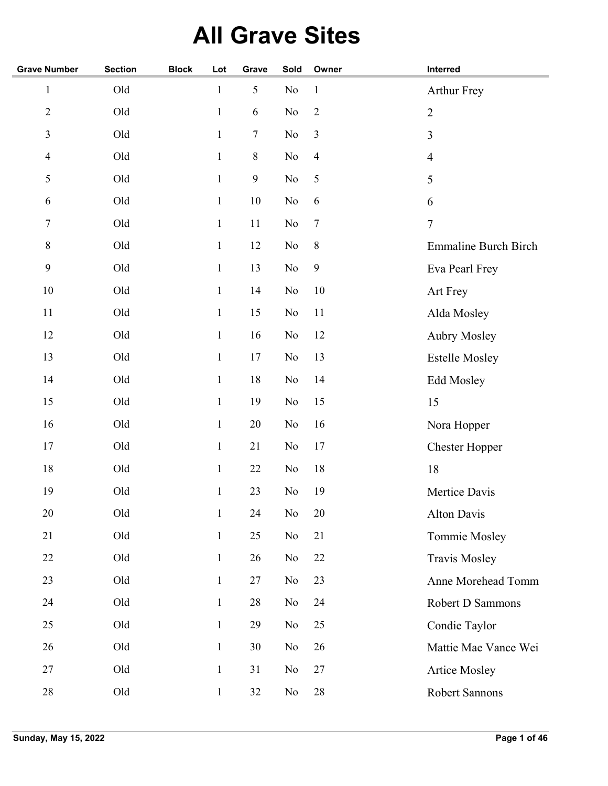## **All Grave Sites**

| <b>Grave Number</b> | <b>Section</b> | <b>Block</b> | Lot          | Grave     | Sold           | Owner            | Interred                    |
|---------------------|----------------|--------------|--------------|-----------|----------------|------------------|-----------------------------|
| $\mathbf 1$         | Old            |              | $\mathbf{1}$ | 5         | $\rm No$       | $\,1\,$          | <b>Arthur Frey</b>          |
| $\overline{2}$      | Old            |              | $\mathbf{1}$ | 6         | $\rm No$       | $\sqrt{2}$       | $\overline{2}$              |
| 3                   | Old            |              | $\mathbf{1}$ | 7         | $\rm No$       | $\mathfrak{Z}$   | 3                           |
| $\overline{4}$      | Old            |              | $\mathbf{1}$ | $\,$ $\,$ | $\rm No$       | $\overline{4}$   | $\overline{4}$              |
| $\mathfrak{S}$      | Old            |              | $\mathbf{1}$ | 9         | No             | 5                | 5                           |
| 6                   | Old            |              | $\mathbf{1}$ | $10\,$    | N <sub>o</sub> | $\sqrt{6}$       | 6                           |
| $\tau$              | Old            |              | $\mathbf{1}$ | 11        | $\rm No$       | $\boldsymbol{7}$ | $\boldsymbol{7}$            |
| $8\,$               | Old            |              | $\mathbf{1}$ | 12        | No             | $8\,$            | <b>Emmaline Burch Birch</b> |
| 9                   | Old            |              | $\mathbf{1}$ | 13        | $\rm No$       | $\mathbf{9}$     | Eva Pearl Frey              |
| 10                  | Old            |              | $\mathbf{1}$ | 14        | No             | 10               | Art Frey                    |
| 11                  | Old            |              | $\mathbf{1}$ | 15        | No             | 11               | Alda Mosley                 |
| 12                  | Old            |              | $\mathbf{1}$ | 16        | No             | 12               | <b>Aubry Mosley</b>         |
| 13                  | Old            |              | $\mathbf{1}$ | 17        | No             | 13               | <b>Estelle Mosley</b>       |
| 14                  | Old            |              | $\mathbf{1}$ | 18        | $\rm No$       | 14               | <b>Edd Mosley</b>           |
| 15                  | Old            |              | $\mathbf{1}$ | 19        | $\rm No$       | 15               | 15                          |
| 16                  | Old            |              | $\mathbf{1}$ | $20\,$    | N <sub>o</sub> | 16               | Nora Hopper                 |
| 17                  | Old            |              | $\mathbf{1}$ | 21        | No             | 17               | <b>Chester Hopper</b>       |
| 18                  | Old            |              | $\mathbf{1}$ | 22        | No             | 18               | 18                          |
| 19                  | Old            |              | $\mathbf{1}$ | 23        | No             | 19               | Mertice Davis               |
| 20                  | Old            |              | $\mathbf{1}$ | 24        | $\rm No$       | 20               | <b>Alton Davis</b>          |
| 21                  | Old            |              | $\mathbf{1}$ | 25        | No             | 21               | Tommie Mosley               |
| 22                  | Old            |              | $\mathbf{1}$ | $26\,$    | No             | 22               | Travis Mosley               |
| 23                  | Old            |              | $\mathbf{1}$ | 27        | No             | 23               | Anne Morehead Tomm          |
| 24                  | Old            |              | $\mathbf{1}$ | $28\,$    | No             | 24               | Robert D Sammons            |
| 25                  | Old            |              | $\mathbf{1}$ | 29        | No             | 25               | Condie Taylor               |
| 26                  | Old            |              | $\mathbf{1}$ | $30\,$    | No             | 26               | Mattie Mae Vance Wei        |
| 27                  | Old            |              | $\mathbf{1}$ | 31        | No             | 27               | <b>Artice Mosley</b>        |
| 28                  | Old            |              | $\mathbf{1}$ | $32\,$    | No             | $28\,$           | Robert Sannons              |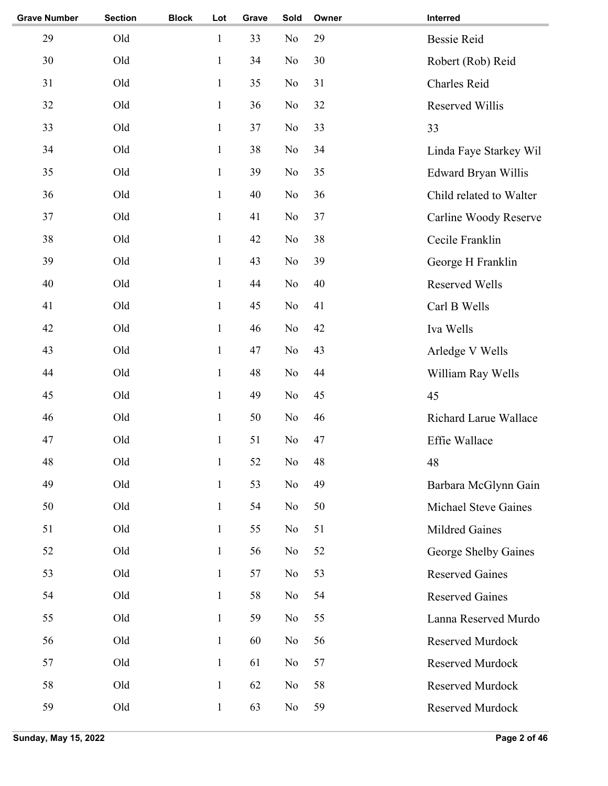| <b>Grave Number</b> | <b>Section</b> | <b>Block</b> | Lot          | Grave | Sold           | Owner | Interred                    |
|---------------------|----------------|--------------|--------------|-------|----------------|-------|-----------------------------|
| 29                  | Old            |              | $\mathbf{1}$ | 33    | No             | 29    | <b>Bessie Reid</b>          |
| 30                  | Old            |              | $\mathbf{1}$ | 34    | No             | 30    | Robert (Rob) Reid           |
| 31                  | Old            |              | $\mathbf{1}$ | 35    | No             | 31    | Charles Reid                |
| 32                  | Old            |              | $\mathbf{1}$ | 36    | No             | 32    | Reserved Willis             |
| 33                  | Old            |              | $\mathbf{1}$ | 37    | No             | 33    | 33                          |
| 34                  | Old            |              | $\mathbf{1}$ | 38    | No             | 34    | Linda Faye Starkey Wil      |
| 35                  | Old            |              | $\mathbf{1}$ | 39    | No             | 35    | Edward Bryan Willis         |
| 36                  | Old            |              | $\mathbf{1}$ | 40    | No             | 36    | Child related to Walter     |
| 37                  | Old            |              | $\mathbf{1}$ | 41    | No             | 37    | Carline Woody Reserve       |
| 38                  | Old            |              | $\mathbf{1}$ | 42    | No             | 38    | Cecile Franklin             |
| 39                  | Old            |              | $\mathbf{1}$ | 43    | No             | 39    | George H Franklin           |
| 40                  | Old            |              | $\mathbf{1}$ | 44    | No             | 40    | <b>Reserved Wells</b>       |
| 41                  | Old            |              | $\mathbf{1}$ | 45    | No             | 41    | Carl B Wells                |
| 42                  | Old            |              | $\mathbf{1}$ | 46    | No             | 42    | Iva Wells                   |
| 43                  | Old            |              | $\mathbf{1}$ | 47    | No             | 43    | Arledge V Wells             |
| 44                  | Old            |              | $\mathbf{1}$ | 48    | No             | 44    | William Ray Wells           |
| 45                  | Old            |              | $\mathbf{1}$ | 49    | No             | 45    | 45                          |
| 46                  | Old            |              | $\mathbf{1}$ | 50    | No             | 46    | Richard Larue Wallace       |
| 47                  | Old            |              | $\mathbf{1}$ | 51    | No             | 47    | Effie Wallace               |
| 48                  | Old            |              | $\mathbf{1}$ | 52    | N <sub>o</sub> | 48    | 48                          |
| 49                  | Old            |              | $\mathbf{1}$ | 53    | No             | 49    | Barbara McGlynn Gain        |
| 50                  | Old            |              | $\mathbf{1}$ | 54    | N <sub>o</sub> | 50    | <b>Michael Steve Gaines</b> |
| 51                  | Old            |              | $\mathbf{1}$ | 55    | No             | 51    | Mildred Gaines              |
| 52                  | Old            |              | $\mathbf{1}$ | 56    | No             | 52    | George Shelby Gaines        |
| 53                  | Old            |              | $\mathbf{1}$ | 57    | No             | 53    | <b>Reserved Gaines</b>      |
| 54                  | Old            |              | $\mathbf{1}$ | 58    | No             | 54    | <b>Reserved Gaines</b>      |
| 55                  | Old            |              | $\mathbf{1}$ | 59    | No             | 55    | Lanna Reserved Murdo        |
| 56                  | Old            |              | $\mathbf{1}$ | 60    | N <sub>o</sub> | 56    | Reserved Murdock            |
| 57                  | Old            |              | $\mathbf{1}$ | 61    | No             | 57    | Reserved Murdock            |
| 58                  | Old            |              | $\mathbf{1}$ | 62    | N <sub>o</sub> | 58    | Reserved Murdock            |
| 59                  | Old            |              | $\mathbf{1}$ | 63    | No             | 59    | Reserved Murdock            |
|                     |                |              |              |       |                |       |                             |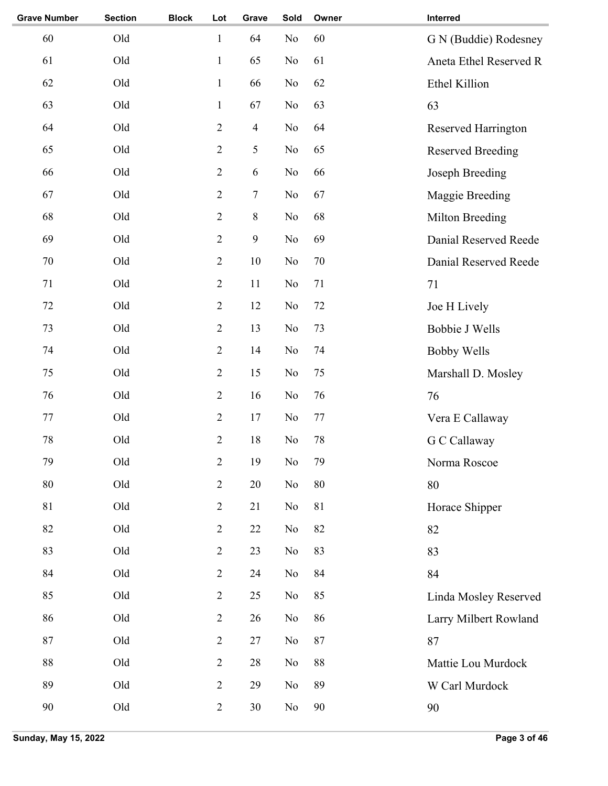| <b>Grave Number</b> | <b>Section</b> | <b>Block</b> | Lot            | Grave            | Sold     | Owner  | Interred                 |
|---------------------|----------------|--------------|----------------|------------------|----------|--------|--------------------------|
| 60                  | Old            |              | $\mathbf{1}$   | 64               | No       | 60     | G N (Buddie) Rodesney    |
| 61                  | Old            |              | $\mathbf{1}$   | 65               | No       | 61     | Aneta Ethel Reserved R   |
| 62                  | Old            |              | $\mathbf{1}$   | 66               | No       | 62     | Ethel Killion            |
| 63                  | Old            |              | $\mathbf{1}$   | 67               | No       | 63     | 63                       |
| 64                  | Old            |              | $\mathbf{2}$   | $\overline{4}$   | No       | 64     | Reserved Harrington      |
| 65                  | Old            |              | $\mathbf{2}$   | 5                | No       | 65     | <b>Reserved Breeding</b> |
| 66                  | Old            |              | $\overline{2}$ | 6                | No       | 66     | Joseph Breeding          |
| 67                  | Old            |              | $\sqrt{2}$     | $\boldsymbol{7}$ | No       | 67     | Maggie Breeding          |
| 68                  | Old            |              | $\overline{2}$ | $8\,$            | No       | 68     | Milton Breeding          |
| 69                  | Old            |              | $\mathbf{2}$   | 9                | No       | 69     | Danial Reserved Reede    |
| $70\,$              | Old            |              | $\overline{2}$ | 10               | No       | $70\,$ | Danial Reserved Reede    |
| 71                  | Old            |              | $\mathbf{2}$   | 11               | No       | 71     | 71                       |
| 72                  | Old            |              | $\overline{2}$ | 12               | No       | 72     | Joe H Lively             |
| 73                  | Old            |              | $\mathbf{2}$   | 13               | No       | 73     | <b>Bobbie J Wells</b>    |
| 74                  | Old            |              | $\overline{2}$ | 14               | No       | 74     | <b>Bobby Wells</b>       |
| 75                  | Old            |              | $\sqrt{2}$     | 15               | No       | 75     | Marshall D. Mosley       |
| 76                  | Old            |              | $\overline{2}$ | 16               | No       | 76     | 76                       |
| 77                  | Old            |              | $\overline{2}$ | 17               | No       | 77     | Vera E Callaway          |
| 78                  | Old            |              | $\overline{2}$ | 18               | No       | 78     | G C Callaway             |
| 79                  | Old            |              | $\sqrt{2}$     | 19               | $\rm No$ | 79     | Norma Roscoe             |
| 80                  | Old            |              | $\overline{2}$ | 20               | No       | $80\,$ | 80                       |
| 81                  | Old            |              | $\overline{2}$ | 21               | No       | 81     | Horace Shipper           |
| 82                  | Old            |              | $\overline{2}$ | 22               | No       | 82     | 82                       |
| 83                  | Old            |              | $\mathbf{2}$   | 23               | No       | 83     | 83                       |
| 84                  | Old            |              | $\overline{2}$ | 24               | No       | 84     | 84                       |
| 85                  | Old            |              | $\sqrt{2}$     | 25               | No       | 85     | Linda Mosley Reserved    |
| 86                  | Old            |              | $\mathbf{2}$   | 26               | No       | 86     | Larry Milbert Rowland    |
| 87                  | Old            |              | $\mathbf{2}$   | 27               | No       | 87     | 87                       |
| 88                  | Old            |              | $\mathbf{2}$   | 28               | No       | $88\,$ | Mattie Lou Murdock       |
| 89                  | Old            |              | $\mathbf{2}$   | 29               | No       | 89     | W Carl Murdock           |
| 90                  | Old            |              | $\overline{2}$ | 30               | No       | 90     | 90                       |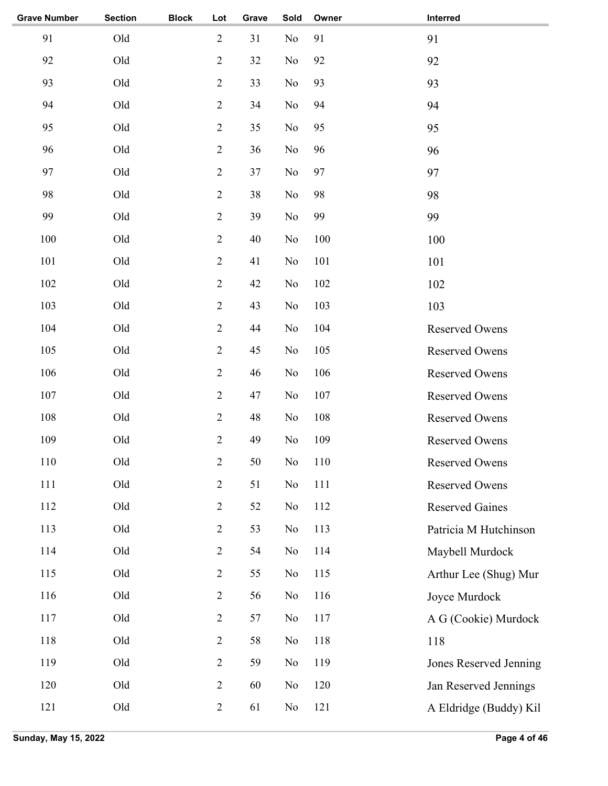| <b>Grave Number</b> | <b>Section</b> | <b>Block</b> | Lot            | Grave | Sold           | Owner | Interred               |
|---------------------|----------------|--------------|----------------|-------|----------------|-------|------------------------|
| 91                  | Old            |              | $\sqrt{2}$     | 31    | No             | 91    | 91                     |
| 92                  | Old            |              | $\sqrt{2}$     | 32    | No             | 92    | 92                     |
| 93                  | Old            |              | $\sqrt{2}$     | 33    | No             | 93    | 93                     |
| 94                  | Old            |              | $\sqrt{2}$     | 34    | No             | 94    | 94                     |
| 95                  | Old            |              | $\sqrt{2}$     | 35    | No             | 95    | 95                     |
| 96                  | Old            |              | $\sqrt{2}$     | 36    | No             | 96    | 96                     |
| 97                  | Old            |              | $\overline{2}$ | 37    | No             | 97    | 97                     |
| 98                  | Old            |              | $\sqrt{2}$     | 38    | No             | 98    | 98                     |
| 99                  | Old            |              | $\sqrt{2}$     | 39    | No             | 99    | 99                     |
| 100                 | Old            |              | $\sqrt{2}$     | 40    | No             | 100   | 100                    |
| 101                 | Old            |              | $\sqrt{2}$     | 41    | N <sub>o</sub> | 101   | 101                    |
| 102                 | Old            |              | $\sqrt{2}$     | 42    | No             | 102   | 102                    |
| 103                 | Old            |              | $\sqrt{2}$     | 43    | No             | 103   | 103                    |
| 104                 | Old            |              | $\overline{2}$ | 44    | No             | 104   | Reserved Owens         |
| 105                 | Old            |              | $\overline{2}$ | 45    | No             | 105   | Reserved Owens         |
| 106                 | Old            |              | $\overline{2}$ | 46    | No             | 106   | Reserved Owens         |
| 107                 | Old            |              | $\overline{2}$ | 47    | No             | 107   | Reserved Owens         |
| 108                 | Old            |              | $\overline{2}$ | 48    | No             | 108   | <b>Reserved Owens</b>  |
| 109                 | Old            |              | $\sqrt{2}$     | 49    | No             | 109   | <b>Reserved Owens</b>  |
| 110                 | Old            |              | $\overline{2}$ | 50    | No             | 110   | <b>Reserved Owens</b>  |
| 111                 | Old            |              | $\sqrt{2}$     | 51    | No             | 111   | Reserved Owens         |
| 112                 | Old            |              | $\sqrt{2}$     | 52    | No             | 112   | <b>Reserved Gaines</b> |
| 113                 | Old            |              | $\sqrt{2}$     | 53    | No             | 113   | Patricia M Hutchinson  |
| 114                 | Old            |              | $\sqrt{2}$     | 54    | No             | 114   | Maybell Murdock        |
| 115                 | Old            |              | $\sqrt{2}$     | 55    | No             | 115   | Arthur Lee (Shug) Mur  |
| 116                 | Old            |              | $\sqrt{2}$     | 56    | No             | 116   | Joyce Murdock          |
| 117                 | Old            |              | $\sqrt{2}$     | 57    | No             | 117   | A G (Cookie) Murdock   |
| 118                 | Old            |              | $\sqrt{2}$     | 58    | No             | 118   | 118                    |
| 119                 | Old            |              | $\sqrt{2}$     | 59    | No             | 119   | Jones Reserved Jenning |
| 120                 | Old            |              | $\sqrt{2}$     | 60    | No             | 120   | Jan Reserved Jennings  |
| 121                 | Old            |              | $\sqrt{2}$     | 61    | No             | 121   | A Eldridge (Buddy) Kil |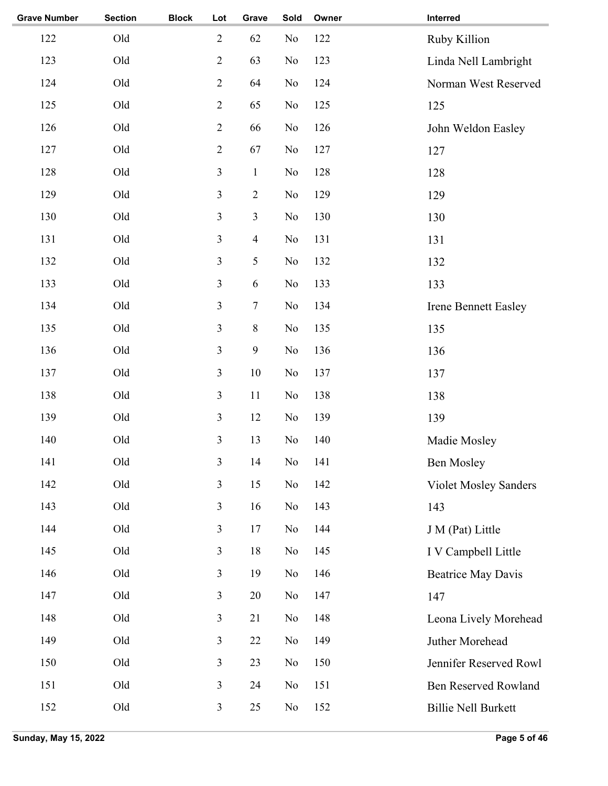| <b>Grave Number</b> | <b>Section</b> | <b>Block</b> | Lot                     | Grave                   | Sold           | Owner | Interred                     |
|---------------------|----------------|--------------|-------------------------|-------------------------|----------------|-------|------------------------------|
| 122                 | Old            |              | $\sqrt{2}$              | 62                      | N <sub>o</sub> | 122   | Ruby Killion                 |
| 123                 | Old            |              | $\sqrt{2}$              | 63                      | N <sub>o</sub> | 123   | Linda Nell Lambright         |
| 124                 | Old            |              | $\sqrt{2}$              | 64                      | No             | 124   | Norman West Reserved         |
| 125                 | Old            |              | $\sqrt{2}$              | 65                      | N <sub>o</sub> | 125   | 125                          |
| 126                 | Old            |              | $\sqrt{2}$              | 66                      | N <sub>o</sub> | 126   | John Weldon Easley           |
| 127                 | Old            |              | $\sqrt{2}$              | 67                      | N <sub>o</sub> | 127   | 127                          |
| 128                 | Old            |              | $\mathfrak{Z}$          | $\,1$                   | No             | 128   | 128                          |
| 129                 | Old            |              | $\mathfrak{Z}$          | $\overline{2}$          | N <sub>o</sub> | 129   | 129                          |
| 130                 | Old            |              | $\mathfrak{Z}$          | $\mathfrak{Z}$          | N <sub>o</sub> | 130   | 130                          |
| 131                 | Old            |              | $\mathfrak{Z}$          | $\overline{\mathbf{4}}$ | N <sub>o</sub> | 131   | 131                          |
| 132                 | Old            |              | $\mathfrak{Z}$          | 5                       | No             | 132   | 132                          |
| 133                 | Old            |              | $\mathfrak{Z}$          | $\sqrt{6}$              | N <sub>o</sub> | 133   | 133                          |
| 134                 | Old            |              | $\mathfrak{Z}$          | $\tau$                  | N <sub>o</sub> | 134   | <b>Irene Bennett Easley</b>  |
| 135                 | Old            |              | $\overline{\mathbf{3}}$ | $\,$ 8 $\,$             | N <sub>o</sub> | 135   | 135                          |
| 136                 | Old            |              | $\overline{\mathbf{3}}$ | 9                       | N <sub>o</sub> | 136   | 136                          |
| 137                 | Old            |              | $\mathfrak{Z}$          | 10                      | N <sub>o</sub> | 137   | 137                          |
| 138                 | Old            |              | $\mathfrak{Z}$          | 11                      | No             | 138   | 138                          |
| 139                 | Old            |              | $\mathfrak{Z}$          | 12                      | No             | 139   | 139                          |
| 140                 | Old            |              | $\mathfrak{Z}$          | 13                      | No             | 140   | Madie Mosley                 |
| 141                 | Old            |              | 3                       | 14                      | No             | 141   | <b>Ben Mosley</b>            |
| 142                 | Old            |              | $\mathfrak{Z}$          | 15                      | No             | 142   | <b>Violet Mosley Sanders</b> |
| 143                 | Old            |              | 3                       | 16                      | No             | 143   | 143                          |
| 144                 | Old            |              | 3                       | 17                      | No             | 144   | J M (Pat) Little             |
| 145                 | Old            |              | 3                       | 18                      | No             | 145   | I V Campbell Little          |
| 146                 | Old            |              | 3                       | 19                      | No             | 146   | <b>Beatrice May Davis</b>    |
| 147                 | Old            |              | $\mathfrak{Z}$          | 20                      | No             | 147   | 147                          |
| 148                 | Old            |              | $\mathfrak{Z}$          | 21                      | No             | 148   | Leona Lively Morehead        |
| 149                 | Old            |              | $\mathfrak{Z}$          | 22                      | No             | 149   | Juther Morehead              |
| 150                 | Old            |              | $\mathfrak{Z}$          | 23                      | No             | 150   | Jennifer Reserved Rowl       |
| 151                 | Old            |              | $\mathfrak{Z}$          | 24                      | No             | 151   | <b>Ben Reserved Rowland</b>  |
| 152                 | Old            |              | $\mathfrak{Z}$          | 25                      | No             | 152   | <b>Billie Nell Burkett</b>   |
|                     |                |              |                         |                         |                |       |                              |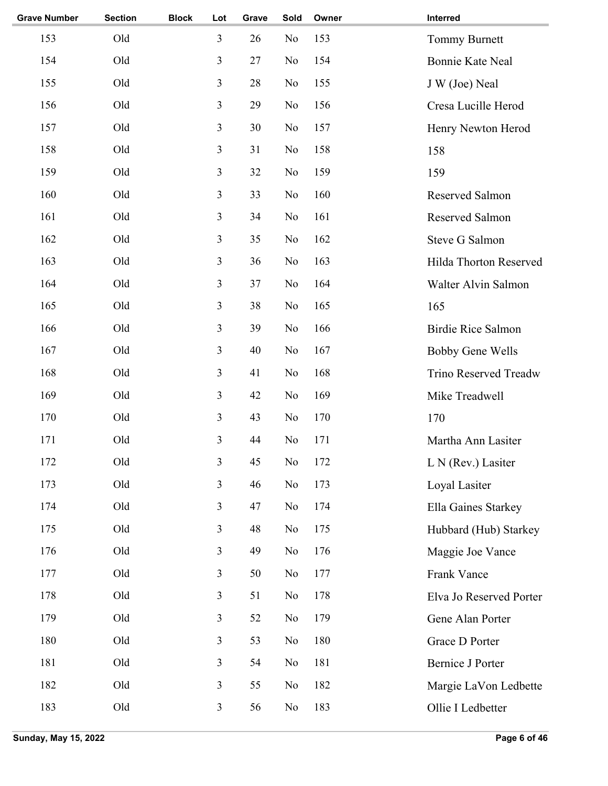| <b>Grave Number</b> | <b>Section</b> | <b>Block</b> | Lot            | Grave | Sold           | Owner | Interred                  |
|---------------------|----------------|--------------|----------------|-------|----------------|-------|---------------------------|
| 153                 | Old            |              | 3              | 26    | N <sub>o</sub> | 153   | Tommy Burnett             |
| 154                 | Old            |              | 3              | 27    | No             | 154   | <b>Bonnie Kate Neal</b>   |
| 155                 | Old            |              | 3              | 28    | No             | 155   | J W (Joe) Neal            |
| 156                 | Old            |              | 3              | 29    | No             | 156   | Cresa Lucille Herod       |
| 157                 | Old            |              | 3              | 30    | N <sub>o</sub> | 157   | Henry Newton Herod        |
| 158                 | Old            |              | 3              | 31    | N <sub>o</sub> | 158   | 158                       |
| 159                 | Old            |              | 3              | 32    | No             | 159   | 159                       |
| 160                 | Old            |              | 3              | 33    | N <sub>o</sub> | 160   | Reserved Salmon           |
| 161                 | Old            |              | 3              | 34    | N <sub>o</sub> | 161   | Reserved Salmon           |
| 162                 | Old            |              | 3              | 35    | N <sub>o</sub> | 162   | <b>Steve G Salmon</b>     |
| 163                 | Old            |              | $\overline{3}$ | 36    | N <sub>o</sub> | 163   | Hilda Thorton Reserved    |
| 164                 | Old            |              | 3              | 37    | No             | 164   | Walter Alvin Salmon       |
| 165                 | Old            |              | 3              | 38    | N <sub>o</sub> | 165   | 165                       |
| 166                 | Old            |              | 3              | 39    | No             | 166   | <b>Birdie Rice Salmon</b> |
| 167                 | Old            |              | $\overline{3}$ | 40    | N <sub>o</sub> | 167   | <b>Bobby Gene Wells</b>   |
| 168                 | Old            |              | $\overline{3}$ | 41    | N <sub>o</sub> | 168   | Trino Reserved Treadw     |
| 169                 | Old            |              | 3              | 42    | N <sub>o</sub> | 169   | Mike Treadwell            |
| 170                 | Old            |              | 3              | 43    | No             | 170   | 170                       |
| 171                 | Old            |              | 3              | 44    | No             | 171   | Martha Ann Lasiter        |
| 172                 | Old            |              | 3              | 45    | $\rm No$       | 172   | L N (Rev.) Lasiter        |
| 173                 | Old            |              | 3              | 46    | No             | 173   | Loyal Lasiter             |
| 174                 | Old            |              | $\overline{3}$ | 47    | No             | 174   | Ella Gaines Starkey       |
| 175                 | Old            |              | $\mathfrak{Z}$ | 48    | N <sub>0</sub> | 175   | Hubbard (Hub) Starkey     |
| 176                 | Old            |              | $\overline{3}$ | 49    | N <sub>o</sub> | 176   | Maggie Joe Vance          |
| 177                 | Old            |              | 3              | 50    | No             | 177   | Frank Vance               |
| 178                 | Old            |              | 3              | 51    | No             | 178   | Elva Jo Reserved Porter   |
| 179                 | Old            |              | $\overline{3}$ | 52    | No             | 179   | Gene Alan Porter          |
| 180                 | Old            |              | 3              | 53    | No             | 180   | Grace D Porter            |
| 181                 | Old            |              | 3              | 54    | No             | 181   | <b>Bernice J Porter</b>   |
| 182                 | Old            |              | 3              | 55    | No             | 182   | Margie LaVon Ledbette     |
| 183                 | Old            |              | $\mathfrak{Z}$ | 56    | N <sub>0</sub> | 183   | Ollie I Ledbetter         |
|                     |                |              |                |       |                |       |                           |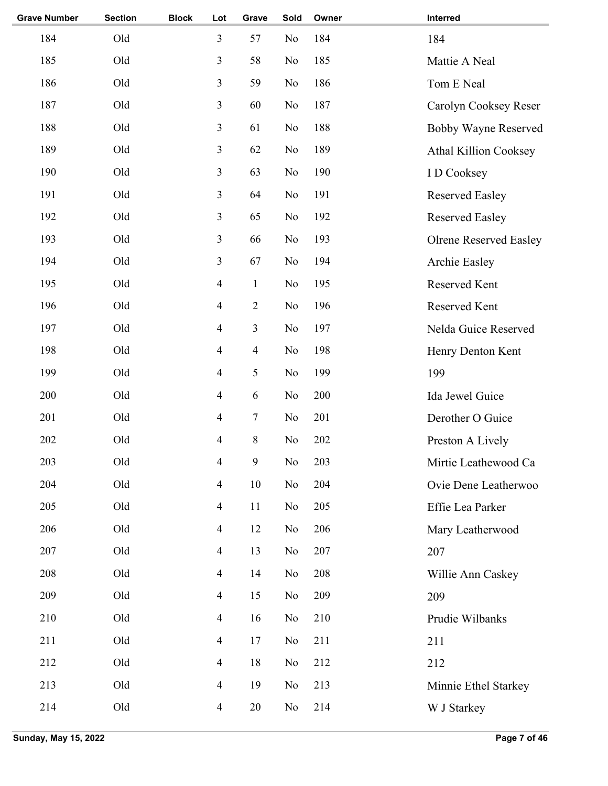| <b>Grave Number</b> | <b>Section</b> | <b>Block</b> | Lot            | Grave          | Sold           | Owner | Interred                      |
|---------------------|----------------|--------------|----------------|----------------|----------------|-------|-------------------------------|
| 184                 | Old            |              | 3              | 57             | No             | 184   | 184                           |
| 185                 | Old            |              | 3              | 58             | N <sub>o</sub> | 185   | Mattie A Neal                 |
| 186                 | Old            |              | 3              | 59             | No             | 186   | Tom E Neal                    |
| 187                 | Old            |              | 3              | 60             | N <sub>o</sub> | 187   | Carolyn Cooksey Reser         |
| 188                 | Old            |              | 3              | 61             | No             | 188   | <b>Bobby Wayne Reserved</b>   |
| 189                 | Old            |              | 3              | 62             | No             | 189   | Athal Killion Cooksey         |
| 190                 | Old            |              | 3              | 63             | No             | 190   | I D Cooksey                   |
| 191                 | Old            |              | 3              | 64             | No             | 191   | <b>Reserved Easley</b>        |
| 192                 | Old            |              | 3              | 65             | N <sub>o</sub> | 192   | <b>Reserved Easley</b>        |
| 193                 | Old            |              | 3              | 66             | N <sub>o</sub> | 193   | <b>Olrene Reserved Easley</b> |
| 194                 | Old            |              | 3              | 67             | N <sub>o</sub> | 194   | Archie Easley                 |
| 195                 | Old            |              | $\overline{4}$ | $\mathbf{1}$   | N <sub>o</sub> | 195   | Reserved Kent                 |
| 196                 | Old            |              | $\overline{4}$ | $\overline{2}$ | No             | 196   | Reserved Kent                 |
| 197                 | Old            |              | $\overline{4}$ | 3              | No             | 197   | Nelda Guice Reserved          |
| 198                 | Old            |              | $\overline{4}$ | $\overline{4}$ | N <sub>o</sub> | 198   | Henry Denton Kent             |
| 199                 | Old            |              | $\overline{4}$ | 5              | No             | 199   | 199                           |
| 200                 | Old            |              | $\overline{4}$ | 6              | No             | 200   | Ida Jewel Guice               |
| 201                 | Old            |              | $\overline{4}$ | 7              | N <sub>o</sub> | 201   | Derother O Guice              |
| 202                 | Old            |              | 4              | 8              | No             | 202   | Preston A Lively              |
| 203                 | Old            |              | 4              | 9              | $\rm No$       | 203   | Mirtie Leathewood Ca          |
| 204                 | Old            |              | $\overline{4}$ | 10             | N <sub>o</sub> | 204   | Ovie Dene Leatherwoo          |
| 205                 | Old            |              | $\overline{4}$ | 11             | N <sub>o</sub> | 205   | Effie Lea Parker              |
| 206                 | Old            |              | $\overline{4}$ | 12             | N <sub>o</sub> | 206   | Mary Leatherwood              |
| 207                 | Old            |              | $\overline{4}$ | 13             | N <sub>o</sub> | 207   | 207                           |
| 208                 | Old            |              | $\overline{4}$ | 14             | N <sub>o</sub> | 208   | Willie Ann Caskey             |
| 209                 | Old            |              | $\overline{4}$ | 15             | No             | 209   | 209                           |
| 210                 | Old            |              | $\overline{4}$ | 16             | No             | 210   | Prudie Wilbanks               |
| 211                 | Old            |              | $\overline{4}$ | 17             | No             | 211   | 211                           |
| 212                 | Old            |              | $\overline{4}$ | 18             | N <sub>o</sub> | 212   | 212                           |
| 213                 | Old            |              | $\overline{4}$ | 19             | N <sub>o</sub> | 213   | Minnie Ethel Starkey          |
| 214                 | Old            |              | $\overline{4}$ | $20\,$         | No             | 214   | W J Starkey                   |
|                     |                |              |                |                |                |       |                               |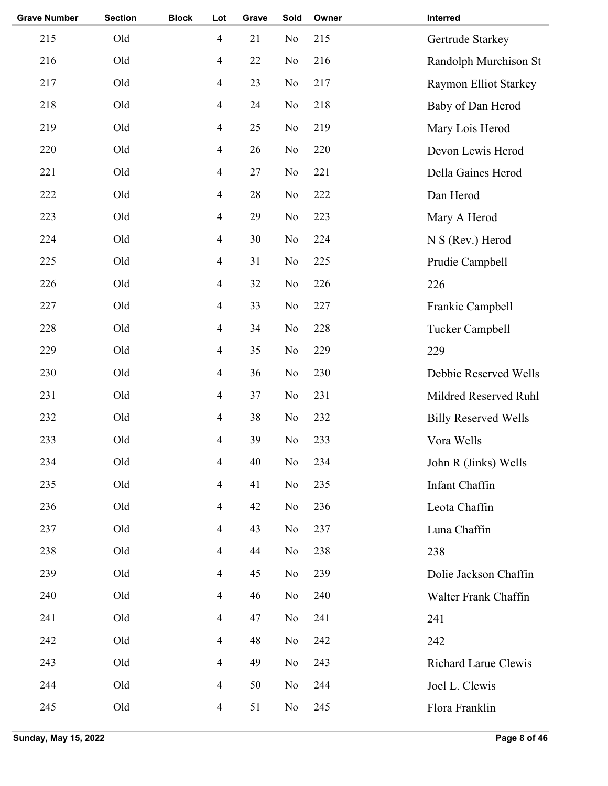| <b>Grave Number</b> | <b>Section</b> | <b>Block</b> | Lot            | Grave | Sold | Owner | Interred                     |
|---------------------|----------------|--------------|----------------|-------|------|-------|------------------------------|
| 215                 | Old            |              | $\overline{4}$ | 21    | No   | 215   | Gertrude Starkey             |
| 216                 | Old            |              | $\overline{4}$ | 22    | No   | 216   | Randolph Murchison St        |
| 217                 | Old            |              | $\overline{4}$ | 23    | No   | 217   | <b>Raymon Elliot Starkey</b> |
| 218                 | Old            |              | $\overline{4}$ | 24    | No   | 218   | Baby of Dan Herod            |
| 219                 | Old            |              | $\overline{4}$ | 25    | No   | 219   | Mary Lois Herod              |
| 220                 | Old            |              | $\overline{4}$ | 26    | No   | 220   | Devon Lewis Herod            |
| 221                 | Old            |              | $\overline{4}$ | 27    | No   | 221   | Della Gaines Herod           |
| 222                 | Old            |              | $\overline{4}$ | 28    | No   | 222   | Dan Herod                    |
| 223                 | Old            |              | $\overline{4}$ | 29    | No   | 223   | Mary A Herod                 |
| 224                 | Old            |              | $\overline{4}$ | 30    | No   | 224   | N S (Rev.) Herod             |
| 225                 | Old            |              | $\overline{4}$ | 31    | No   | 225   | Prudie Campbell              |
| 226                 | Old            |              | $\overline{4}$ | 32    | No   | 226   | 226                          |
| 227                 | Old            |              | $\overline{4}$ | 33    | No   | 227   | Frankie Campbell             |
| 228                 | Old            |              | $\overline{4}$ | 34    | No   | 228   | Tucker Campbell              |
| 229                 | Old            |              | $\overline{4}$ | 35    | No   | 229   | 229                          |
| 230                 | Old            |              | $\overline{4}$ | 36    | No   | 230   | Debbie Reserved Wells        |
| 231                 | Old            |              | $\overline{4}$ | 37    | No   | 231   | Mildred Reserved Ruhl        |
| 232                 | Old            |              | $\overline{4}$ | 38    | No   | 232   | <b>Billy Reserved Wells</b>  |
| 233                 | Old            |              | 4              | 39    | No   | 233   | Vora Wells                   |
| 234                 | Old            |              | $\overline{4}$ | 40    | No   | 234   | John R (Jinks) Wells         |
| 235                 | Old            |              | $\overline{4}$ | 41    | No   | 235   | <b>Infant Chaffin</b>        |
| 236                 | Old            |              | $\overline{4}$ | 42    | No   | 236   | Leota Chaffin                |
| 237                 | Old            |              | $\overline{4}$ | 43    | No   | 237   | Luna Chaffin                 |
| 238                 | Old            |              | $\overline{4}$ | 44    | No   | 238   | 238                          |
| 239                 | Old            |              | $\overline{4}$ | 45    | No   | 239   | Dolie Jackson Chaffin        |
| 240                 | Old            |              | $\overline{4}$ | 46    | No   | 240   | Walter Frank Chaffin         |
| 241                 | Old            |              | $\overline{4}$ | 47    | No   | 241   | 241                          |
| 242                 | Old            |              | $\overline{4}$ | 48    | No   | 242   | 242                          |
| 243                 | Old            |              | $\overline{4}$ | 49    | No   | 243   | Richard Larue Clewis         |
| 244                 | Old            |              | $\overline{4}$ | 50    | No   | 244   | Joel L. Clewis               |
| 245                 | Old            |              | $\overline{4}$ | 51    | No   | 245   | Flora Franklin               |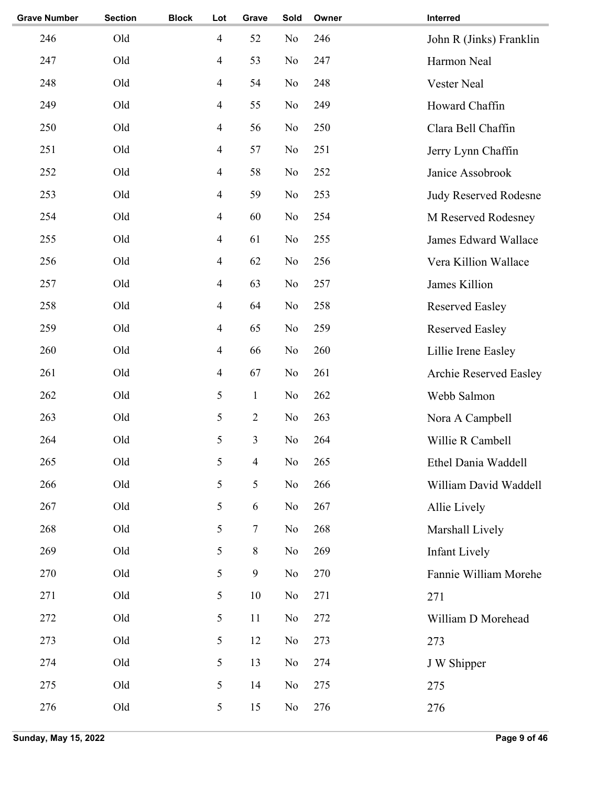| <b>Grave Number</b> | <b>Section</b> | <b>Block</b> | Lot            | Grave          | Sold | Owner | Interred                |
|---------------------|----------------|--------------|----------------|----------------|------|-------|-------------------------|
| 246                 | Old            |              | $\overline{4}$ | 52             | No   | 246   | John R (Jinks) Franklin |
| 247                 | Old            |              | $\overline{4}$ | 53             | No   | 247   | Harmon Neal             |
| 248                 | Old            |              | $\overline{4}$ | 54             | No   | 248   | Vester Neal             |
| 249                 | Old            |              | $\overline{4}$ | 55             | No   | 249   | Howard Chaffin          |
| 250                 | Old            |              | $\overline{4}$ | 56             | No   | 250   | Clara Bell Chaffin      |
| 251                 | Old            |              | $\overline{4}$ | 57             | No   | 251   | Jerry Lynn Chaffin      |
| 252                 | Old            |              | $\overline{4}$ | 58             | No   | 252   | Janice Assobrook        |
| 253                 | Old            |              | 4              | 59             | No   | 253   | Judy Reserved Rodesne   |
| 254                 | Old            |              | $\overline{4}$ | 60             | No   | 254   | M Reserved Rodesney     |
| 255                 | Old            |              | $\overline{4}$ | 61             | No   | 255   | James Edward Wallace    |
| 256                 | Old            |              | $\overline{4}$ | 62             | No   | 256   | Vera Killion Wallace    |
| 257                 | Old            |              | $\overline{4}$ | 63             | No   | 257   | James Killion           |
| 258                 | Old            |              | $\overline{4}$ | 64             | No   | 258   | <b>Reserved Easley</b>  |
| 259                 | Old            |              | $\overline{4}$ | 65             | No   | 259   | <b>Reserved Easley</b>  |
| 260                 | Old            |              | $\overline{4}$ | 66             | No   | 260   | Lillie Irene Easley     |
| 261                 | Old            |              | $\overline{4}$ | 67             | No   | 261   | Archie Reserved Easley  |
| 262                 | Old            |              | 5              | $\mathbf{1}$   | No   | 262   | Webb Salmon             |
| 263                 | Old            |              | 5              | $\sqrt{2}$     | No   | 263   | Nora A Campbell         |
| 264                 | Old            |              | 5              | 3              | No   | 264   | Willie R Cambell        |
| 265                 | Old            |              | 5              | $\overline{4}$ | No   | 265   | Ethel Dania Waddell     |
| 266                 | Old            |              | 5              | 5              | No   | 266   | William David Waddell   |
| 267                 | Old            |              | 5              | 6              | No   | 267   | Allie Lively            |
| 268                 | Old            |              | 5              | 7              | No   | 268   | Marshall Lively         |
| 269                 | Old            |              | 5              | $8\,$          | No   | 269   | <b>Infant Lively</b>    |
| 270                 | Old            |              | 5              | 9              | No   | 270   | Fannie William Morehe   |
| 271                 | Old            |              | 5              | 10             | No   | 271   | 271                     |
| 272                 | Old            |              | 5              | 11             | No   | 272   | William D Morehead      |
| 273                 | Old            |              | 5              | 12             | No   | 273   | 273                     |
| 274                 | Old            |              | 5              | 13             | No   | 274   | J W Shipper             |
| 275                 | Old            |              | 5              | 14             | No   | 275   | 275                     |
| 276                 | Old            |              | 5              | 15             | No   | 276   | 276                     |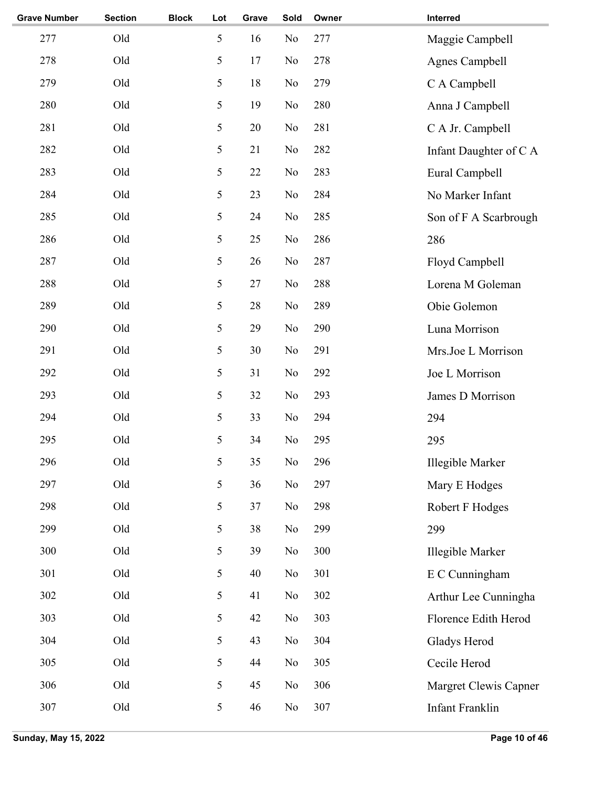| <b>Grave Number</b> | <b>Section</b> | <b>Block</b> | Lot | Grave | Sold           | Owner | Interred               |
|---------------------|----------------|--------------|-----|-------|----------------|-------|------------------------|
| 277                 | Old            |              | 5   | 16    | N <sub>o</sub> | 277   | Maggie Campbell        |
| 278                 | Old            |              | 5   | 17    | N <sub>o</sub> | 278   | <b>Agnes Campbell</b>  |
| 279                 | Old            |              | 5   | 18    | N <sub>o</sub> | 279   | C A Campbell           |
| 280                 | Old            |              | 5   | 19    | N <sub>o</sub> | 280   | Anna J Campbell        |
| 281                 | Old            |              | 5   | 20    | N <sub>o</sub> | 281   | C A Jr. Campbell       |
| 282                 | Old            |              | 5   | 21    | N <sub>o</sub> | 282   | Infant Daughter of C A |
| 283                 | Old            |              | 5   | 22    | N <sub>o</sub> | 283   | Eural Campbell         |
| 284                 | Old            |              | 5   | 23    | N <sub>o</sub> | 284   | No Marker Infant       |
| 285                 | Old            |              | 5   | 24    | N <sub>o</sub> | 285   | Son of F A Scarbrough  |
| 286                 | Old            |              | 5   | 25    | N <sub>o</sub> | 286   | 286                    |
| 287                 | Old            |              | 5   | 26    | N <sub>o</sub> | 287   | Floyd Campbell         |
| 288                 | Old            |              | 5   | 27    | N <sub>o</sub> | 288   | Lorena M Goleman       |
| 289                 | Old            |              | 5   | 28    | N <sub>o</sub> | 289   | Obie Golemon           |
| 290                 | Old            |              | 5   | 29    | N <sub>o</sub> | 290   | Luna Morrison          |
| 291                 | Old            |              | 5   | 30    | N <sub>o</sub> | 291   | Mrs.Joe L Morrison     |
| 292                 | Old            |              | 5   | 31    | N <sub>o</sub> | 292   | Joe L Morrison         |
| 293                 | Old            |              | 5   | 32    | N <sub>o</sub> | 293   | James D Morrison       |
| 294                 | Old            |              | 5   | 33    | N <sub>o</sub> | 294   | 294                    |
| 295                 | Old            |              | 5   | 34    | N <sub>o</sub> | 295   | 295                    |
| 296                 | Old            |              | 5   | 35    | $\rm No$       | 296   | Illegible Marker       |
| 297                 | Old            |              | 5   | 36    | No             | 297   | Mary E Hodges          |
| 298                 | Old            |              | 5   | 37    | No             | 298   | Robert F Hodges        |
| 299                 | Old            |              | 5   | 38    | No             | 299   | 299                    |
| 300                 | Old            |              | 5   | 39    | N <sub>o</sub> | 300   | Illegible Marker       |
| 301                 | Old            |              | 5   | 40    | No             | 301   | E C Cunningham         |
| 302                 | Old            |              | 5   | 41    | No             | 302   | Arthur Lee Cunningha   |
| 303                 | Old            |              | 5   | 42    | No             | 303   | Florence Edith Herod   |
| 304                 | Old            |              | 5   | 43    | N <sub>o</sub> | 304   | Gladys Herod           |
| 305                 | Old            |              | 5   | 44    | No             | 305   | Cecile Herod           |
| 306                 | Old            |              | 5   | 45    | N <sub>o</sub> | 306   | Margret Clewis Capner  |
| 307                 | Old            |              | 5   | 46    | No             | 307   | Infant Franklin        |
|                     |                |              |     |       |                |       |                        |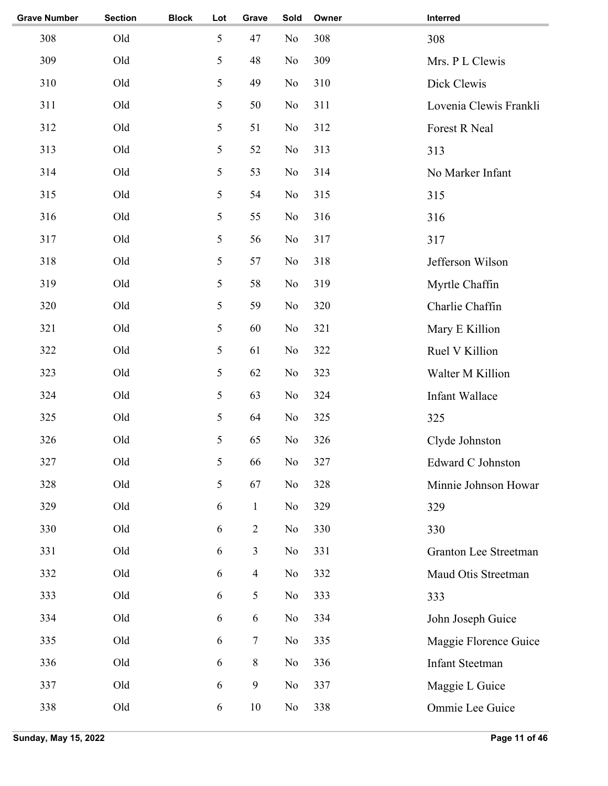| <b>Grave Number</b> | <b>Section</b> | <b>Block</b> | Lot | Grave          | Sold           | Owner | Interred                     |
|---------------------|----------------|--------------|-----|----------------|----------------|-------|------------------------------|
| 308                 | Old            |              | 5   | 47             | N <sub>o</sub> | 308   | 308                          |
| 309                 | Old            |              | 5   | 48             | No             | 309   | Mrs. P L Clewis              |
| 310                 | Old            |              | 5   | 49             | No             | 310   | Dick Clewis                  |
| 311                 | Old            |              | 5   | 50             | No             | 311   | Lovenia Clewis Frankli       |
| 312                 | Old            |              | 5   | 51             | N <sub>o</sub> | 312   | Forest R Neal                |
| 313                 | Old            |              | 5   | 52             | N <sub>o</sub> | 313   | 313                          |
| 314                 | Old            |              | 5   | 53             | N <sub>o</sub> | 314   | No Marker Infant             |
| 315                 | Old            |              | 5   | 54             | N <sub>o</sub> | 315   | 315                          |
| 316                 | Old            |              | 5   | 55             | N <sub>o</sub> | 316   | 316                          |
| 317                 | Old            |              | 5   | 56             | No             | 317   | 317                          |
| 318                 | Old            |              | 5   | 57             | No             | 318   | Jefferson Wilson             |
| 319                 | Old            |              | 5   | 58             | No             | 319   | Myrtle Chaffin               |
| 320                 | Old            |              | 5   | 59             | N <sub>o</sub> | 320   | Charlie Chaffin              |
| 321                 | Old            |              | 5   | 60             | N <sub>o</sub> | 321   | Mary E Killion               |
| 322                 | Old            |              | 5   | 61             | N <sub>o</sub> | 322   | Ruel V Killion               |
| 323                 | Old            |              | 5   | 62             | N <sub>o</sub> | 323   | Walter M Killion             |
| 324                 | Old            |              | 5   | 63             | N <sub>o</sub> | 324   | Infant Wallace               |
| 325                 | Old            |              | 5   | 64             | No             | 325   | 325                          |
| 326                 | Old            |              | 5   | 65             | No             | 326   | Clyde Johnston               |
| 327                 | Old            |              | 5   | 66             | $\rm No$       | 327   | Edward C Johnston            |
| 328                 | Old            |              | 5   | 67             | No             | 328   | Minnie Johnson Howar         |
| 329                 | Old            |              | 6   | $\mathbf{1}$   | N <sub>0</sub> | 329   | 329                          |
| 330                 | Old            |              | 6   | $\sqrt{2}$     | N <sub>0</sub> | 330   | 330                          |
| 331                 | Old            |              | 6   | 3              | N <sub>0</sub> | 331   | <b>Granton Lee Streetman</b> |
| 332                 | Old            |              | 6   | $\overline{4}$ | No             | 332   | Maud Otis Streetman          |
| 333                 | Old            |              | 6   | 5              | No             | 333   | 333                          |
| 334                 | Old            |              | 6   | 6              | No             | 334   | John Joseph Guice            |
| 335                 | Old            |              | 6   | $\tau$         | N <sub>0</sub> | 335   | Maggie Florence Guice        |
| 336                 | Old            |              | 6   | $8\,$          | No             | 336   | <b>Infant Steetman</b>       |
| 337                 | Old            |              | 6   | $\mathbf{9}$   | N <sub>0</sub> | 337   | Maggie L Guice               |
| 338                 | Old            |              | 6   | $10\,$         | No             | 338   | Ommie Lee Guice              |
|                     |                |              |     |                |                |       |                              |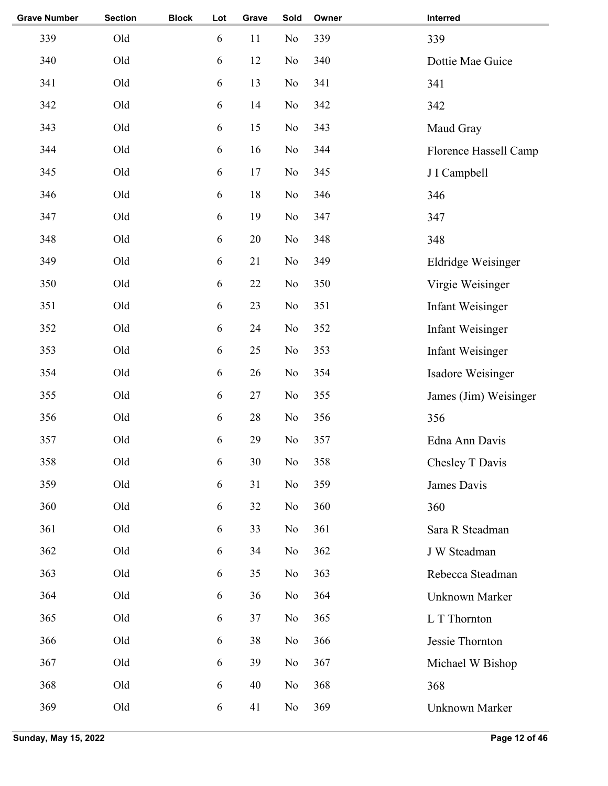| <b>Grave Number</b> | <b>Section</b> | <b>Block</b> | Lot        | Grave | Sold           | Owner | Interred                |
|---------------------|----------------|--------------|------------|-------|----------------|-------|-------------------------|
| 339                 | Old            |              | 6          | 11    | No             | 339   | 339                     |
| 340                 | Old            |              | 6          | 12    | No             | 340   | Dottie Mae Guice        |
| 341                 | Old            |              | 6          | 13    | No             | 341   | 341                     |
| 342                 | Old            |              | 6          | 14    | No             | 342   | 342                     |
| 343                 | Old            |              | 6          | 15    | No             | 343   | Maud Gray               |
| 344                 | Old            |              | 6          | 16    | No             | 344   | Florence Hassell Camp   |
| 345                 | Old            |              | 6          | 17    | No             | 345   | J I Campbell            |
| 346                 | Old            |              | 6          | 18    | No             | 346   | 346                     |
| 347                 | Old            |              | 6          | 19    | No             | 347   | 347                     |
| 348                 | Old            |              | 6          | 20    | No             | 348   | 348                     |
| 349                 | Old            |              | 6          | 21    | No             | 349   | Eldridge Weisinger      |
| 350                 | Old            |              | 6          | 22    | No             | 350   | Virgie Weisinger        |
| 351                 | Old            |              | 6          | 23    | No             | 351   | <b>Infant Weisinger</b> |
| 352                 | Old            |              | 6          | 24    | No             | 352   | <b>Infant Weisinger</b> |
| 353                 | Old            |              | 6          | 25    | No             | 353   | <b>Infant Weisinger</b> |
| 354                 | Old            |              | 6          | 26    | No             | 354   | Isadore Weisinger       |
| 355                 | Old            |              | 6          | 27    | No             | 355   | James (Jim) Weisinger   |
| 356                 | Old            |              | 6          | 28    | No             | 356   | 356                     |
| 357                 | Old            |              | 6          | 29    | No             | 357   | Edna Ann Davis          |
| 358                 | Old            |              | 6          | 30    | No             | 358   | Chesley T Davis         |
| 359                 | Old            |              | 6          | 31    | No             | 359   | James Davis             |
| 360                 | Old            |              | 6          | 32    | No             | 360   | 360                     |
| 361                 | Old            |              | 6          | 33    | N <sub>0</sub> | 361   | Sara R Steadman         |
| 362                 | Old            |              | 6          | 34    | No             | 362   | J W Steadman            |
| 363                 | Old            |              | 6          | 35    | No             | 363   | Rebecca Steadman        |
| 364                 | Old            |              | 6          | 36    | No             | 364   | Unknown Marker          |
| 365                 | Old            |              | $\sqrt{6}$ | 37    | No             | 365   | L T Thornton            |
| 366                 | Old            |              | 6          | 38    | No             | 366   | Jessie Thornton         |
| 367                 | Old            |              | 6          | 39    | No             | 367   | Michael W Bishop        |
| 368                 | Old            |              | 6          | 40    | No             | 368   | 368                     |
| 369                 | Old            |              | 6          | 41    | N <sub>0</sub> | 369   | Unknown Marker          |
|                     |                |              |            |       |                |       |                         |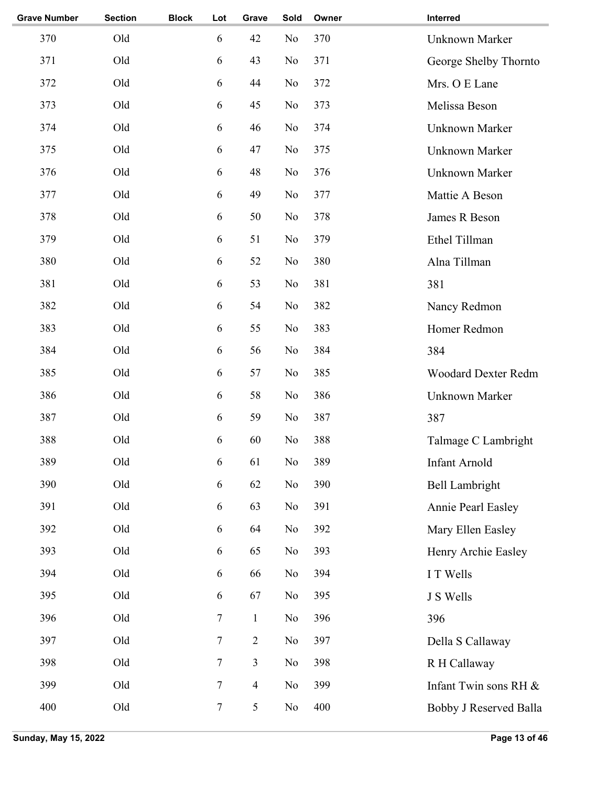| <b>Grave Number</b> | <b>Section</b> | <b>Block</b> | Lot              | Grave          | Sold           | Owner | Interred                   |
|---------------------|----------------|--------------|------------------|----------------|----------------|-------|----------------------------|
| 370                 | Old            |              | 6                | 42             | No             | 370   | <b>Unknown Marker</b>      |
| 371                 | Old            |              | 6                | 43             | No             | 371   | George Shelby Thornto      |
| 372                 | Old            |              | 6                | 44             | No             | 372   | Mrs. O E Lane              |
| 373                 | Old            |              | 6                | 45             | No             | 373   | Melissa Beson              |
| 374                 | Old            |              | 6                | 46             | No             | 374   | Unknown Marker             |
| 375                 | Old            |              | 6                | 47             | No             | 375   | Unknown Marker             |
| 376                 | Old            |              | 6                | 48             | No             | 376   | Unknown Marker             |
| 377                 | Old            |              | 6                | 49             | No             | 377   | Mattie A Beson             |
| 378                 | Old            |              | 6                | 50             | No             | 378   | James R Beson              |
| 379                 | Old            |              | 6                | 51             | No             | 379   | Ethel Tillman              |
| 380                 | Old            |              | 6                | 52             | No             | 380   | Alna Tillman               |
| 381                 | Old            |              | 6                | 53             | No             | 381   | 381                        |
| 382                 | Old            |              | 6                | 54             | No             | 382   | Nancy Redmon               |
| 383                 | Old            |              | 6                | 55             | No             | 383   | Homer Redmon               |
| 384                 | Old            |              | 6                | 56             | No             | 384   | 384                        |
| 385                 | Old            |              | 6                | 57             | No             | 385   | <b>Woodard Dexter Redm</b> |
| 386                 | Old            |              | 6                | 58             | No             | 386   | Unknown Marker             |
| 387                 | Old            |              | 6                | 59             | No             | 387   | 387                        |
| 388                 | Old            |              | 6                | 60             | No             | 388   | Talmage C Lambright        |
| 389                 | Old            |              | 6                | 61             | $\rm No$       | 389   | Infant Arnold              |
| 390                 | Old            |              | $\sqrt{6}$       | 62             | No             | 390   | <b>Bell Lambright</b>      |
| 391                 | Old            |              | 6                | 63             | No             | 391   | Annie Pearl Easley         |
| 392                 | Old            |              | $\sqrt{6}$       | 64             | No             | 392   | Mary Ellen Easley          |
| 393                 | Old            |              | 6                | 65             | No             | 393   | Henry Archie Easley        |
| 394                 | Old            |              | 6                | 66             | No             | 394   | I T Wells                  |
| 395                 | Old            |              | 6                | 67             | No             | 395   | J S Wells                  |
| 396                 | Old            |              | $\boldsymbol{7}$ | $\mathbf{1}$   | No             | 396   | 396                        |
| 397                 | Old            |              | $\tau$           | $\mathbf{2}$   | No             | 397   | Della S Callaway           |
| 398                 | Old            |              | $\overline{7}$   | $\mathfrak{Z}$ | No             | 398   | R H Callaway               |
| 399                 | Old            |              | $\tau$           | $\overline{4}$ | N <sub>o</sub> | 399   | Infant Twin sons RH &      |
| 400                 | Old            |              | $\boldsymbol{7}$ | $\mathfrak{S}$ | No             | 400   | Bobby J Reserved Balla     |
|                     |                |              |                  |                |                |       |                            |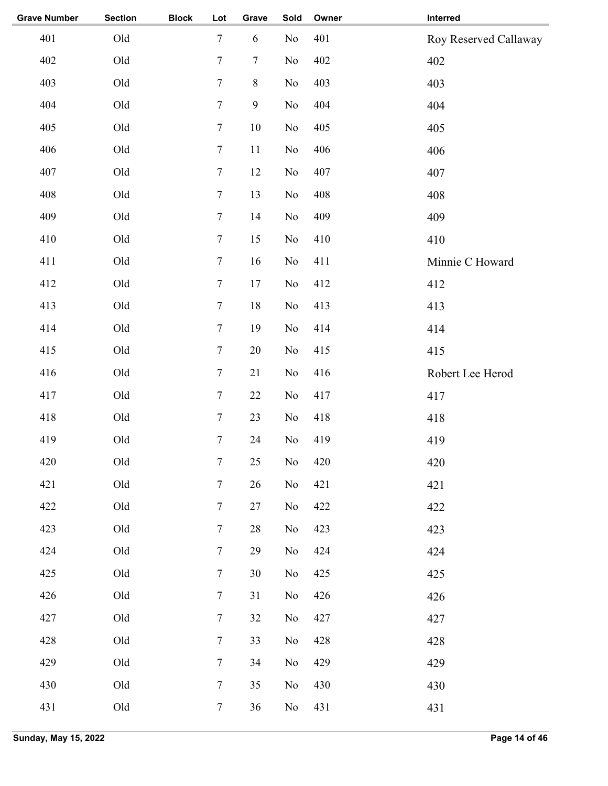| <b>Grave Number</b> | <b>Section</b> | <b>Block</b> | Lot              | Grave        | Sold     | Owner | Interred              |
|---------------------|----------------|--------------|------------------|--------------|----------|-------|-----------------------|
| 401                 | Old            |              | $\tau$           | 6            | No       | 401   | Roy Reserved Callaway |
| 402                 | Old            |              | $\boldsymbol{7}$ | $\tau$       | No       | 402   | 402                   |
| 403                 | Old            |              | $\boldsymbol{7}$ | $8\,$        | No       | 403   | 403                   |
| 404                 | Old            |              | $\tau$           | $\mathbf{9}$ | No       | 404   | 404                   |
| 405                 | Old            |              | $\tau$           | 10           | No       | 405   | 405                   |
| 406                 | Old            |              | $\tau$           | 11           | $\rm No$ | 406   | 406                   |
| 407                 | Old            |              | $\boldsymbol{7}$ | 12           | No       | 407   | 407                   |
| 408                 | Old            |              | $\tau$           | 13           | No       | 408   | 408                   |
| 409                 | Old            |              | $\tau$           | 14           | No       | 409   | 409                   |
| 410                 | Old            |              | $\boldsymbol{7}$ | 15           | No       | 410   | 410                   |
| 411                 | Old            |              | $\boldsymbol{7}$ | 16           | No       | 411   | Minnie C Howard       |
| 412                 | Old            |              | $\tau$           | 17           | No       | 412   | 412                   |
| 413                 | Old            |              | $\tau$           | 18           | No       | 413   | 413                   |
| 414                 | Old            |              | $\tau$           | 19           | No       | 414   | 414                   |
| 415                 | Old            |              | $\tau$           | 20           | No       | 415   | 415                   |
| 416                 | Old            |              | $\tau$           | 21           | No       | 416   | Robert Lee Herod      |
| 417                 | Old            |              | $\tau$           | 22           | No       | 417   | 417                   |
| 418                 | Old            |              | $\tau$           | 23           | No       | 418   | 418                   |
| 419                 | Old            |              | $\boldsymbol{7}$ | 24           | No       | 419   | 419                   |
| 420                 | Old            |              | $\tau$           | 25           | No       | 420   | 420                   |
| 421                 | Old            |              | $\tau$           | 26           | No       | 421   | 421                   |
| 422                 | Old            |              | $\overline{7}$   | 27           | $\rm No$ | 422   | 422                   |
| 423                 | Old            |              | $\overline{7}$   | $28\,$       | $\rm No$ | 423   | 423                   |
| 424                 | Old            |              | $\tau$           | 29           | $\rm No$ | 424   | 424                   |
| 425                 | Old            |              | $\tau$           | 30           | $\rm No$ | 425   | 425                   |
| 426                 | Old            |              | $\tau$           | 31           | $\rm No$ | 426   | 426                   |
| 427                 | Old            |              | $\tau$           | 32           | $\rm No$ | 427   | 427                   |
| 428                 | Old            |              | $\overline{7}$   | 33           | No       | 428   | 428                   |
| 429                 | Old            |              | $\tau$           | 34           | No       | 429   | 429                   |
| 430                 | Old            |              | $\tau$           | 35           | No       | 430   | 430                   |
| 431                 | Old            |              | $\overline{7}$   | 36           | No       | 431   | 431                   |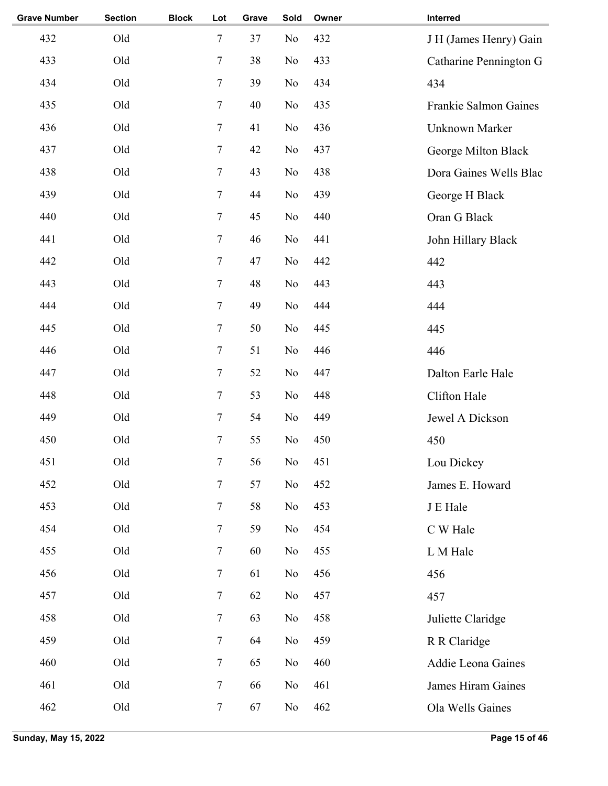| <b>Grave Number</b> | <b>Section</b> | <b>Block</b> | Lot              | Grave | Sold           | Owner | Interred                  |
|---------------------|----------------|--------------|------------------|-------|----------------|-------|---------------------------|
| 432                 | Old            |              | $\tau$           | 37    | No             | 432   | J H (James Henry) Gain    |
| 433                 | Old            |              | 7                | 38    | No             | 433   | Catharine Pennington G    |
| 434                 | Old            |              | 7                | 39    | N <sub>o</sub> | 434   | 434                       |
| 435                 | Old            |              | 7                | 40    | No             | 435   | Frankie Salmon Gaines     |
| 436                 | Old            |              | 7                | 41    | No             | 436   | Unknown Marker            |
| 437                 | Old            |              | $\tau$           | 42    | No             | 437   | George Milton Black       |
| 438                 | Old            |              | 7                | 43    | No             | 438   | Dora Gaines Wells Blac    |
| 439                 | Old            |              | $\tau$           | 44    | No             | 439   | George H Black            |
| 440                 | Old            |              | $\overline{7}$   | 45    | N <sub>o</sub> | 440   | Oran G Black              |
| 441                 | Old            |              | $\tau$           | 46    | N <sub>o</sub> | 441   | John Hillary Black        |
| 442                 | Old            |              | 7                | 47    | No             | 442   | 442                       |
| 443                 | Old            |              | 7                | 48    | No             | 443   | 443                       |
| 444                 | Old            |              | 7                | 49    | No             | 444   | 444                       |
| 445                 | Old            |              | $\tau$           | 50    | No             | 445   | 445                       |
| 446                 | Old            |              | 7                | 51    | N <sub>o</sub> | 446   | 446                       |
| 447                 | Old            |              | $\tau$           | 52    | N <sub>o</sub> | 447   | Dalton Earle Hale         |
| 448                 | Old            |              | 7                | 53    | N <sub>o</sub> | 448   | Clifton Hale              |
| 449                 | Old            |              | $\tau$           | 54    | N <sub>o</sub> | 449   | Jewel A Dickson           |
| 450                 | Old            |              | $\boldsymbol{7}$ | 55    | No             | 450   | 450                       |
| 451                 | Old            |              | 7                | 56    | No             | 451   | Lou Dickey                |
| 452                 | Old            |              | 7                | 57    | No             | 452   | James E. Howard           |
| 453                 | Old            |              | $\boldsymbol{7}$ | 58    | No             | 453   | J E Hale                  |
| 454                 | Old            |              | 7                | 59    | No             | 454   | C W Hale                  |
| 455                 | Old            |              | $\boldsymbol{7}$ | 60    | No             | 455   | L M Hale                  |
| 456                 | Old            |              | $\tau$           | 61    | No             | 456   | 456                       |
| 457                 | Old            |              | $\tau$           | 62    | No             | 457   | 457                       |
| 458                 | Old            |              | $\boldsymbol{7}$ | 63    | No             | 458   | Juliette Claridge         |
| 459                 | Old            |              | $\tau$           | 64    | No             | 459   | R R Claridge              |
| 460                 | Old            |              | 7                | 65    | No             | 460   | Addie Leona Gaines        |
| 461                 | Old            |              | $\tau$           | 66    | No             | 461   | <b>James Hiram Gaines</b> |
| 462                 | Old            |              | $\boldsymbol{7}$ | 67    | No             | 462   | Ola Wells Gaines          |
|                     |                |              |                  |       |                |       |                           |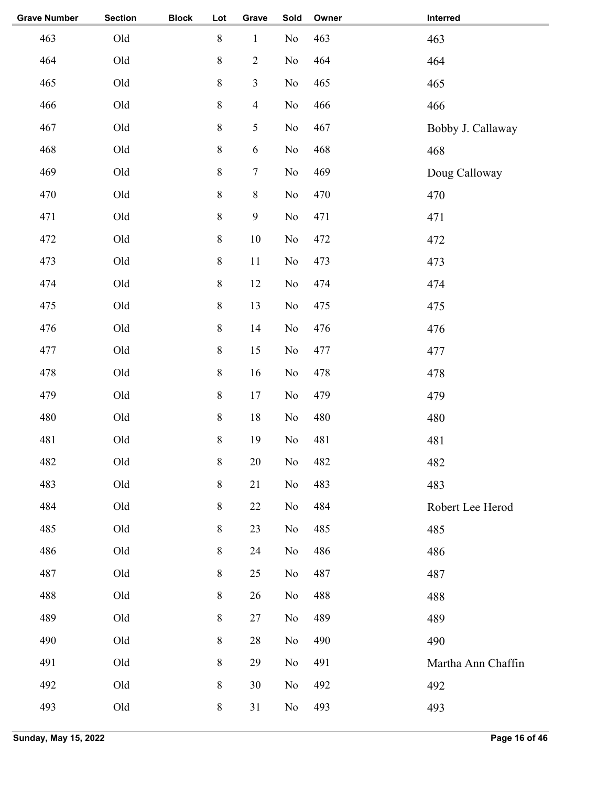| <b>Grave Number</b> | <b>Section</b> | <b>Block</b> | Lot             | Grave            | Sold     | Owner | Interred           |
|---------------------|----------------|--------------|-----------------|------------------|----------|-------|--------------------|
| 463                 | $\mathrm{Old}$ |              | $8\,$           | $\,1\,$          | No       | 463   | 463                |
| 464                 | Old            |              | $8\,$           | $\overline{2}$   | No       | 464   | 464                |
| 465                 | Old            |              | $8\,$           | $\mathfrak{Z}$   | No       | 465   | 465                |
| 466                 | Old            |              | $8\,$           | $\overline{4}$   | $\rm No$ | 466   | 466                |
| 467                 | Old            |              | $8\,$           | 5                | No       | 467   | Bobby J. Callaway  |
| 468                 | Old            |              | $8\,$           | $\sqrt{6}$       | No       | 468   | 468                |
| 469                 | Old            |              | $8\,$           | $\boldsymbol{7}$ | No       | 469   | Doug Calloway      |
| 470                 | Old            |              | $8\,$           | $\,8\,$          | No       | 470   | 470                |
| 471                 | Old            |              | $8\,$           | $\mathbf{9}$     | No       | 471   | 471                |
| 472                 | Old            |              | $8\,$           | $10\,$           | No       | 472   | 472                |
| 473                 | Old            |              | $8\,$           | $11\,$           | No       | 473   | 473                |
| 474                 | Old            |              | $8\,$           | 12               | No       | 474   | 474                |
| 475                 | Old            |              | $8\,$           | 13               | No       | 475   | 475                |
| 476                 | Old            |              | $8\,$           | 14               | No       | 476   | 476                |
| 477                 | Old            |              | $8\,$           | 15               | No       | 477   | 477                |
| 478                 | Old            |              | $8\,$           | 16               | No       | 478   | 478                |
| 479                 | Old            |              | $8\,$           | 17               | No       | 479   | 479                |
| 480                 | Old            |              | $8\,$           | $18\,$           | No       | 480   | 480                |
| 481                 | Old            |              | $8\,$           | 19               | No       | 481   | 481                |
| 482                 | Old            |              | $8\phantom{.0}$ | 20               | No       | 482   | 482                |
| 483                 | Old            |              | $8\,$           | 21               | $\rm No$ | 483   | 483                |
| 484                 | Old            |              | $8\,$           | 22               | No       | 484   | Robert Lee Herod   |
| 485                 | Old            |              | $8\,$           | 23               | No       | 485   | 485                |
| 486                 | Old            |              | $8\,$           | 24               | No       | 486   | 486                |
| 487                 | Old            |              | $8\,$           | 25               | No       | 487   | 487                |
| 488                 | Old            |              | $8\,$           | 26               | No       | 488   | 488                |
| 489                 | Old            |              | $8\,$           | 27               | No       | 489   | 489                |
| 490                 | Old            |              | $8\,$           | 28               | No       | 490   | 490                |
| 491                 | Old            |              | $8\,$           | 29               | No       | 491   | Martha Ann Chaffin |
| 492                 | Old            |              | $8\,$           | 30               | No       | 492   | 492                |
| 493                 | $\mathrm{Old}$ |              | $8\,$           | 31               | No       | 493   | 493                |
|                     |                |              |                 |                  |          |       |                    |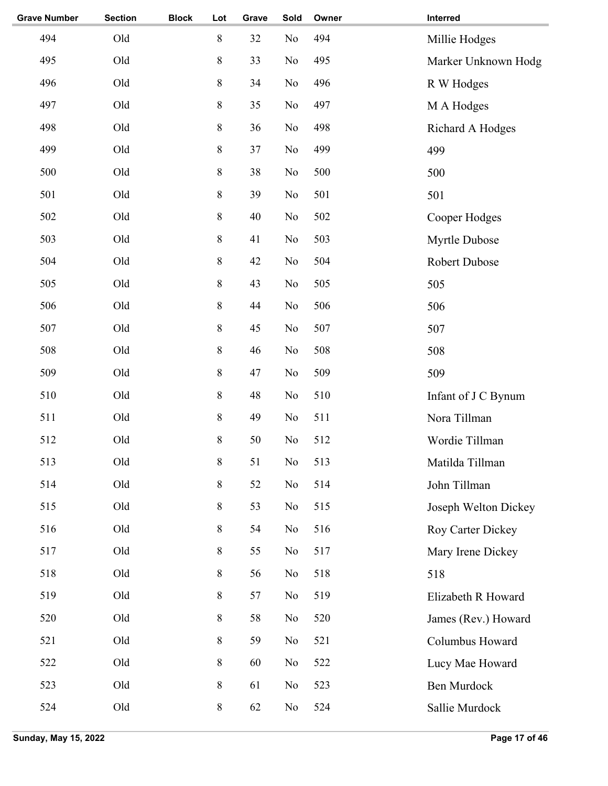| <b>Grave Number</b> | <b>Section</b> | <b>Block</b> | Lot         | Grave | Sold           | Owner | Interred             |
|---------------------|----------------|--------------|-------------|-------|----------------|-------|----------------------|
| 494                 | Old            |              | $\,8\,$     | 32    | N <sub>o</sub> | 494   | Millie Hodges        |
| 495                 | Old            |              | $\,$ $\,$   | 33    | N <sub>o</sub> | 495   | Marker Unknown Hodg  |
| 496                 | Old            |              | $\,8\,$     | 34    | N <sub>o</sub> | 496   | R W Hodges           |
| 497                 | Old            |              | 8           | 35    | N <sub>o</sub> | 497   | M A Hodges           |
| 498                 | Old            |              | $\,8\,$     | 36    | No             | 498   | Richard A Hodges     |
| 499                 | Old            |              | $\,$ 8 $\,$ | 37    | N <sub>o</sub> | 499   | 499                  |
| 500                 | Old            |              | $\,$ $\,$   | 38    | N <sub>o</sub> | 500   | 500                  |
| 501                 | Old            |              | $8\,$       | 39    | N <sub>o</sub> | 501   | 501                  |
| 502                 | Old            |              | $\,8\,$     | 40    | N <sub>o</sub> | 502   | Cooper Hodges        |
| 503                 | Old            |              | $\,$ $\,$   | 41    | N <sub>o</sub> | 503   | Myrtle Dubose        |
| 504                 | Old            |              | $\,$ $\,$   | 42    | No             | 504   | Robert Dubose        |
| 505                 | Old            |              | 8           | 43    | N <sub>o</sub> | 505   | 505                  |
| 506                 | Old            |              | $\,8\,$     | 44    | N <sub>o</sub> | 506   | 506                  |
| 507                 | Old            |              | $\,$ 8 $\,$ | 45    | N <sub>o</sub> | 507   | 507                  |
| 508                 | Old            |              | $\,$ 8 $\,$ | 46    | N <sub>o</sub> | 508   | 508                  |
| 509                 | Old            |              | $\,8\,$     | 47    | N <sub>o</sub> | 509   | 509                  |
| 510                 | Old            |              | $\,8\,$     | 48    | N <sub>o</sub> | 510   | Infant of J C Bynum  |
| 511                 | Old            |              | $\,8\,$     | 49    | N <sub>o</sub> | 511   | Nora Tillman         |
| 512                 | Old            |              | 8           | 50    | No             | 512   | Wordie Tillman       |
| 513                 | Old            |              | $\,8\,$     | 51    | $\rm No$       | 513   | Matilda Tillman      |
| 514                 | Old            |              | $\,$ $\,$   | 52    | No             | 514   | John Tillman         |
| 515                 | Old            |              | $\,$ $\,$   | 53    | No             | 515   | Joseph Welton Dickey |
| 516                 | Old            |              | 8           | 54    | No             | 516   | Roy Carter Dickey    |
| 517                 | Old            |              | 8           | 55    | N <sub>o</sub> | 517   | Mary Irene Dickey    |
| 518                 | Old            |              | 8           | 56    | No             | 518   | 518                  |
| 519                 | Old            |              | $\,8\,$     | 57    | N <sub>o</sub> | 519   | Elizabeth R Howard   |
| 520                 | Old            |              | $\,8\,$     | 58    | No             | 520   | James (Rev.) Howard  |
| 521                 | Old            |              | 8           | 59    | N <sub>o</sub> | 521   | Columbus Howard      |
| 522                 | Old            |              | $\,8\,$     | 60    | No             | 522   | Lucy Mae Howard      |
| 523                 | Old            |              | $\,8\,$     | 61    | No             | 523   | <b>Ben Murdock</b>   |
| 524                 | Old            |              | $8\,$       | 62    | N <sub>0</sub> | 524   | Sallie Murdock       |
|                     |                |              |             |       |                |       |                      |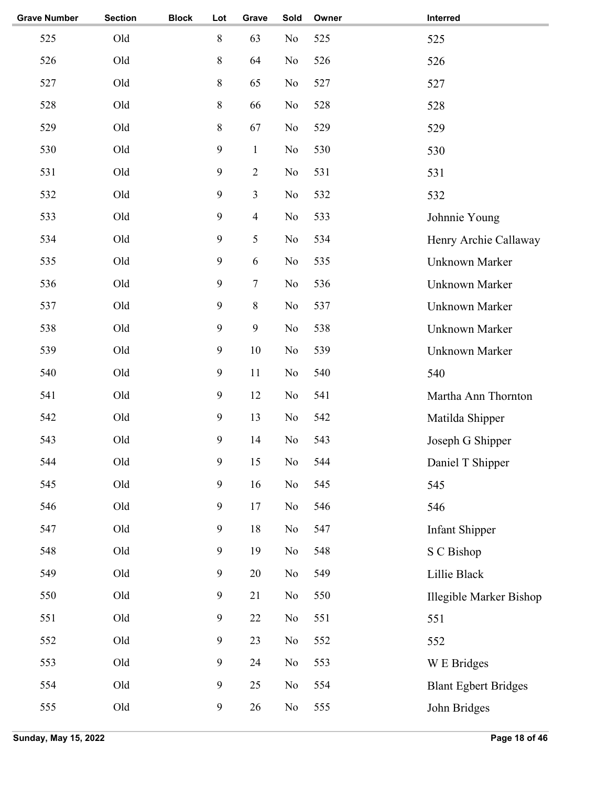| <b>Grave Number</b> | <b>Section</b> | <b>Block</b> | Lot              | Grave                   | Sold           | Owner | Interred                    |
|---------------------|----------------|--------------|------------------|-------------------------|----------------|-------|-----------------------------|
| 525                 | Old            |              | $\,$ $\,$        | 63                      | N <sub>o</sub> | 525   | 525                         |
| 526                 | Old            |              | $\,$ $\,$        | 64                      | No             | 526   | 526                         |
| 527                 | Old            |              | $\,$ $\,$        | 65                      | N <sub>o</sub> | 527   | 527                         |
| 528                 | Old            |              | 8                | 66                      | No             | 528   | 528                         |
| 529                 | Old            |              | $8\,$            | 67                      | No             | 529   | 529                         |
| 530                 | Old            |              | $\overline{9}$   | $\mathbf{1}$            | No             | 530   | 530                         |
| 531                 | Old            |              | $\overline{9}$   | $\overline{2}$          | N <sub>o</sub> | 531   | 531                         |
| 532                 | Old            |              | 9                | 3                       | No             | 532   | 532                         |
| 533                 | Old            |              | 9                | $\overline{\mathbf{4}}$ | N <sub>o</sub> | 533   | Johnnie Young               |
| 534                 | Old            |              | $\overline{9}$   | 5                       | N <sub>o</sub> | 534   | Henry Archie Callaway       |
| 535                 | Old            |              | $\overline{9}$   | 6                       | N <sub>o</sub> | 535   | Unknown Marker              |
| 536                 | Old            |              | 9                | 7                       | No             | 536   | Unknown Marker              |
| 537                 | Old            |              | 9                | 8                       | No             | 537   | Unknown Marker              |
| 538                 | Old            |              | 9                | 9                       | No             | 538   | Unknown Marker              |
| 539                 | Old            |              | 9                | 10                      | N <sub>o</sub> | 539   | Unknown Marker              |
| 540                 | Old            |              | 9                | 11                      | No             | 540   | 540                         |
| 541                 | Old            |              | 9                | 12                      | N <sub>o</sub> | 541   | Martha Ann Thornton         |
| 542                 | Old            |              | 9                | 13                      | N <sub>o</sub> | 542   | Matilda Shipper             |
| 543                 | Old            |              | 9                | 14                      | No             | 543   | Joseph G Shipper            |
| 544                 | Old            |              | 9                | 15                      | No             | 544   | Daniel T Shipper            |
| 545                 | Old            |              | $\overline{9}$   | 16                      | $\rm No$       | 545   | 545                         |
| 546                 | Old            |              | $\boldsymbol{9}$ | 17                      | No             | 546   | 546                         |
| 547                 | Old            |              | $\boldsymbol{9}$ | 18                      | No             | 547   | <b>Infant Shipper</b>       |
| 548                 | Old            |              | $\boldsymbol{9}$ | 19                      | No             | 548   | S C Bishop                  |
| 549                 | Old            |              | $\boldsymbol{9}$ | 20                      | No             | 549   | Lillie Black                |
| 550                 | Old            |              | $\boldsymbol{9}$ | 21                      | No             | 550   | Illegible Marker Bishop     |
| 551                 | Old            |              | $\boldsymbol{9}$ | 22                      | No             | 551   | 551                         |
| 552                 | Old            |              | $\boldsymbol{9}$ | 23                      | No             | 552   | 552                         |
| 553                 | Old            |              | $\boldsymbol{9}$ | 24                      | No             | 553   | W E Bridges                 |
| 554                 | Old            |              | $\boldsymbol{9}$ | 25                      | No             | 554   | <b>Blant Egbert Bridges</b> |
| 555                 | Old            |              | $\boldsymbol{9}$ | 26                      | No             | 555   | John Bridges                |
|                     |                |              |                  |                         |                |       |                             |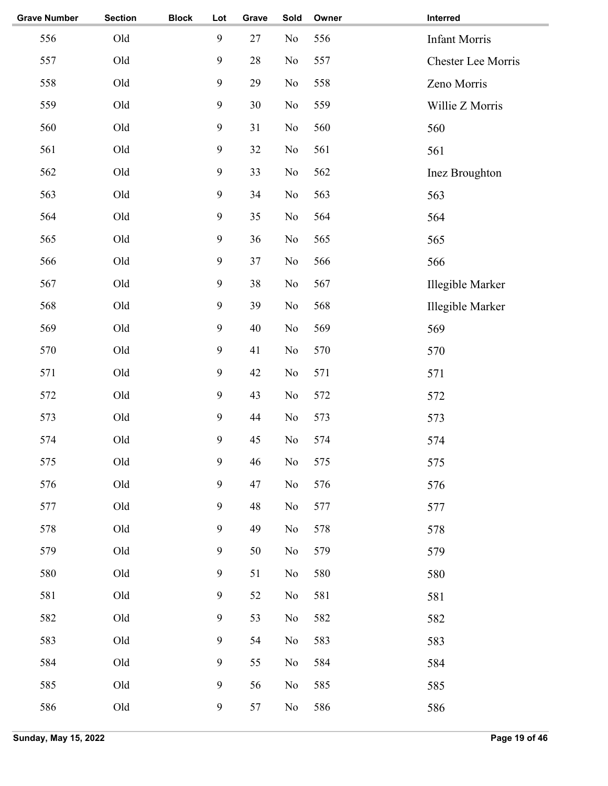| <b>Grave Number</b> | <b>Section</b> | <b>Block</b> | Lot              | Grave  | Sold           | Owner | Interred             |
|---------------------|----------------|--------------|------------------|--------|----------------|-------|----------------------|
| 556                 | Old            |              | 9                | 27     | No             | 556   | <b>Infant Morris</b> |
| 557                 | Old            |              | $\mathbf{9}$     | $28\,$ | No             | 557   | Chester Lee Morris   |
| 558                 | Old            |              | $\mathbf{9}$     | 29     | No             | 558   | Zeno Morris          |
| 559                 | Old            |              | $\boldsymbol{9}$ | 30     | No             | 559   | Willie Z Morris      |
| 560                 | Old            |              | $\boldsymbol{9}$ | 31     | No             | 560   | 560                  |
| 561                 | Old            |              | $\boldsymbol{9}$ | 32     | No             | 561   | 561                  |
| 562                 | Old            |              | $\boldsymbol{9}$ | 33     | No             | 562   | Inez Broughton       |
| 563                 | Old            |              | $\boldsymbol{9}$ | 34     | No             | 563   | 563                  |
| 564                 | Old            |              | 9                | 35     | No             | 564   | 564                  |
| 565                 | Old            |              | $\mathbf{9}$     | 36     | No             | 565   | 565                  |
| 566                 | Old            |              | $\boldsymbol{9}$ | 37     | No             | 566   | 566                  |
| 567                 | Old            |              | 9                | 38     | No             | 567   | Illegible Marker     |
| 568                 | Old            |              | 9                | 39     | No             | 568   | Illegible Marker     |
| 569                 | Old            |              | 9                | 40     | No             | 569   | 569                  |
| 570                 | Old            |              | 9                | 41     | No             | 570   | 570                  |
| 571                 | Old            |              | 9                | 42     | No             | 571   | 571                  |
| 572                 | Old            |              | 9                | 43     | No             | 572   | 572                  |
| 573                 | Old            |              | $\mathbf{9}$     | 44     | No             | 573   | 573                  |
| 574                 | Old            |              | 9                | 45     | No             | 574   | 574                  |
| 575                 | Old            |              | $\overline{9}$   | 46     | $\rm No$       | 575   | 575                  |
| 576                 | $\mathrm{Old}$ |              | $\mathbf{9}$     | 47     | $\rm No$       | 576   | 576                  |
| 577                 | Old            |              | $\mathbf{9}$     | 48     | No             | 577   | 577                  |
| 578                 | Old            |              | $\mathbf{9}$     | 49     | $\rm No$       | 578   | 578                  |
| 579                 | Old            |              | $\boldsymbol{9}$ | 50     | No             | 579   | 579                  |
| 580                 | Old            |              | $\mathbf{9}$     | 51     | $\rm No$       | 580   | 580                  |
| 581                 | Old            |              | $\mathbf{9}$     | 52     | N <sub>o</sub> | 581   | 581                  |
| 582                 | Old            |              | $\boldsymbol{9}$ | 53     | No             | 582   | 582                  |
| 583                 | Old            |              | $\boldsymbol{9}$ | 54     | No             | 583   | 583                  |
| 584                 | Old            |              | $\mathbf{9}$     | 55     | No             | 584   | 584                  |
| 585                 | Old            |              | $\mathbf{9}$     | 56     | No             | 585   | 585                  |
| 586                 | Old            |              | $\boldsymbol{9}$ | 57     | $\rm No$       | 586   | 586                  |
|                     |                |              |                  |        |                |       |                      |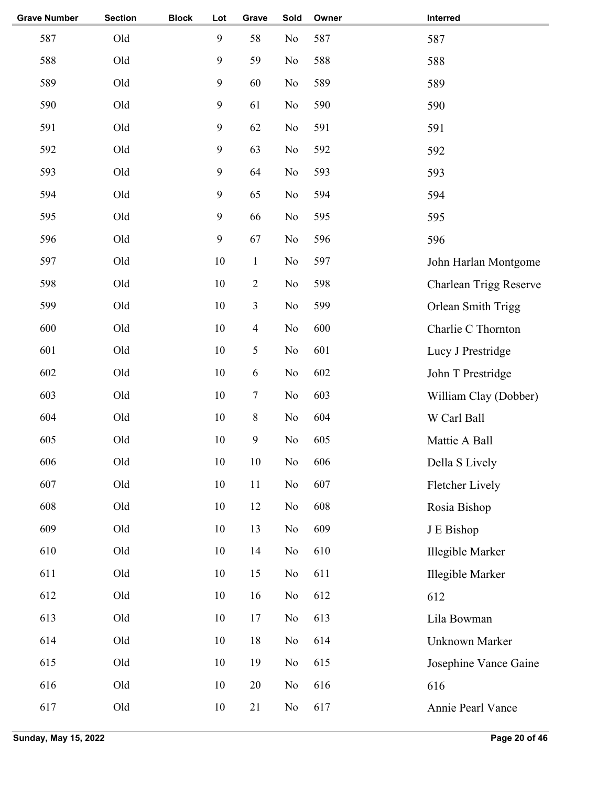| <b>Grave Number</b> | <b>Section</b> | <b>Block</b> | Lot              | Grave            | Sold           | Owner | Interred               |
|---------------------|----------------|--------------|------------------|------------------|----------------|-------|------------------------|
| 587                 | Old            |              | 9                | 58               | No             | 587   | 587                    |
| 588                 | Old            |              | $\mathbf{9}$     | 59               | N <sub>o</sub> | 588   | 588                    |
| 589                 | Old            |              | $\mathbf{9}$     | 60               | N <sub>o</sub> | 589   | 589                    |
| 590                 | Old            |              | $\boldsymbol{9}$ | 61               | N <sub>o</sub> | 590   | 590                    |
| 591                 | Old            |              | $\boldsymbol{9}$ | 62               | No             | 591   | 591                    |
| 592                 | Old            |              | $\boldsymbol{9}$ | 63               | No             | 592   | 592                    |
| 593                 | Old            |              | 9                | 64               | No             | 593   | 593                    |
| 594                 | Old            |              | 9                | 65               | No             | 594   | 594                    |
| 595                 | Old            |              | 9                | 66               | N <sub>o</sub> | 595   | 595                    |
| 596                 | Old            |              | $\mathbf{9}$     | 67               | N <sub>o</sub> | 596   | 596                    |
| 597                 | Old            |              | 10               | $\mathbf{1}$     | N <sub>o</sub> | 597   | John Harlan Montgome   |
| 598                 | Old            |              | 10               | $\sqrt{2}$       | N <sub>o</sub> | 598   | Charlean Trigg Reserve |
| 599                 | Old            |              | 10               | 3                | N <sub>o</sub> | 599   | Orlean Smith Trigg     |
| 600                 | Old            |              | 10               | $\overline{4}$   | N <sub>o</sub> | 600   | Charlie C Thornton     |
| 601                 | Old            |              | 10               | 5                | No             | 601   | Lucy J Prestridge      |
| 602                 | Old            |              | 10               | 6                | N <sub>o</sub> | 602   | John T Prestridge      |
| 603                 | Old            |              | 10               | $\tau$           | No             | 603   | William Clay (Dobber)  |
| 604                 | Old            |              | $10\,$           | $\,8\,$          | No             | 604   | W Carl Ball            |
| 605                 | Old            |              | 10               | $\boldsymbol{9}$ | No             | 605   | Mattie A Ball          |
| 606                 | Old            |              | 10               | 10               | No             | 606   | Della S Lively         |
| 607                 | Old            |              | $10\,$           | 11               | No             | 607   | Fletcher Lively        |
| 608                 | Old            |              | $10\,$           | 12               | No             | 608   | Rosia Bishop           |
| 609                 | Old            |              | $10\,$           | 13               | No             | 609   | J E Bishop             |
| 610                 | Old            |              | 10               | 14               | No             | 610   | Illegible Marker       |
| 611                 | Old            |              | 10               | 15               | N <sub>0</sub> | 611   | Illegible Marker       |
| 612                 | Old            |              | 10               | 16               | N <sub>0</sub> | 612   | 612                    |
| 613                 | Old            |              | 10               | 17               | No             | 613   | Lila Bowman            |
| 614                 | Old            |              | 10               | 18               | N <sub>0</sub> | 614   | Unknown Marker         |
| 615                 | Old            |              | 10               | 19               | N <sub>0</sub> | 615   | Josephine Vance Gaine  |
| 616                 | Old            |              | $10\,$           | 20               | N <sub>0</sub> | 616   | 616                    |
| 617                 | Old            |              | 10               | 21               | No             | 617   | Annie Pearl Vance      |
|                     |                |              |                  |                  |                |       |                        |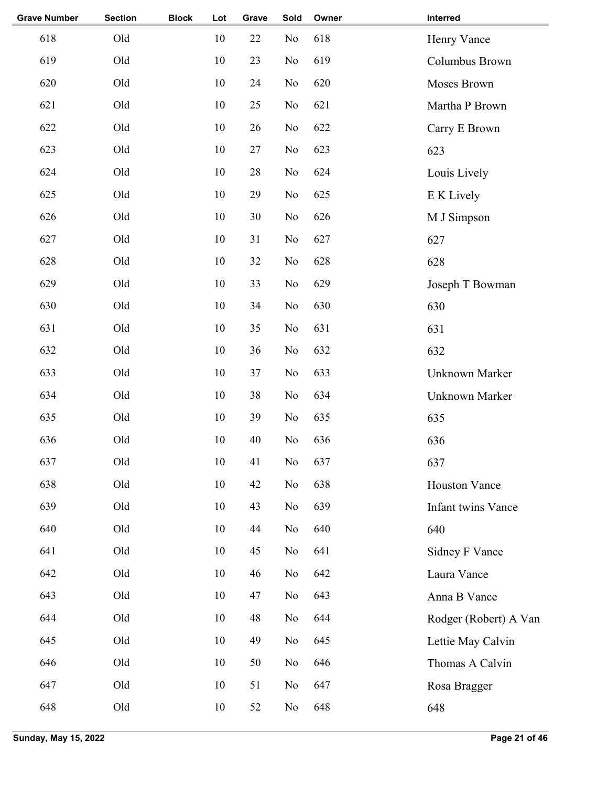| <b>Grave Number</b> | <b>Section</b> | <b>Block</b> | Lot | Grave | Sold           | Owner | Interred              |
|---------------------|----------------|--------------|-----|-------|----------------|-------|-----------------------|
| 618                 | Old            |              | 10  | 22    | N <sub>o</sub> | 618   | Henry Vance           |
| 619                 | Old            |              | 10  | 23    | N <sub>o</sub> | 619   | Columbus Brown        |
| 620                 | Old            |              | 10  | 24    | N <sub>o</sub> | 620   | Moses Brown           |
| 621                 | Old            |              | 10  | 25    | N <sub>o</sub> | 621   | Martha P Brown        |
| 622                 | Old            |              | 10  | 26    | N <sub>o</sub> | 622   | Carry E Brown         |
| 623                 | Old            |              | 10  | 27    | No             | 623   | 623                   |
| 624                 | Old            |              | 10  | 28    | N <sub>o</sub> | 624   | Louis Lively          |
| 625                 | Old            |              | 10  | 29    | N <sub>o</sub> | 625   | E K Lively            |
| 626                 | Old            |              | 10  | 30    | N <sub>o</sub> | 626   | M J Simpson           |
| 627                 | Old            |              | 10  | 31    | N <sub>o</sub> | 627   | 627                   |
| 628                 | Old            |              | 10  | 32    | No             | 628   | 628                   |
| 629                 | Old            |              | 10  | 33    | N <sub>o</sub> | 629   | Joseph T Bowman       |
| 630                 | Old            |              | 10  | 34    | N <sub>o</sub> | 630   | 630                   |
| 631                 | Old            |              | 10  | 35    | No             | 631   | 631                   |
| 632                 | Old            |              | 10  | 36    | N <sub>o</sub> | 632   | 632                   |
| 633                 | Old            |              | 10  | 37    | No             | 633   | Unknown Marker        |
| 634                 | Old            |              | 10  | 38    | N <sub>o</sub> | 634   | Unknown Marker        |
| 635                 | Old            |              | 10  | 39    | N <sub>o</sub> | 635   | 635                   |
| 636                 | Old            |              | 10  | 40    | No             | 636   | 636                   |
| 637                 | Old            |              | 10  | 41    | $\rm No$       | 637   | 637                   |
| 638                 | Old            |              | 10  | 42    | No             | 638   | <b>Houston Vance</b>  |
| 639                 | Old            |              | 10  | 43    | No             | 639   | Infant twins Vance    |
| 640                 | Old            |              | 10  | 44    | No             | 640   | 640                   |
| 641                 | Old            |              | 10  | 45    | N <sub>o</sub> | 641   | Sidney F Vance        |
| 642                 | Old            |              | 10  | 46    | No             | 642   | Laura Vance           |
| 643                 | Old            |              | 10  | 47    | No             | 643   | Anna B Vance          |
| 644                 | Old            |              | 10  | 48    | No             | 644   | Rodger (Robert) A Van |
| 645                 | Old            |              | 10  | 49    | N <sub>o</sub> | 645   | Lettie May Calvin     |
| 646                 | Old            |              | 10  | 50    | No             | 646   | Thomas A Calvin       |
| 647                 | Old            |              | 10  | 51    | No             | 647   | Rosa Bragger          |
| 648                 | Old            |              | 10  | 52    | No             | 648   | 648                   |
|                     |                |              |     |       |                |       |                       |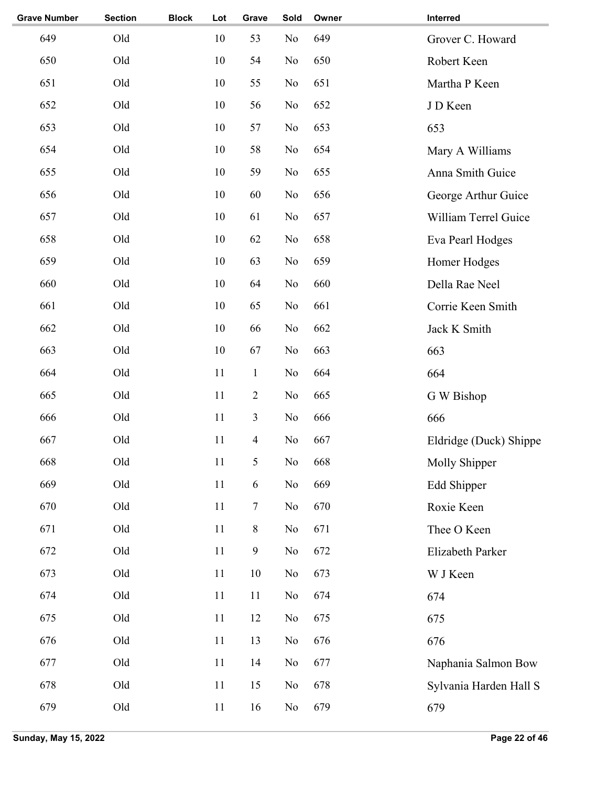| <b>Grave Number</b> | <b>Section</b> | <b>Block</b> | Lot    | Grave                    | Sold           | Owner | Interred               |
|---------------------|----------------|--------------|--------|--------------------------|----------------|-------|------------------------|
| 649                 | Old            |              | 10     | 53                       | N <sub>o</sub> | 649   | Grover C. Howard       |
| 650                 | Old            |              | 10     | 54                       | N <sub>o</sub> | 650   | Robert Keen            |
| 651                 | Old            |              | 10     | 55                       | N <sub>o</sub> | 651   | Martha P Keen          |
| 652                 | Old            |              | 10     | 56                       | N <sub>o</sub> | 652   | J D Keen               |
| 653                 | Old            |              | 10     | 57                       | No             | 653   | 653                    |
| 654                 | Old            |              | 10     | 58                       | N <sub>o</sub> | 654   | Mary A Williams        |
| 655                 | Old            |              | 10     | 59                       | N <sub>o</sub> | 655   | Anna Smith Guice       |
| 656                 | Old            |              | 10     | 60                       | N <sub>o</sub> | 656   | George Arthur Guice    |
| 657                 | Old            |              | 10     | 61                       | N <sub>o</sub> | 657   | William Terrel Guice   |
| 658                 | Old            |              | 10     | 62                       | N <sub>o</sub> | 658   | Eva Pearl Hodges       |
| 659                 | Old            |              | 10     | 63                       | No             | 659   | Homer Hodges           |
| 660                 | Old            |              | 10     | 64                       | N <sub>o</sub> | 660   | Della Rae Neel         |
| 661                 | Old            |              | 10     | 65                       | N <sub>o</sub> | 661   | Corrie Keen Smith      |
| 662                 | Old            |              | 10     | 66                       | N <sub>o</sub> | 662   | Jack K Smith           |
| 663                 | Old            |              | 10     | 67                       | N <sub>o</sub> | 663   | 663                    |
| 664                 | Old            |              | 11     | $\mathbf{1}$             | N <sub>o</sub> | 664   | 664                    |
| 665                 | Old            |              | 11     | $\overline{2}$           | N <sub>o</sub> | 665   | G W Bishop             |
| 666                 | Old            |              | 11     | $\mathfrak{Z}$           | N <sub>o</sub> | 666   | 666                    |
| 667                 | Old            |              | 11     | $\overline{\mathcal{A}}$ | N <sub>o</sub> | 667   | Eldridge (Duck) Shippe |
| 668                 | Old            |              | 11     | 5                        | No             | 668   | Molly Shipper          |
| 669                 | Old            |              | 11     | $\sqrt{6}$               | No             | 669   | Edd Shipper            |
| 670                 | Old            |              | 11     | 7                        | No             | 670   | Roxie Keen             |
| 671                 | Old            |              | 11     | $\,8\,$                  | No             | 671   | Thee O Keen            |
| 672                 | Old            |              | $11\,$ | $\boldsymbol{9}$         | No             | 672   | Elizabeth Parker       |
| 673                 | Old            |              | 11     | 10                       | No             | 673   | W J Keen               |
| 674                 | Old            |              | 11     | 11                       | No             | 674   | 674                    |
| 675                 | Old            |              | 11     | 12                       | No             | 675   | 675                    |
| 676                 | Old            |              | $11\,$ | 13                       | No             | 676   | 676                    |
| 677                 | Old            |              | 11     | 14                       | No             | 677   | Naphania Salmon Bow    |
| 678                 | Old            |              | 11     | 15                       | No             | 678   | Sylvania Harden Hall S |
| 679                 | Old            |              | 11     | 16                       | No             | 679   | 679                    |
|                     |                |              |        |                          |                |       |                        |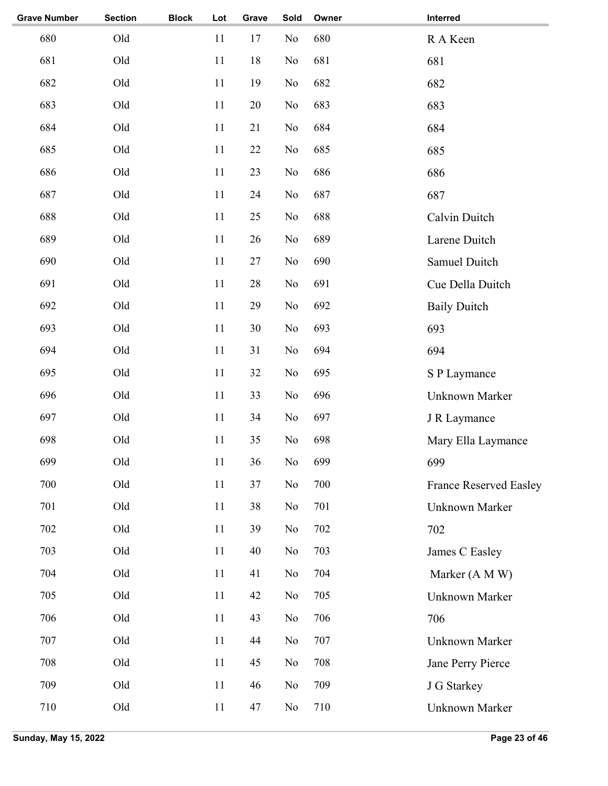| <b>Grave Number</b> | <b>Section</b> | <b>Block</b> | Lot | Grave | Sold           | Owner | Interred                      |
|---------------------|----------------|--------------|-----|-------|----------------|-------|-------------------------------|
| 680                 | Old            |              | 11  | 17    | N <sub>o</sub> | 680   | R A Keen                      |
| 681                 | Old            |              | 11  | 18    | N <sub>o</sub> | 681   | 681                           |
| 682                 | Old            |              | 11  | 19    | No             | 682   | 682                           |
| 683                 | Old            |              | 11  | 20    | N <sub>o</sub> | 683   | 683                           |
| 684                 | Old            |              | 11  | 21    | N <sub>o</sub> | 684   | 684                           |
| 685                 | Old            |              | 11  | 22    | N <sub>o</sub> | 685   | 685                           |
| 686                 | Old            |              | 11  | 23    | N <sub>o</sub> | 686   | 686                           |
| 687                 | Old            |              | 11  | 24    | N <sub>o</sub> | 687   | 687                           |
| 688                 | Old            |              | 11  | 25    | No             | 688   | Calvin Duitch                 |
| 689                 | Old            |              | 11  | 26    | No             | 689   | Larene Duitch                 |
| 690                 | Old            |              | 11  | 27    | No             | 690   | Samuel Duitch                 |
| 691                 | Old            |              | 11  | 28    | N <sub>o</sub> | 691   | Cue Della Duitch              |
| 692                 | Old            |              | 11  | 29    | N <sub>o</sub> | 692   | <b>Baily Duitch</b>           |
| 693                 | Old            |              | 11  | 30    | N <sub>o</sub> | 693   | 693                           |
| 694                 | Old            |              | 11  | 31    | No             | 694   | 694                           |
| 695                 | Old            |              | 11  | 32    | N <sub>o</sub> | 695   | S P Laymance                  |
| 696                 | Old            |              | 11  | 33    | N <sub>o</sub> | 696   | Unknown Marker                |
| 697                 | Old            |              | 11  | 34    | No             | 697   | J R Laymance                  |
| 698                 | Old            |              | 11  | 35    | No             | 698   | Mary Ella Laymance            |
| 699                 | Old            |              | 11  | 36    | $\rm No$       | 699   | 699                           |
| 700                 | Old            |              | 11  | 37    | N <sub>o</sub> | 700   | <b>France Reserved Easley</b> |
| 701                 | Old            |              | 11  | 38    | N <sub>o</sub> | 701   | Unknown Marker                |
| 702                 | Old            |              | 11  | 39    | No             | 702   | 702                           |
| 703                 | Old            |              | 11  | 40    | N <sub>o</sub> | 703   | James C Easley                |
| 704                 | Old            |              | 11  | 41    | No             | 704   | Marker (A M W)                |
| 705                 | Old            |              | 11  | 42    | N <sub>o</sub> | 705   | Unknown Marker                |
| 706                 | Old            |              | 11  | 43    | N <sub>o</sub> | 706   | 706                           |
| 707                 | Old            |              | 11  | 44    | N <sub>o</sub> | 707   | Unknown Marker                |
| 708                 | Old            |              | 11  | 45    | No             | 708   | Jane Perry Pierce             |
| 709                 | Old            |              | 11  | 46    | N <sub>o</sub> | 709   | J G Starkey                   |
| 710                 | Old            |              | 11  | 47    | No             | 710   | <b>Unknown Marker</b>         |
|                     |                |              |     |       |                |       |                               |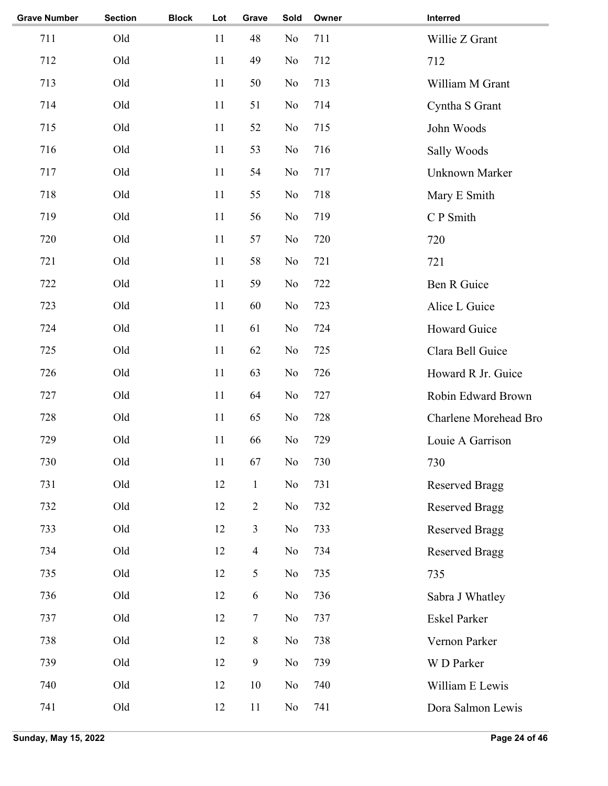| <b>Section</b> | <b>Block</b> | Lot    | Grave            | Sold     | Owner | Interred              |
|----------------|--------------|--------|------------------|----------|-------|-----------------------|
| Old            |              | 11     | 48               | No       | 711   | Willie Z Grant        |
| Old            |              | 11     | 49               | No       | 712   | 712                   |
| Old            |              | 11     | 50               | No       | 713   | William M Grant       |
| Old            |              | 11     | 51               | No       | 714   | Cyntha S Grant        |
| Old            |              | 11     | 52               | No       | 715   | John Woods            |
| Old            |              | 11     | 53               | No       | 716   | Sally Woods           |
| Old            |              | 11     | 54               | No       | 717   | <b>Unknown Marker</b> |
| Old            |              | 11     | 55               | No       | 718   | Mary E Smith          |
| Old            |              | 11     | 56               | No       | 719   | C P Smith             |
| Old            |              | 11     | 57               | No       | 720   | 720                   |
| Old            |              | 11     | 58               | No       | 721   | 721                   |
| Old            |              | 11     | 59               | No       | 722   | Ben R Guice           |
| Old            |              | 11     | 60               | No       | 723   | Alice L Guice         |
| Old            |              | 11     | 61               | No       | 724   | Howard Guice          |
| Old            |              | 11     | 62               | No       | 725   | Clara Bell Guice      |
| Old            |              | 11     | 63               | No       | 726   | Howard R Jr. Guice    |
| Old            |              | 11     | 64               | No       | 727   | Robin Edward Brown    |
| Old            |              | 11     | 65               | No       | 728   | Charlene Morehead Bro |
| Old            |              | 11     | 66               | No       | 729   | Louie A Garrison      |
| Old            |              | $11\,$ | 67               | $\rm No$ | 730   | 730                   |
| Old            |              | 12     | $\mathbf{1}$     | No       | 731   | <b>Reserved Bragg</b> |
| Old            |              | 12     | $\mathbf{2}$     | No       | 732   | <b>Reserved Bragg</b> |
| Old            |              | 12     | $\mathfrak{Z}$   | No       | 733   | <b>Reserved Bragg</b> |
| Old            |              | 12     | $\overline{4}$   | No       | 734   | <b>Reserved Bragg</b> |
| Old            |              | 12     | 5                | No       | 735   | 735                   |
| Old            |              | 12     | 6                | No       | 736   | Sabra J Whatley       |
| Old            |              | 12     | $\tau$           | No       | 737   | <b>Eskel Parker</b>   |
| Old            |              | 12     | $8\,$            | No       | 738   | Vernon Parker         |
| Old            |              | 12     | $\boldsymbol{9}$ | No       | 739   | W D Parker            |
| Old            |              | 12     | 10               | No       | 740   | William E Lewis       |
| Old            |              | 12     | 11               | No       | 741   | Dora Salmon Lewis     |
|                |              |        |                  |          |       |                       |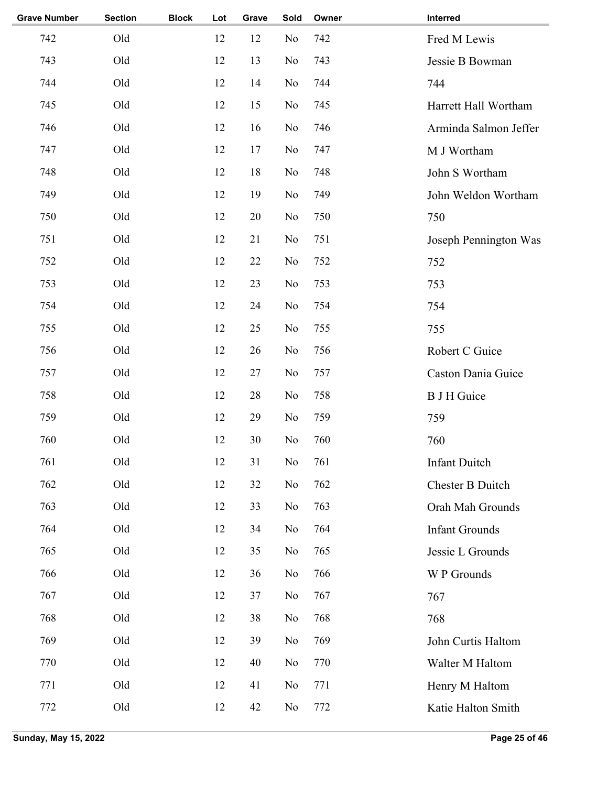| <b>Grave Number</b> | <b>Section</b> | <b>Block</b> | Lot | Grave | Sold           | Owner | Interred              |
|---------------------|----------------|--------------|-----|-------|----------------|-------|-----------------------|
| 742                 | Old            |              | 12  | 12    | N <sub>o</sub> | 742   | Fred M Lewis          |
| 743                 | Old            |              | 12  | 13    | No             | 743   | Jessie B Bowman       |
| 744                 | Old            |              | 12  | 14    | N <sub>o</sub> | 744   | 744                   |
| 745                 | Old            |              | 12  | 15    | No             | 745   | Harrett Hall Wortham  |
| 746                 | Old            |              | 12  | 16    | No             | 746   | Arminda Salmon Jeffer |
| 747                 | Old            |              | 12  | 17    | No             | 747   | M J Wortham           |
| 748                 | Old            |              | 12  | 18    | No             | 748   | John S Wortham        |
| 749                 | Old            |              | 12  | 19    | No             | 749   | John Weldon Wortham   |
| 750                 | Old            |              | 12  | 20    | N <sub>o</sub> | 750   | 750                   |
| 751                 | Old            |              | 12  | 21    | N <sub>o</sub> | 751   | Joseph Pennington Was |
| 752                 | Old            |              | 12  | 22    | N <sub>o</sub> | 752   | 752                   |
| 753                 | Old            |              | 12  | 23    | No             | 753   | 753                   |
| 754                 | Old            |              | 12  | 24    | No             | 754   | 754                   |
| 755                 | Old            |              | 12  | 25    | No             | 755   | 755                   |
| 756                 | Old            |              | 12  | 26    | No             | 756   | Robert C Guice        |
| 757                 | Old            |              | 12  | 27    | No             | 757   | Caston Dania Guice    |
| 758                 | Old            |              | 12  | 28    | No             | 758   | <b>B J H Guice</b>    |
| 759                 | Old            |              | 12  | 29    | N <sub>o</sub> | 759   | 759                   |
| 760                 | Old            |              | 12  | 30    | No             | 760   | 760                   |
| 761                 | Old            |              | 12  | 31    | No             | 761   | <b>Infant Duitch</b>  |
| 762                 | Old            |              | 12  | 32    | N <sub>o</sub> | 762   | Chester B Duitch      |
| 763                 | Old            |              | 12  | 33    | N <sub>o</sub> | 763   | Orah Mah Grounds      |
| 764                 | Old            |              | 12  | 34    | N <sub>o</sub> | 764   | <b>Infant Grounds</b> |
| 765                 | Old            |              | 12  | 35    | No             | 765   | Jessie L Grounds      |
| 766                 | Old            |              | 12  | 36    | N <sub>o</sub> | 766   | W P Grounds           |
| 767                 | Old            |              | 12  | 37    | No             | 767   | 767                   |
| 768                 | Old            |              | 12  | 38    | No             | 768   | 768                   |
| 769                 | Old            |              | 12  | 39    | N <sub>o</sub> | 769   | John Curtis Haltom    |
| 770                 | Old            |              | 12  | 40    | N <sub>o</sub> | 770   | Walter M Haltom       |
| 771                 | Old            |              | 12  | 41    | N <sub>o</sub> | 771   | Henry M Haltom        |
| 772                 | Old            |              | 12  | 42    | N <sub>o</sub> | 772   | Katie Halton Smith    |
|                     |                |              |     |       |                |       |                       |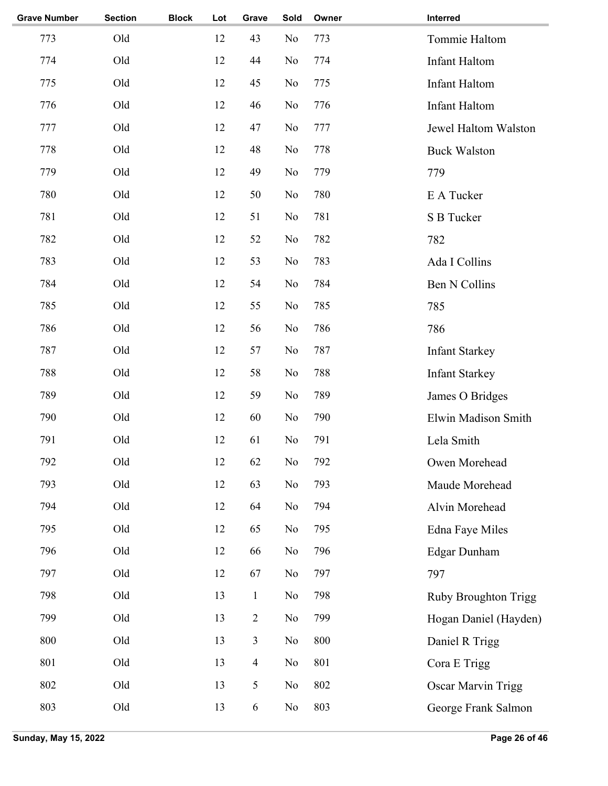| <b>Grave Number</b> | <b>Section</b> | <b>Block</b> | Lot | Grave         | Sold           | Owner | Interred                  |
|---------------------|----------------|--------------|-----|---------------|----------------|-------|---------------------------|
| 773                 | Old            |              | 12  | 43            | N <sub>o</sub> | 773   | Tommie Haltom             |
| 774                 | Old            |              | 12  | 44            | N <sub>o</sub> | 774   | <b>Infant Haltom</b>      |
| 775                 | Old            |              | 12  | 45            | N <sub>o</sub> | 775   | <b>Infant Haltom</b>      |
| 776                 | Old            |              | 12  | 46            | N <sub>o</sub> | 776   | <b>Infant Haltom</b>      |
| 777                 | Old            |              | 12  | 47            | N <sub>o</sub> | 777   | Jewel Haltom Walston      |
| 778                 | Old            |              | 12  | 48            | N <sub>o</sub> | 778   | <b>Buck Walston</b>       |
| 779                 | Old            |              | 12  | 49            | N <sub>o</sub> | 779   | 779                       |
| 780                 | Old            |              | 12  | 50            | No             | 780   | E A Tucker                |
| 781                 | Old            |              | 12  | 51            | N <sub>o</sub> | 781   | S B Tucker                |
| 782                 | Old            |              | 12  | 52            | N <sub>o</sub> | 782   | 782                       |
| 783                 | Old            |              | 12  | 53            | N <sub>o</sub> | 783   | Ada I Collins             |
| 784                 | Old            |              | 12  | 54            | No             | 784   | <b>Ben N Collins</b>      |
| 785                 | Old            |              | 12  | 55            | N <sub>o</sub> | 785   | 785                       |
| 786                 | Old            |              | 12  | 56            | No             | 786   | 786                       |
| 787                 | Old            |              | 12  | 57            | N <sub>o</sub> | 787   | <b>Infant Starkey</b>     |
| 788                 | Old            |              | 12  | 58            | No             | 788   | <b>Infant Starkey</b>     |
| 789                 | Old            |              | 12  | 59            | N <sub>o</sub> | 789   | James O Bridges           |
| 790                 | Old            |              | 12  | 60            | N <sub>o</sub> | 790   | Elwin Madison Smith       |
| 791                 | Old            |              | 12  | 61            | No             | 791   | Lela Smith                |
| 792                 | Old            |              | 12  | 62            | No             | 792   | Owen Morehead             |
| 793                 | Old            |              | 12  | 63            | No             | 793   | Maude Morehead            |
| 794                 | Old            |              | 12  | 64            | No             | 794   | Alvin Morehead            |
| 795                 | Old            |              | 12  | 65            | No             | 795   | Edna Faye Miles           |
| 796                 | Old            |              | 12  | 66            | N <sub>o</sub> | 796   | Edgar Dunham              |
| 797                 | Old            |              | 12  | 67            | No             | 797   | 797                       |
| 798                 | Old            |              | 13  | $\mathbbm{1}$ | No             | 798   | Ruby Broughton Trigg      |
| 799                 | Old            |              | 13  | $\sqrt{2}$    | No             | 799   | Hogan Daniel (Hayden)     |
| 800                 | Old            |              | 13  | 3             | N <sub>o</sub> | 800   | Daniel R Trigg            |
| 801                 | Old            |              | 13  | 4             | No             | 801   | Cora E Trigg              |
| 802                 | Old            |              | 13  | 5             | N <sub>o</sub> | 802   | <b>Oscar Marvin Trigg</b> |
| 803                 | Old            |              | 13  | 6             | N <sub>0</sub> | 803   | George Frank Salmon       |
|                     |                |              |     |               |                |       |                           |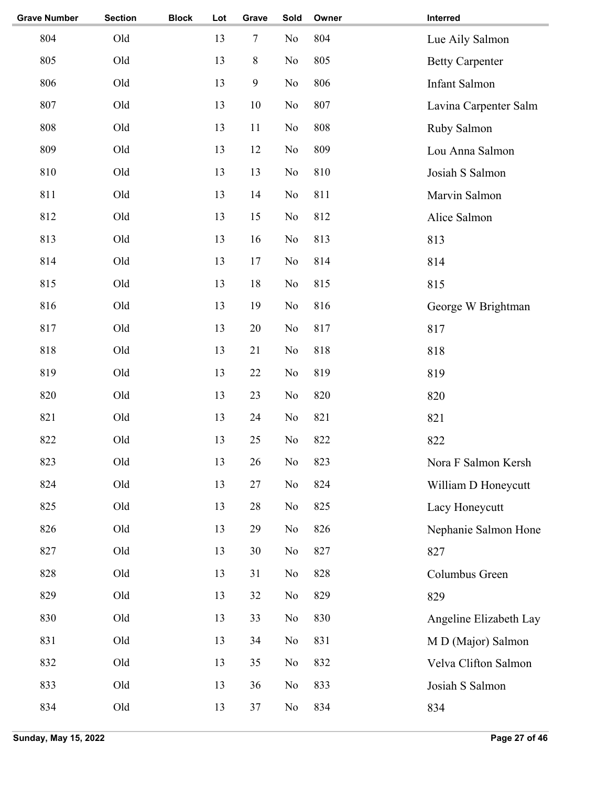| <b>Grave Number</b> | <b>Section</b> | <b>Block</b> | Lot | Grave        | Sold | Owner | Interred               |
|---------------------|----------------|--------------|-----|--------------|------|-------|------------------------|
| 804                 | Old            |              | 13  | $\tau$       | No   | 804   | Lue Aily Salmon        |
| 805                 | Old            |              | 13  | $8\,$        | No   | 805   | <b>Betty Carpenter</b> |
| 806                 | Old            |              | 13  | $\mathbf{9}$ | No   | 806   | Infant Salmon          |
| 807                 | Old            |              | 13  | $10\,$       | No   | 807   | Lavina Carpenter Salm  |
| 808                 | Old            |              | 13  | 11           | No   | 808   | Ruby Salmon            |
| 809                 | Old            |              | 13  | 12           | No   | 809   | Lou Anna Salmon        |
| 810                 | Old            |              | 13  | 13           | No   | 810   | Josiah S Salmon        |
| 811                 | Old            |              | 13  | 14           | No   | 811   | Marvin Salmon          |
| 812                 | Old            |              | 13  | 15           | No   | 812   | Alice Salmon           |
| 813                 | Old            |              | 13  | 16           | No   | 813   | 813                    |
| 814                 | Old            |              | 13  | 17           | No   | 814   | 814                    |
| 815                 | Old            |              | 13  | 18           | No   | 815   | 815                    |
| 816                 | Old            |              | 13  | 19           | No   | 816   | George W Brightman     |
| 817                 | Old            |              | 13  | 20           | No   | 817   | 817                    |
| 818                 | Old            |              | 13  | 21           | No   | 818   | 818                    |
| 819                 | Old            |              | 13  | 22           | No   | 819   | 819                    |
| 820                 | Old            |              | 13  | 23           | No   | 820   | 820                    |
| 821                 | Old            |              | 13  | 24           | No   | 821   | 821                    |
| 822                 | Old            |              | 13  | 25           | No   | 822   | 822                    |
| 823                 | Old            |              | 13  | 26           | No   | 823   | Nora F Salmon Kersh    |
| 824                 | Old            |              | 13  | $27\,$       | No   | 824   | William D Honeycutt    |
| 825                 | Old            |              | 13  | $28\,$       | No   | 825   | Lacy Honeycutt         |
| 826                 | Old            |              | 13  | 29           | No   | 826   | Nephanie Salmon Hone   |
| 827                 | Old            |              | 13  | 30           | No   | 827   | 827                    |
| 828                 | Old            |              | 13  | 31           | No   | 828   | Columbus Green         |
| 829                 | Old            |              | 13  | 32           | No   | 829   | 829                    |
| 830                 | Old            |              | 13  | 33           | No   | 830   | Angeline Elizabeth Lay |
| 831                 | Old            |              | 13  | 34           | No   | 831   | M D (Major) Salmon     |
| 832                 | Old            |              | 13  | 35           | No   | 832   | Velva Clifton Salmon   |
| 833                 | Old            |              | 13  | 36           | No   | 833   | Josiah S Salmon        |
| 834                 | Old            |              | 13  | 37           | No   | 834   | 834                    |
|                     |                |              |     |              |      |       |                        |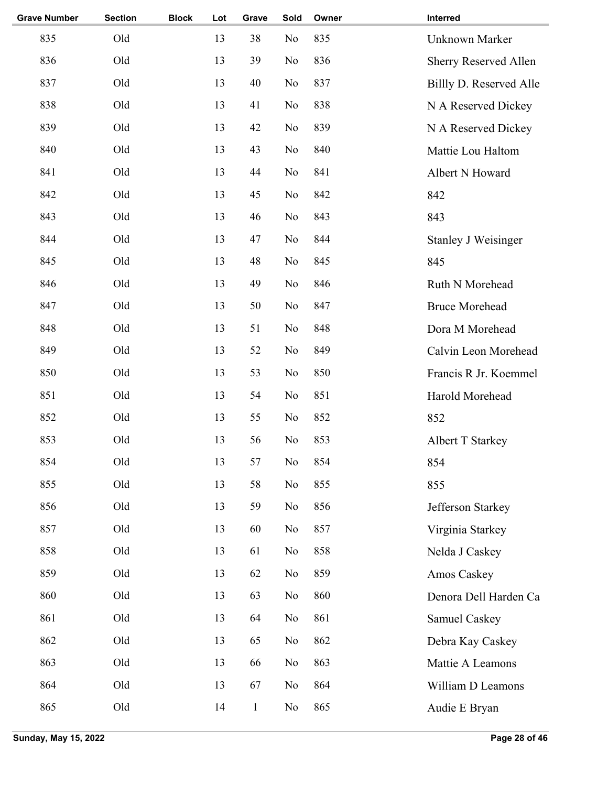| <b>Grave Number</b> | <b>Section</b> | <b>Block</b> | Lot | Grave        | Sold           | Owner | Interred                   |
|---------------------|----------------|--------------|-----|--------------|----------------|-------|----------------------------|
| 835                 | Old            |              | 13  | 38           | No             | 835   | <b>Unknown Marker</b>      |
| 836                 | Old            |              | 13  | 39           | No             | 836   | Sherry Reserved Allen      |
| 837                 | Old            |              | 13  | 40           | No             | 837   | Billly D. Reserved Alle    |
| 838                 | Old            |              | 13  | 41           | N <sub>o</sub> | 838   | N A Reserved Dickey        |
| 839                 | Old            |              | 13  | 42           | No             | 839   | N A Reserved Dickey        |
| 840                 | Old            |              | 13  | 43           | No             | 840   | Mattie Lou Haltom          |
| 841                 | Old            |              | 13  | 44           | No             | 841   | Albert N Howard            |
| 842                 | Old            |              | 13  | 45           | No             | 842   | 842                        |
| 843                 | Old            |              | 13  | 46           | No             | 843   | 843                        |
| 844                 | Old            |              | 13  | 47           | N <sub>o</sub> | 844   | <b>Stanley J Weisinger</b> |
| 845                 | Old            |              | 13  | 48           | No             | 845   | 845                        |
| 846                 | Old            |              | 13  | 49           | N <sub>o</sub> | 846   | Ruth N Morehead            |
| 847                 | Old            |              | 13  | 50           | No             | 847   | <b>Bruce Morehead</b>      |
| 848                 | Old            |              | 13  | 51           | No             | 848   | Dora M Morehead            |
| 849                 | Old            |              | 13  | 52           | No             | 849   | Calvin Leon Morehead       |
| 850                 | Old            |              | 13  | 53           | No             | 850   | Francis R Jr. Koemmel      |
| 851                 | Old            |              | 13  | 54           | No             | 851   | Harold Morehead            |
| 852                 | Old            |              | 13  | 55           | N <sub>o</sub> | 852   | 852                        |
| 853                 | Old            |              | 13  | 56           | No             | 853   | <b>Albert T Starkey</b>    |
| 854                 | Old            |              | 13  | 57           | No             | 854   | 854                        |
| 855                 | Old            |              | 13  | 58           | No             | 855   | 855                        |
| 856                 | Old            |              | 13  | 59           | N <sub>o</sub> | 856   | Jefferson Starkey          |
| 857                 | Old            |              | 13  | 60           | No             | 857   | Virginia Starkey           |
| 858                 | Old            |              | 13  | 61           | No             | 858   | Nelda J Caskey             |
| 859                 | Old            |              | 13  | 62           | No             | 859   | Amos Caskey                |
| 860                 | Old            |              | 13  | 63           | No             | 860   | Denora Dell Harden Ca      |
| 861                 | Old            |              | 13  | 64           | No             | 861   | Samuel Caskey              |
| 862                 | Old            |              | 13  | 65           | No             | 862   | Debra Kay Caskey           |
| 863                 | Old            |              | 13  | 66           | No             | 863   | Mattie A Leamons           |
| 864                 | Old            |              | 13  | 67           | N <sub>o</sub> | 864   | William D Leamons          |
| 865                 | Old            |              | 14  | $\mathbf{1}$ | No             | 865   | Audie E Bryan              |
|                     |                |              |     |              |                |       |                            |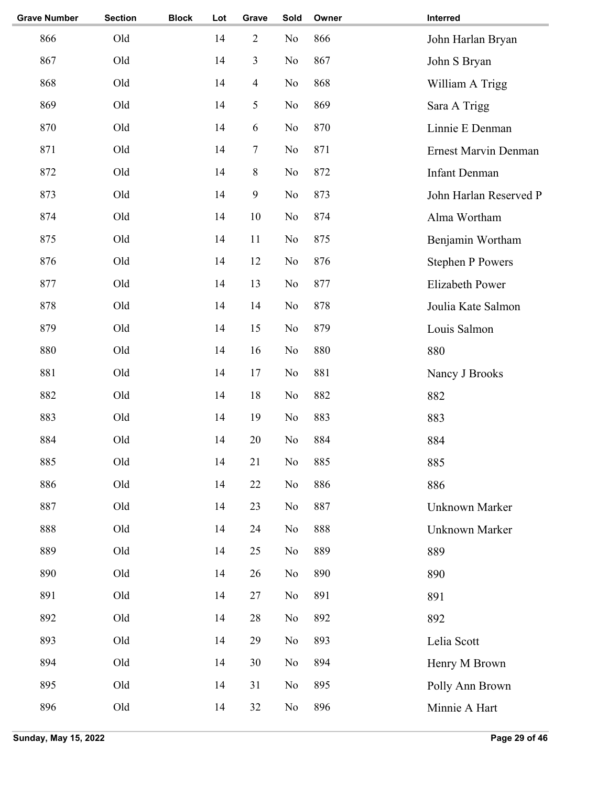| <b>Grave Number</b> | <b>Section</b> | <b>Block</b> | Lot | Grave                   | Sold | Owner | Interred                |
|---------------------|----------------|--------------|-----|-------------------------|------|-------|-------------------------|
| 866                 | Old            |              | 14  | $\overline{2}$          | No   | 866   | John Harlan Bryan       |
| 867                 | Old            |              | 14  | $\overline{\mathbf{3}}$ | No   | 867   | John S Bryan            |
| 868                 | Old            |              | 14  | $\overline{4}$          | No   | 868   | William A Trigg         |
| 869                 | Old            |              | 14  | 5                       | No   | 869   | Sara A Trigg            |
| 870                 | Old            |              | 14  | 6                       | No   | 870   | Linnie E Denman         |
| 871                 | Old            |              | 14  | $\boldsymbol{7}$        | No   | 871   | Ernest Marvin Denman    |
| 872                 | Old            |              | 14  | $8\,$                   | No   | 872   | <b>Infant Denman</b>    |
| 873                 | Old            |              | 14  | 9                       | No   | 873   | John Harlan Reserved P  |
| 874                 | Old            |              | 14  | 10                      | No   | 874   | Alma Wortham            |
| 875                 | Old            |              | 14  | 11                      | No   | 875   | Benjamin Wortham        |
| 876                 | Old            |              | 14  | $12\,$                  | No   | 876   | <b>Stephen P Powers</b> |
| 877                 | Old            |              | 14  | 13                      | No   | 877   | <b>Elizabeth Power</b>  |
| 878                 | Old            |              | 14  | 14                      | No   | 878   | Joulia Kate Salmon      |
| 879                 | Old            |              | 14  | 15                      | No   | 879   | Louis Salmon            |
| 880                 | Old            |              | 14  | 16                      | No   | 880   | 880                     |
| 881                 | Old            |              | 14  | 17                      | No   | 881   | Nancy J Brooks          |
| 882                 | Old            |              | 14  | 18                      | No   | 882   | 882                     |
| 883                 | Old            |              | 14  | 19                      | No   | 883   | 883                     |
| 884                 | Old            |              | 14  | 20                      | No   | 884   | 884                     |
| 885                 | Old            |              | 14  | 21                      | No   | 885   | 885                     |
| 886                 | Old            |              | 14  | 22                      | No   | 886   | 886                     |
| 887                 | Old            |              | 14  | 23                      | No   | 887   | Unknown Marker          |
| 888                 | Old            |              | 14  | 24                      | No   | 888   | Unknown Marker          |
| 889                 | Old            |              | 14  | 25                      | No   | 889   | 889                     |
| 890                 | Old            |              | 14  | 26                      | No   | 890   | 890                     |
| 891                 | Old            |              | 14  | 27                      | No   | 891   | 891                     |
| 892                 | Old            |              | 14  | $28\,$                  | No   | 892   | 892                     |
| 893                 | Old            |              | 14  | 29                      | No   | 893   | Lelia Scott             |
| 894                 | Old            |              | 14  | 30                      | No   | 894   | Henry M Brown           |
| 895                 | Old            |              | 14  | 31                      | No   | 895   | Polly Ann Brown         |
| 896                 | Old            |              | 14  | 32                      | No   | 896   | Minnie A Hart           |
|                     |                |              |     |                         |      |       |                         |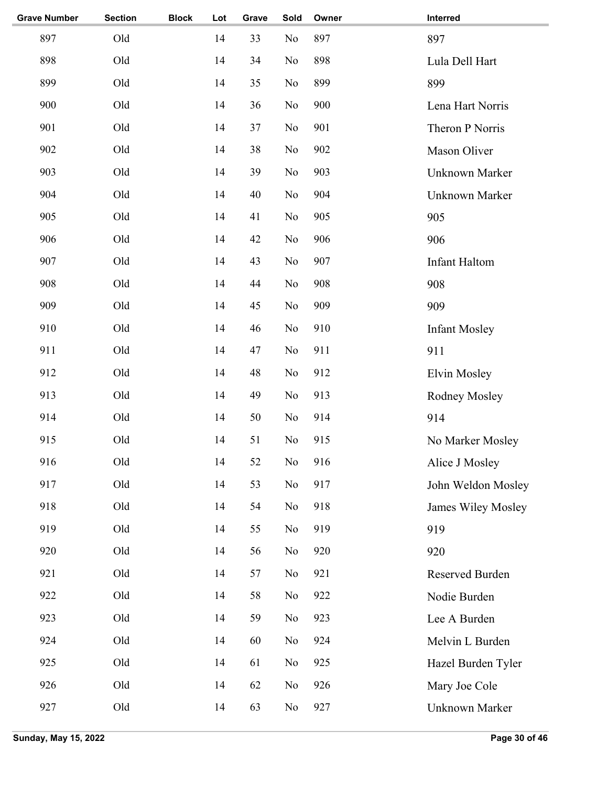| <b>Grave Number</b> | <b>Section</b> | <b>Block</b> | Lot | Grave | Sold           | Owner | Interred             |
|---------------------|----------------|--------------|-----|-------|----------------|-------|----------------------|
| 897                 | Old            |              | 14  | 33    | N <sub>o</sub> | 897   | 897                  |
| 898                 | Old            |              | 14  | 34    | N <sub>o</sub> | 898   | Lula Dell Hart       |
| 899                 | Old            |              | 14  | 35    | N <sub>o</sub> | 899   | 899                  |
| 900                 | Old            |              | 14  | 36    | No             | 900   | Lena Hart Norris     |
| 901                 | Old            |              | 14  | 37    | N <sub>o</sub> | 901   | Theron P Norris      |
| 902                 | Old            |              | 14  | 38    | N <sub>o</sub> | 902   | Mason Oliver         |
| 903                 | Old            |              | 14  | 39    | N <sub>o</sub> | 903   | Unknown Marker       |
| 904                 | Old            |              | 14  | 40    | N <sub>o</sub> | 904   | Unknown Marker       |
| 905                 | Old            |              | 14  | 41    | N <sub>o</sub> | 905   | 905                  |
| 906                 | Old            |              | 14  | 42    | N <sub>o</sub> | 906   | 906                  |
| 907                 | Old            |              | 14  | 43    | N <sub>o</sub> | 907   | <b>Infant Haltom</b> |
| 908                 | Old            |              | 14  | 44    | N <sub>o</sub> | 908   | 908                  |
| 909                 | Old            |              | 14  | 45    | N <sub>o</sub> | 909   | 909                  |
| 910                 | Old            |              | 14  | 46    | N <sub>o</sub> | 910   | <b>Infant Mosley</b> |
| 911                 | Old            |              | 14  | 47    | N <sub>o</sub> | 911   | 911                  |
| 912                 | Old            |              | 14  | 48    | N <sub>o</sub> | 912   | Elvin Mosley         |
| 913                 | Old            |              | 14  | 49    | N <sub>o</sub> | 913   | Rodney Mosley        |
| 914                 | Old            |              | 14  | 50    | N <sub>o</sub> | 914   | 914                  |
| 915                 | Old            |              | 14  | 51    | N <sub>o</sub> | 915   | No Marker Mosley     |
| 916                 | Old            |              | 14  | 52    | No             | 916   | Alice J Mosley       |
| 917                 | Old            |              | 14  | 53    | No             | 917   | John Weldon Mosley   |
| 918                 | Old            |              | 14  | 54    | No             | 918   | James Wiley Mosley   |
| 919                 | Old            |              | 14  | 55    | No             | 919   | 919                  |
| 920                 | Old            |              | 14  | 56    | No             | 920   | 920                  |
| 921                 | Old            |              | 14  | 57    | No             | 921   | Reserved Burden      |
| 922                 | Old            |              | 14  | 58    | No             | 922   | Nodie Burden         |
| 923                 | Old            |              | 14  | 59    | No             | 923   | Lee A Burden         |
| 924                 | Old            |              | 14  | 60    | No             | 924   | Melvin L Burden      |
| 925                 | Old            |              | 14  | 61    | No             | 925   | Hazel Burden Tyler   |
| 926                 | Old            |              | 14  | 62    | No             | 926   | Mary Joe Cole        |
| 927                 | Old            |              | 14  | 63    | No             | 927   | Unknown Marker       |
|                     |                |              |     |       |                |       |                      |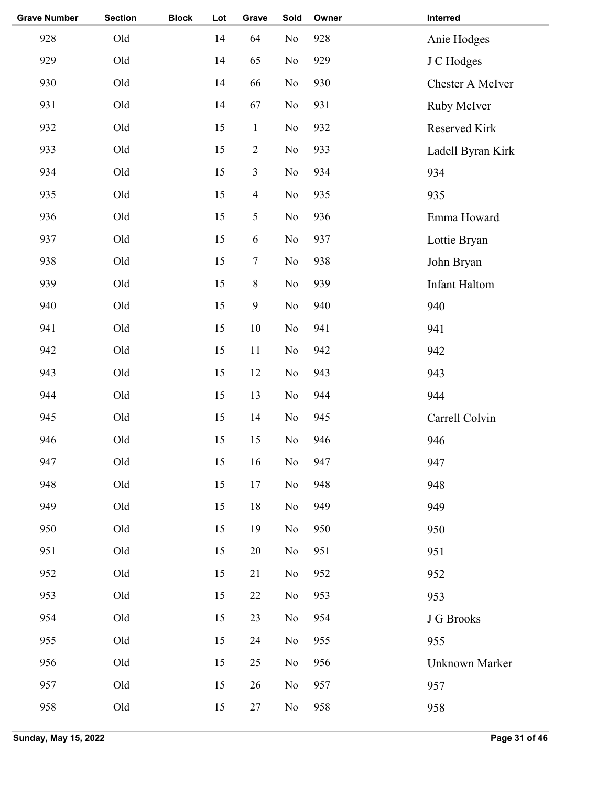| <b>Grave Number</b> | <b>Section</b> | <b>Block</b> | Lot    | Grave            | Sold           | Owner | Interred          |
|---------------------|----------------|--------------|--------|------------------|----------------|-------|-------------------|
| 928                 | Old            |              | 14     | 64               | No             | 928   | Anie Hodges       |
| 929                 | Old            |              | 14     | 65               | No             | 929   | J C Hodges        |
| 930                 | Old            |              | 14     | 66               | No             | 930   | Chester A McIver  |
| 931                 | Old            |              | 14     | 67               | No             | 931   | Ruby McIver       |
| 932                 | Old            |              | 15     | $\mathbf{1}$     | No             | 932   | Reserved Kirk     |
| 933                 | Old            |              | 15     | $\sqrt{2}$       | No             | 933   | Ladell Byran Kirk |
| 934                 | Old            |              | 15     | 3                | No             | 934   | 934               |
| 935                 | Old            |              | 15     | $\overline{4}$   | No             | 935   | 935               |
| 936                 | Old            |              | 15     | 5                | No             | 936   | Emma Howard       |
| 937                 | Old            |              | 15     | $\sqrt{6}$       | No             | 937   | Lottie Bryan      |
| 938                 | Old            |              | 15     | $\boldsymbol{7}$ | N <sub>0</sub> | 938   | John Bryan        |
| 939                 | Old            |              | 15     | $8\,$            | No             | 939   | Infant Haltom     |
| 940                 | Old            |              | 15     | $\mathbf{9}$     | No             | 940   | 940               |
| 941                 | Old            |              | 15     | 10               | No             | 941   | 941               |
| 942                 | Old            |              | 15     | 11               | No             | 942   | 942               |
| 943                 | Old            |              | 15     | 12               | No             | 943   | 943               |
| 944                 | Old            |              | 15     | 13               | N <sub>o</sub> | 944   | 944               |
| 945                 | Old            |              | 15     | 14               | No             | 945   | Carrell Colvin    |
| 946                 | Old            |              | 15     | 15               | No             | 946   | 946               |
| 947                 | Old            |              | $15\,$ | 16               | $\rm No$       | 947   | 947               |
| 948                 | Old            |              | 15     | 17               | No             | 948   | 948               |
| 949                 | Old            |              | 15     | 18               | No             | 949   | 949               |
| 950                 | Old            |              | 15     | 19               | No             | 950   | 950               |
| 951                 | Old            |              | 15     | 20               | No             | 951   | 951               |
| 952                 | Old            |              | 15     | 21               | No             | 952   | 952               |
| 953                 | Old            |              | 15     | 22               | No             | 953   | 953               |
| 954                 | Old            |              | 15     | 23               | No             | 954   | J G Brooks        |
| 955                 | Old            |              | 15     | 24               | No             | 955   | 955               |
| 956                 | Old            |              | 15     | 25               | No             | 956   | Unknown Marker    |
| 957                 | Old            |              | 15     | 26               | No             | 957   | 957               |
| 958                 | Old            |              | 15     | $27\,$           | N <sub>0</sub> | 958   | 958               |
|                     |                |              |        |                  |                |       |                   |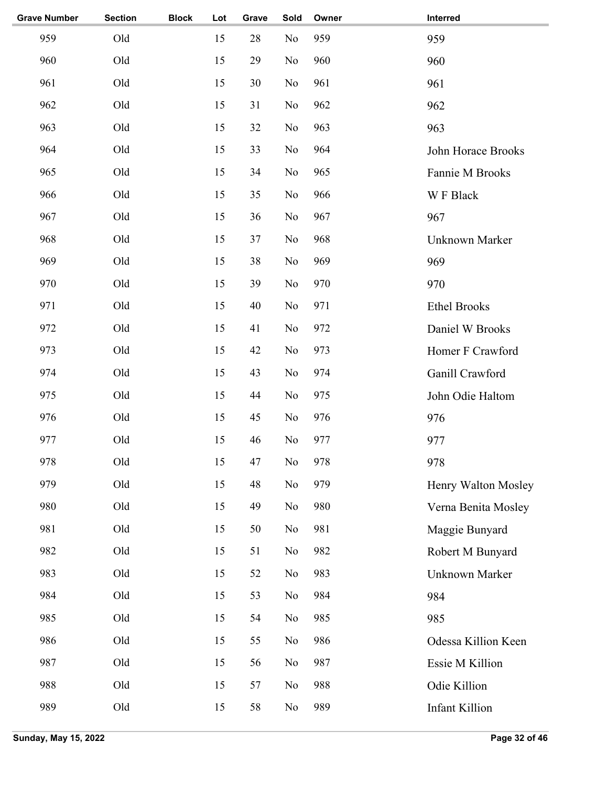| <b>Grave Number</b> | <b>Section</b> | <b>Block</b> | Lot | Grave | Sold           | Owner | Interred              |
|---------------------|----------------|--------------|-----|-------|----------------|-------|-----------------------|
| 959                 | Old            |              | 15  | 28    | No             | 959   | 959                   |
| 960                 | Old            |              | 15  | 29    | No             | 960   | 960                   |
| 961                 | Old            |              | 15  | 30    | No             | 961   | 961                   |
| 962                 | Old            |              | 15  | 31    | No             | 962   | 962                   |
| 963                 | Old            |              | 15  | 32    | No             | 963   | 963                   |
| 964                 | Old            |              | 15  | 33    | N <sub>o</sub> | 964   | John Horace Brooks    |
| 965                 | Old            |              | 15  | 34    | N <sub>o</sub> | 965   | Fannie M Brooks       |
| 966                 | Old            |              | 15  | 35    | No             | 966   | W F Black             |
| 967                 | Old            |              | 15  | 36    | No             | 967   | 967                   |
| 968                 | Old            |              | 15  | 37    | No             | 968   | <b>Unknown Marker</b> |
| 969                 | Old            |              | 15  | 38    | No             | 969   | 969                   |
| 970                 | Old            |              | 15  | 39    | No             | 970   | 970                   |
| 971                 | Old            |              | 15  | 40    | No             | 971   | <b>Ethel Brooks</b>   |
| 972                 | Old            |              | 15  | 41    | No             | 972   | Daniel W Brooks       |
| 973                 | Old            |              | 15  | 42    | No             | 973   | Homer F Crawford      |
| 974                 | Old            |              | 15  | 43    | No             | 974   | Ganill Crawford       |
| 975                 | Old            |              | 15  | 44    | No             | 975   | John Odie Haltom      |
| 976                 | Old            |              | 15  | 45    | No             | 976   | 976                   |
| 977                 | Old            |              | 15  | 46    | No             | 977   | 977                   |
| 978                 | Old            |              | 15  | 47    | No             | 978   | 978                   |
| 979                 | Old            |              | 15  | 48    | No             | 979   | Henry Walton Mosley   |
| 980                 | Old            |              | 15  | 49    | No             | 980   | Verna Benita Mosley   |
| 981                 | Old            |              | 15  | 50    | No             | 981   | Maggie Bunyard        |
| 982                 | Old            |              | 15  | 51    | No             | 982   | Robert M Bunyard      |
| 983                 | Old            |              | 15  | 52    | No             | 983   | Unknown Marker        |
| 984                 | Old            |              | 15  | 53    | No             | 984   | 984                   |
| 985                 | Old            |              | 15  | 54    | No             | 985   | 985                   |
| 986                 | Old            |              | 15  | 55    | No             | 986   | Odessa Killion Keen   |
| 987                 | Old            |              | 15  | 56    | No             | 987   | Essie M Killion       |
| 988                 | Old            |              | 15  | 57    | No             | 988   | Odie Killion          |
| 989                 | Old            |              | 15  | 58    | No             | 989   | <b>Infant Killion</b> |
|                     |                |              |     |       |                |       |                       |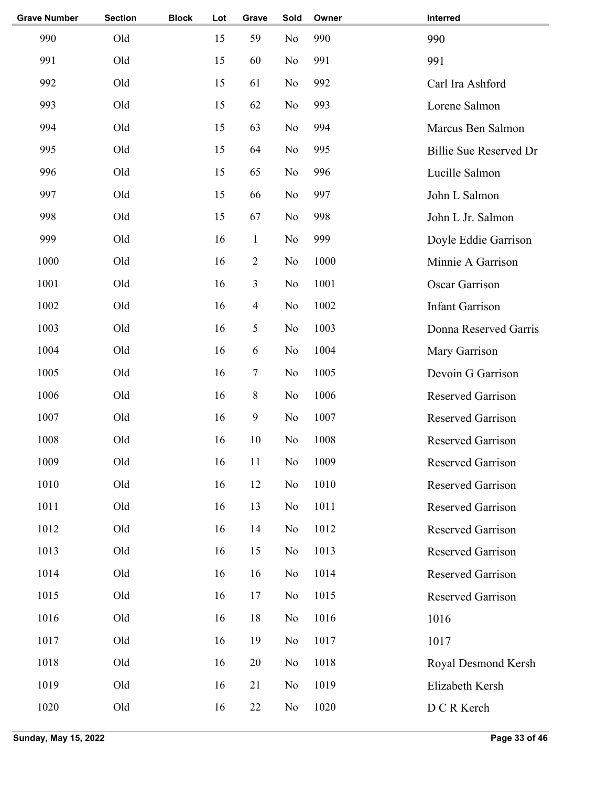| <b>Grave Number</b> | <b>Section</b> | <b>Block</b> | Lot | Grave          | Sold           | Owner | Interred                 |
|---------------------|----------------|--------------|-----|----------------|----------------|-------|--------------------------|
| 990                 | Old            |              | 15  | 59             | N <sub>o</sub> | 990   | 990                      |
| 991                 | Old            |              | 15  | 60             | No             | 991   | 991                      |
| 992                 | Old            |              | 15  | 61             | No             | 992   | Carl Ira Ashford         |
| 993                 | Old            |              | 15  | 62             | No             | 993   | Lorene Salmon            |
| 994                 | Old            |              | 15  | 63             | No             | 994   | Marcus Ben Salmon        |
| 995                 | Old            |              | 15  | 64             | N <sub>o</sub> | 995   | Billie Sue Reserved Dr   |
| 996                 | Old            |              | 15  | 65             | N <sub>o</sub> | 996   | Lucille Salmon           |
| 997                 | Old            |              | 15  | 66             | N <sub>o</sub> | 997   | John L Salmon            |
| 998                 | Old            |              | 15  | 67             | No             | 998   | John L Jr. Salmon        |
| 999                 | Old            |              | 16  | $\mathbf{1}$   | No             | 999   | Doyle Eddie Garrison     |
| 1000                | Old            |              | 16  | $\overline{2}$ | No             | 1000  | Minnie A Garrison        |
| 1001                | Old            |              | 16  | 3              | No             | 1001  | <b>Oscar Garrison</b>    |
| 1002                | Old            |              | 16  | $\overline{4}$ | No             | 1002  | <b>Infant Garrison</b>   |
| 1003                | Old            |              | 16  | 5              | No             | 1003  | Donna Reserved Garris    |
| 1004                | Old            |              | 16  | 6              | No             | 1004  | Mary Garrison            |
| 1005                | Old            |              | 16  | $\tau$         | No             | 1005  | Devoin G Garrison        |
| 1006                | Old            |              | 16  | $8\,$          | No             | 1006  | <b>Reserved Garrison</b> |
| 1007                | Old            |              | 16  | 9              | No             | 1007  | <b>Reserved Garrison</b> |
| 1008                | Old            |              | 16  | 10             | No             | 1008  | <b>Reserved Garrison</b> |
| 1009                | Old            |              | 16  | 11             | No             | 1009  | Reserved Garrison        |
| 1010                | Old            |              | 16  | 12             | N <sub>0</sub> | 1010  | <b>Reserved Garrison</b> |
| 1011                | Old            |              | 16  | 13             | N <sub>0</sub> | 1011  | <b>Reserved Garrison</b> |
| 1012                | Old            |              | 16  | 14             | N <sub>0</sub> | 1012  | <b>Reserved Garrison</b> |
| 1013                | Old            |              | 16  | 15             | N <sub>0</sub> | 1013  | <b>Reserved Garrison</b> |
| 1014                | Old            |              | 16  | 16             | N <sub>0</sub> | 1014  | <b>Reserved Garrison</b> |
| 1015                | Old            |              | 16  | 17             | No             | 1015  | Reserved Garrison        |
| 1016                | Old            |              | 16  | 18             | No             | 1016  | 1016                     |
| 1017                | Old            |              | 16  | 19             | No             | 1017  | 1017                     |
| 1018                | Old            |              | 16  | 20             | N <sub>0</sub> | 1018  | Royal Desmond Kersh      |
| 1019                | Old            |              | 16  | 21             | N <sub>0</sub> | 1019  | Elizabeth Kersh          |
| 1020                | Old            |              | 16  | 22             | No             | 1020  | D C R Kerch              |
|                     |                |              |     |                |                |       |                          |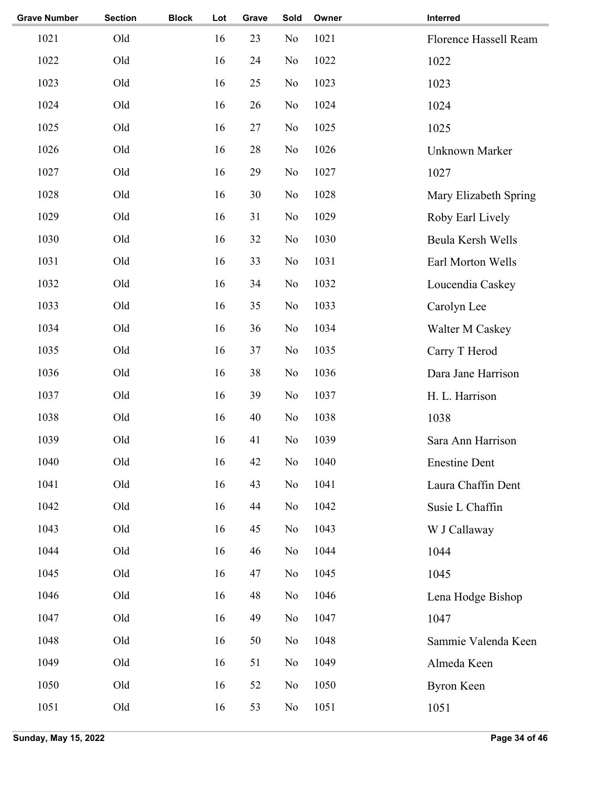| <b>Section</b> | <b>Block</b> | Lot | Grave | Sold           | Owner | Interred              |
|----------------|--------------|-----|-------|----------------|-------|-----------------------|
| Old            |              | 16  | 23    | No             | 1021  | Florence Hassell Ream |
| Old            |              | 16  | 24    | N <sub>o</sub> | 1022  | 1022                  |
| Old            |              | 16  | 25    | N <sub>o</sub> | 1023  | 1023                  |
| Old            |              | 16  | 26    | N <sub>0</sub> | 1024  | 1024                  |
| Old            |              | 16  | 27    | N <sub>o</sub> | 1025  | 1025                  |
| Old            |              | 16  | 28    | N <sub>o</sub> | 1026  | Unknown Marker        |
| Old            |              | 16  | 29    | N <sub>o</sub> | 1027  | 1027                  |
| Old            |              | 16  | 30    | N <sub>0</sub> | 1028  | Mary Elizabeth Spring |
| Old            |              | 16  | 31    | N <sub>o</sub> | 1029  | Roby Earl Lively      |
| Old            |              | 16  | 32    | N <sub>o</sub> | 1030  | Beula Kersh Wells     |
| Old            |              | 16  | 33    | N <sub>0</sub> | 1031  | Earl Morton Wells     |
| Old            |              | 16  | 34    | N <sub>0</sub> | 1032  | Loucendia Caskey      |
| Old            |              | 16  | 35    | N <sub>0</sub> | 1033  | Carolyn Lee           |
| Old            |              | 16  | 36    | No             | 1034  | Walter M Caskey       |
| Old            |              | 16  | 37    | N <sub>o</sub> | 1035  | Carry T Herod         |
| Old            |              | 16  | 38    | N <sub>o</sub> | 1036  | Dara Jane Harrison    |
| Old            |              | 16  | 39    | N <sub>0</sub> | 1037  | H. L. Harrison        |
| Old            |              | 16  | 40    | N <sub>o</sub> | 1038  | 1038                  |
| Old            |              | 16  | 41    | No             | 1039  | Sara Ann Harrison     |
| Old            |              | 16  | 42    | No             | 1040  | <b>Enestine Dent</b>  |
| Old            |              | 16  | 43    | N <sub>0</sub> | 1041  | Laura Chaffin Dent    |
| Old            |              | 16  | 44    | N <sub>o</sub> | 1042  | Susie L Chaffin       |
| Old            |              | 16  | 45    | No             | 1043  | W J Callaway          |
| Old            |              | 16  | 46    | N <sub>0</sub> | 1044  | 1044                  |
| Old            |              | 16  | 47    | N <sub>0</sub> | 1045  | 1045                  |
| Old            |              | 16  | 48    | N <sub>o</sub> | 1046  | Lena Hodge Bishop     |
| Old            |              | 16  | 49    | N <sub>0</sub> | 1047  | 1047                  |
| Old            |              | 16  | 50    | N <sub>0</sub> | 1048  | Sammie Valenda Keen   |
| Old            |              | 16  | 51    | N <sub>0</sub> | 1049  | Almeda Keen           |
| Old            |              | 16  | 52    | N <sub>0</sub> | 1050  | <b>Byron Keen</b>     |
| Old            |              | 16  | 53    | No             | 1051  | 1051                  |
|                |              |     |       |                |       |                       |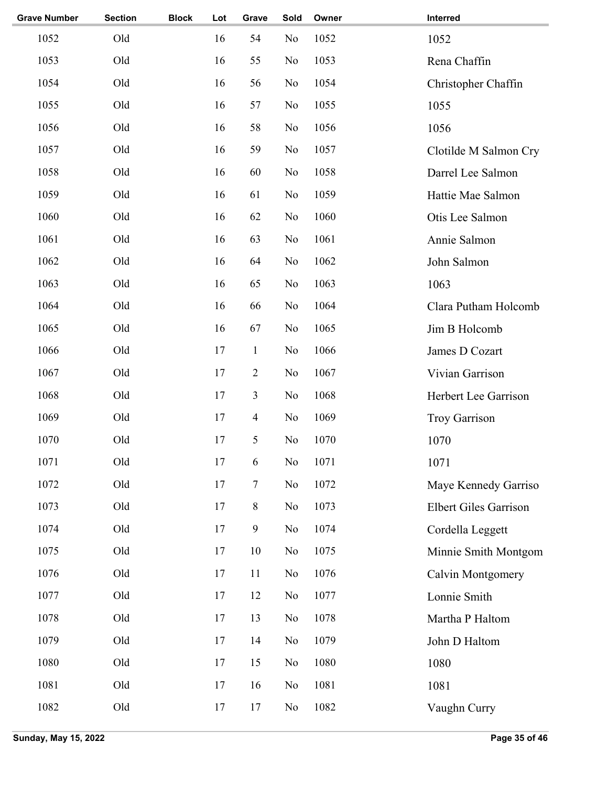| <b>Grave Number</b> | <b>Section</b> | <b>Block</b> | Lot | Grave          | Sold | Owner | Interred                     |
|---------------------|----------------|--------------|-----|----------------|------|-------|------------------------------|
| 1052                | Old            |              | 16  | 54             | No   | 1052  | 1052                         |
| 1053                | Old            |              | 16  | 55             | No   | 1053  | Rena Chaffin                 |
| 1054                | Old            |              | 16  | 56             | No   | 1054  | Christopher Chaffin          |
| 1055                | Old            |              | 16  | 57             | No   | 1055  | 1055                         |
| 1056                | Old            |              | 16  | 58             | No   | 1056  | 1056                         |
| 1057                | Old            |              | 16  | 59             | No   | 1057  | Clotilde M Salmon Cry        |
| 1058                | Old            |              | 16  | 60             | No   | 1058  | Darrel Lee Salmon            |
| 1059                | Old            |              | 16  | 61             | No   | 1059  | Hattie Mae Salmon            |
| 1060                | Old            |              | 16  | 62             | No   | 1060  | Otis Lee Salmon              |
| 1061                | Old            |              | 16  | 63             | No   | 1061  | Annie Salmon                 |
| 1062                | Old            |              | 16  | 64             | No   | 1062  | John Salmon                  |
| 1063                | Old            |              | 16  | 65             | No   | 1063  | 1063                         |
| 1064                | Old            |              | 16  | 66             | No   | 1064  | Clara Putham Holcomb         |
| 1065                | Old            |              | 16  | 67             | No   | 1065  | Jim B Holcomb                |
| 1066                | Old            |              | 17  | $\mathbf{1}$   | No   | 1066  | James D Cozart               |
| 1067                | Old            |              | 17  | $\overline{2}$ | No   | 1067  | Vivian Garrison              |
| 1068                | Old            |              | 17  | 3              | No   | 1068  | Herbert Lee Garrison         |
| 1069                | Old            |              | 17  | $\overline{4}$ | No   | 1069  | <b>Troy Garrison</b>         |
| 1070                | Old            |              | 17  | 5              | No   | 1070  | 1070                         |
| 1071                | Old            |              | 17  | 6              | No   | 1071  | 1071                         |
| 1072                | Old            |              | 17  | 7              | No   | 1072  | Maye Kennedy Garriso         |
| 1073                | Old            |              | 17  | $8\,$          | No   | 1073  | <b>Elbert Giles Garrison</b> |
| 1074                | Old            |              | 17  | $\mathbf{9}$   | No   | 1074  | Cordella Leggett             |
| 1075                | Old            |              | 17  | 10             | No   | 1075  | Minnie Smith Montgom         |
| 1076                | Old            |              | 17  | 11             | No   | 1076  | Calvin Montgomery            |
| 1077                | Old            |              | 17  | 12             | No   | 1077  | Lonnie Smith                 |
| 1078                | Old            |              | 17  | 13             | No   | 1078  | Martha P Haltom              |
| 1079                | Old            |              | 17  | 14             | No   | 1079  | John D Haltom                |
| 1080                | Old            |              | 17  | 15             | No   | 1080  | 1080                         |
| 1081                | Old            |              | 17  | 16             | No   | 1081  | 1081                         |
| 1082                | Old            |              | 17  | 17             | No   | 1082  | Vaughn Curry                 |
|                     |                |              |     |                |      |       |                              |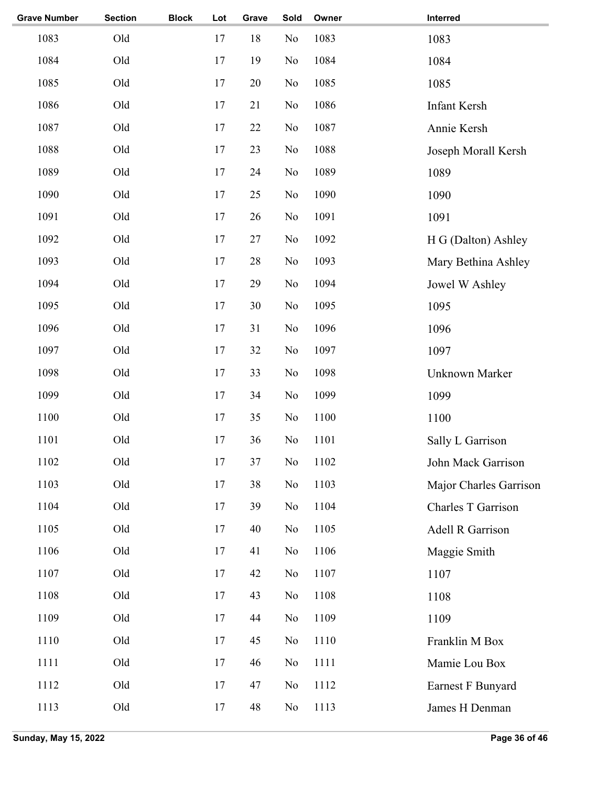| <b>Grave Number</b> | <b>Section</b> | <b>Block</b> | Lot | Grave | Sold           | Owner | Interred               |
|---------------------|----------------|--------------|-----|-------|----------------|-------|------------------------|
| 1083                | Old            |              | 17  | 18    | No             | 1083  | 1083                   |
| 1084                | Old            |              | 17  | 19    | No             | 1084  | 1084                   |
| 1085                | Old            |              | 17  | 20    | No             | 1085  | 1085                   |
| 1086                | Old            |              | 17  | 21    | No             | 1086  | Infant Kersh           |
| 1087                | Old            |              | 17  | 22    | No             | 1087  | Annie Kersh            |
| 1088                | Old            |              | 17  | 23    | No             | 1088  | Joseph Morall Kersh    |
| 1089                | Old            |              | 17  | 24    | No             | 1089  | 1089                   |
| 1090                | Old            |              | 17  | 25    | No             | 1090  | 1090                   |
| 1091                | Old            |              | 17  | 26    | No             | 1091  | 1091                   |
| 1092                | Old            |              | 17  | 27    | No             | 1092  | H G (Dalton) Ashley    |
| 1093                | Old            |              | 17  | 28    | No             | 1093  | Mary Bethina Ashley    |
| 1094                | Old            |              | 17  | 29    | No             | 1094  | Jowel W Ashley         |
| 1095                | Old            |              | 17  | 30    | No             | 1095  | 1095                   |
| 1096                | Old            |              | 17  | 31    | N <sub>o</sub> | 1096  | 1096                   |
| 1097                | Old            |              | 17  | 32    | N <sub>o</sub> | 1097  | 1097                   |
| 1098                | Old            |              | 17  | 33    | N <sub>o</sub> | 1098  | Unknown Marker         |
| 1099                | Old            |              | 17  | 34    | N <sub>o</sub> | 1099  | 1099                   |
| 1100                | Old            |              | 17  | 35    | N <sub>o</sub> | 1100  | 1100                   |
| 1101                | Old            |              | 17  | 36    | No             | 1101  | Sally L Garrison       |
| 1102                | Old            |              | 17  | 37    | $\rm No$       | 1102  | John Mack Garrison     |
| 1103                | Old            |              | 17  | 38    | No             | 1103  | Major Charles Garrison |
| 1104                | Old            |              | 17  | 39    | N <sub>o</sub> | 1104  | Charles T Garrison     |
| 1105                | Old            |              | 17  | 40    | No             | 1105  | Adell R Garrison       |
| 1106                | Old            |              | 17  | 41    | N <sub>o</sub> | 1106  | Maggie Smith           |
| 1107                | Old            |              | 17  | 42    | No             | 1107  | 1107                   |
| 1108                | Old            |              | 17  | 43    | N <sub>o</sub> | 1108  | 1108                   |
| 1109                | Old            |              | 17  | 44    | N <sub>o</sub> | 1109  | 1109                   |
| 1110                | Old            |              | 17  | 45    | N <sub>o</sub> | 1110  | Franklin M Box         |
| 1111                | Old            |              | 17  | 46    | N <sub>o</sub> | 1111  | Mamie Lou Box          |
| 1112                | Old            |              | 17  | 47    | N <sub>o</sub> | 1112  | Earnest F Bunyard      |
| 1113                | Old            |              | 17  | 48    | No             | 1113  | James H Denman         |
|                     |                |              |     |       |                |       |                        |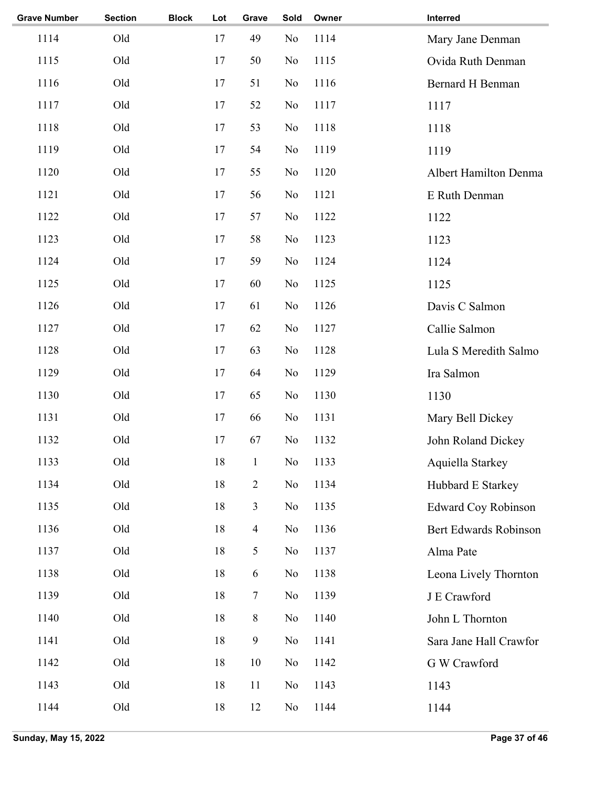| <b>Grave Number</b> | <b>Section</b> | <b>Block</b> | Lot    | Grave          | Sold           | Owner | Interred                     |
|---------------------|----------------|--------------|--------|----------------|----------------|-------|------------------------------|
| 1114                | Old            |              | 17     | 49             | No             | 1114  | Mary Jane Denman             |
| 1115                | Old            |              | 17     | 50             | N <sub>0</sub> | 1115  | Ovida Ruth Denman            |
| 1116                | Old            |              | 17     | 51             | N <sub>o</sub> | 1116  | <b>Bernard H Benman</b>      |
| 1117                | Old            |              | 17     | 52             | N <sub>o</sub> | 1117  | 1117                         |
| 1118                | Old            |              | 17     | 53             | No             | 1118  | 1118                         |
| 1119                | Old            |              | 17     | 54             | No             | 1119  | 1119                         |
| 1120                | Old            |              | 17     | 55             | No             | 1120  | <b>Albert Hamilton Denma</b> |
| 1121                | Old            |              | 17     | 56             | No             | 1121  | E Ruth Denman                |
| 1122                | Old            |              | 17     | 57             | No             | 1122  | 1122                         |
| 1123                | Old            |              | 17     | 58             | No             | 1123  | 1123                         |
| 1124                | Old            |              | 17     | 59             | No             | 1124  | 1124                         |
| 1125                | Old            |              | 17     | 60             | No             | 1125  | 1125                         |
| 1126                | Old            |              | 17     | 61             | No             | 1126  | Davis C Salmon               |
| 1127                | Old            |              | 17     | 62             | No             | 1127  | Callie Salmon                |
| 1128                | Old            |              | 17     | 63             | No             | 1128  | Lula S Meredith Salmo        |
| 1129                | Old            |              | 17     | 64             | No             | 1129  | Ira Salmon                   |
| 1130                | Old            |              | 17     | 65             | No             | 1130  | 1130                         |
| 1131                | Old            |              | 17     | 66             | No             | 1131  | Mary Bell Dickey             |
| 1132                | Old            |              | 17     | 67             | No             | 1132  | John Roland Dickey           |
| 1133                | Old            |              | $18\,$ | $\mathbf{1}$   | No             | 1133  | Aquiella Starkey             |
| 1134                | Old            |              | 18     | $\overline{2}$ | No             | 1134  | Hubbard E Starkey            |
| 1135                | Old            |              | 18     | $\overline{3}$ | No             | 1135  | <b>Edward Coy Robinson</b>   |
| 1136                | Old            |              | 18     | $\overline{4}$ | No             | 1136  | Bert Edwards Robinson        |
| 1137                | Old            |              | 18     | 5              | No             | 1137  | Alma Pate                    |
| 1138                | Old            |              | 18     | 6              | No             | 1138  | Leona Lively Thornton        |
| 1139                | Old            |              | 18     | 7              | No             | 1139  | J E Crawford                 |
| 1140                | Old            |              | 18     | $8\,$          | No             | 1140  | John L Thornton              |
| 1141                | Old            |              | 18     | $\overline{9}$ | No             | 1141  | Sara Jane Hall Crawfor       |
| 1142                | Old            |              | 18     | 10             | N <sub>0</sub> | 1142  | G W Crawford                 |
| 1143                | Old            |              | 18     | 11             | N <sub>0</sub> | 1143  | 1143                         |
| 1144                | Old            |              | 18     | 12             | No             | 1144  | 1144                         |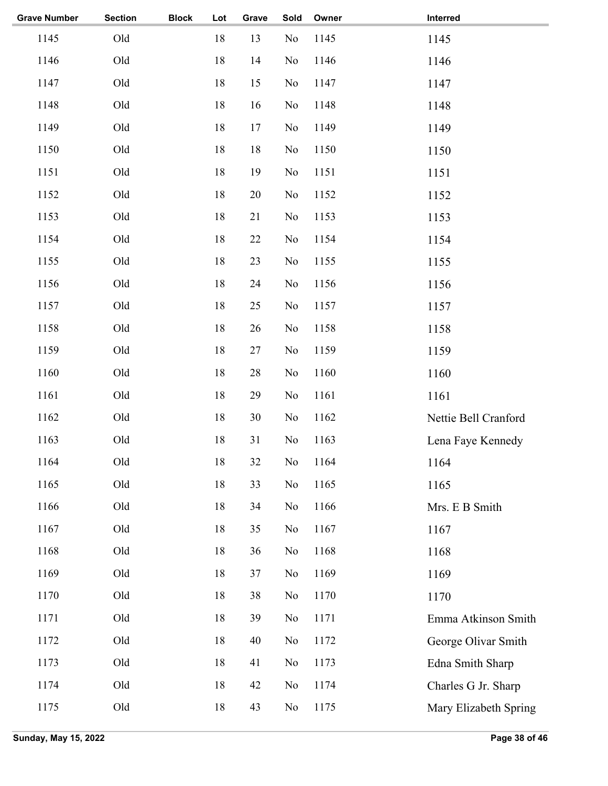| <b>Grave Number</b> | <b>Section</b> | <b>Block</b> | Lot    | Grave  | Sold     | Owner | Interred              |
|---------------------|----------------|--------------|--------|--------|----------|-------|-----------------------|
| 1145                | Old            |              | 18     | 13     | No       | 1145  | 1145                  |
| 1146                | Old            |              | 18     | 14     | No       | 1146  | 1146                  |
| 1147                | Old            |              | 18     | 15     | No       | 1147  | 1147                  |
| 1148                | Old            |              | $18\,$ | 16     | No       | 1148  | 1148                  |
| 1149                | Old            |              | 18     | 17     | No       | 1149  | 1149                  |
| 1150                | Old            |              | 18     | 18     | No       | 1150  | 1150                  |
| 1151                | Old            |              | 18     | 19     | No       | 1151  | 1151                  |
| 1152                | Old            |              | 18     | $20\,$ | No       | 1152  | 1152                  |
| 1153                | Old            |              | 18     | 21     | No       | 1153  | 1153                  |
| 1154                | Old            |              | 18     | $22\,$ | No       | 1154  | 1154                  |
| 1155                | Old            |              | 18     | 23     | No       | 1155  | 1155                  |
| 1156                | Old            |              | 18     | 24     | No       | 1156  | 1156                  |
| 1157                | Old            |              | 18     | 25     | No       | 1157  | 1157                  |
| 1158                | Old            |              | 18     | 26     | No       | 1158  | 1158                  |
| 1159                | Old            |              | 18     | 27     | No       | 1159  | 1159                  |
| 1160                | Old            |              | 18     | 28     | No       | 1160  | 1160                  |
| 1161                | Old            |              | 18     | 29     | No       | 1161  | 1161                  |
| 1162                | Old            |              | 18     | 30     | No       | 1162  | Nettie Bell Cranford  |
| 1163                | Old            |              | $18\,$ | 31     | No       | 1163  | Lena Faye Kennedy     |
| 1164                | Old            |              | 18     | 32     | $\rm No$ | 1164  | 1164                  |
| 1165                | Old            |              | $18\,$ | 33     | No       | 1165  | 1165                  |
| 1166                | Old            |              | 18     | 34     | No       | 1166  | Mrs. E B Smith        |
| 1167                | Old            |              | 18     | 35     | No       | 1167  | 1167                  |
| 1168                | Old            |              | 18     | 36     | No       | 1168  | 1168                  |
| 1169                | Old            |              | 18     | 37     | No       | 1169  | 1169                  |
| 1170                | Old            |              | 18     | 38     | No       | 1170  | 1170                  |
| 1171                | Old            |              | 18     | 39     | No       | 1171  | Emma Atkinson Smith   |
| 1172                | Old            |              | 18     | 40     | No       | 1172  | George Olivar Smith   |
| 1173                | Old            |              | 18     | 41     | No       | 1173  | Edna Smith Sharp      |
| 1174                | Old            |              | 18     | 42     | No       | 1174  | Charles G Jr. Sharp   |
| 1175                | Old            |              | 18     | 43     | No       | 1175  | Mary Elizabeth Spring |
|                     |                |              |        |        |          |       |                       |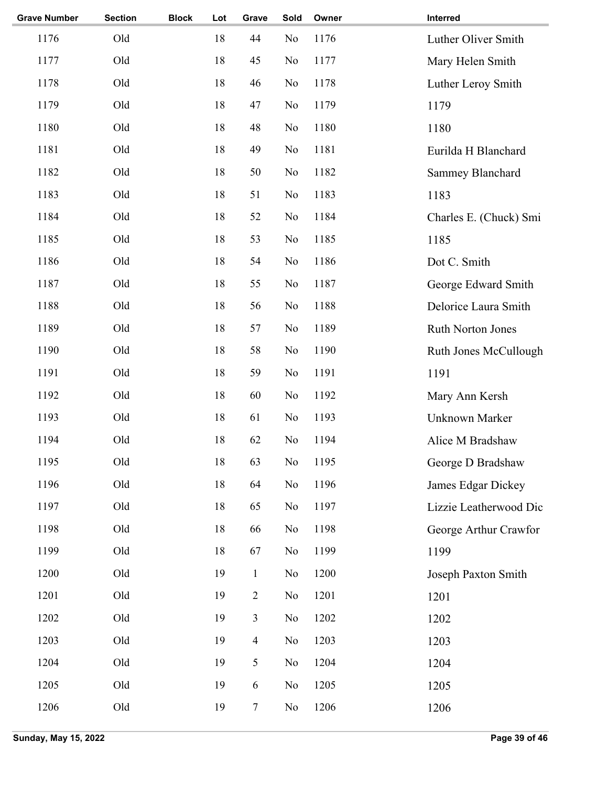| <b>Grave Number</b> | <b>Section</b> | <b>Block</b> | Lot    | Grave          | Sold           | Owner | Interred                 |
|---------------------|----------------|--------------|--------|----------------|----------------|-------|--------------------------|
| 1176                | Old            |              | 18     | 44             | N <sub>0</sub> | 1176  | Luther Oliver Smith      |
| 1177                | Old            |              | 18     | 45             | No             | 1177  | Mary Helen Smith         |
| 1178                | Old            |              | 18     | 46             | N <sub>o</sub> | 1178  | Luther Leroy Smith       |
| 1179                | Old            |              | 18     | 47             | No             | 1179  | 1179                     |
| 1180                | Old            |              | 18     | 48             | No             | 1180  | 1180                     |
| 1181                | Old            |              | 18     | 49             | No             | 1181  | Eurilda H Blanchard      |
| 1182                | Old            |              | 18     | 50             | No             | 1182  | Sammey Blanchard         |
| 1183                | Old            |              | 18     | 51             | No             | 1183  | 1183                     |
| 1184                | Old            |              | 18     | 52             | N <sub>o</sub> | 1184  | Charles E. (Chuck) Smi   |
| 1185                | Old            |              | 18     | 53             | No             | 1185  | 1185                     |
| 1186                | Old            |              | 18     | 54             | N <sub>o</sub> | 1186  | Dot C. Smith             |
| 1187                | Old            |              | 18     | 55             | No             | 1187  | George Edward Smith      |
| 1188                | Old            |              | 18     | 56             | No             | 1188  | Delorice Laura Smith     |
| 1189                | Old            |              | 18     | 57             | No             | 1189  | <b>Ruth Norton Jones</b> |
| 1190                | Old            |              | 18     | 58             | N <sub>o</sub> | 1190  | Ruth Jones McCullough    |
| 1191                | Old            |              | 18     | 59             | N <sub>o</sub> | 1191  | 1191                     |
| 1192                | Old            |              | 18     | 60             | N <sub>o</sub> | 1192  | Mary Ann Kersh           |
| 1193                | Old            |              | 18     | 61             | No             | 1193  | Unknown Marker           |
| 1194                | Old            |              | 18     | 62             | No             | 1194  | Alice M Bradshaw         |
| 1195                | Old            |              | $18\,$ | 63             | No             | 1195  | George D Bradshaw        |
| 1196                | Old            |              | 18     | 64             | N <sub>o</sub> | 1196  | James Edgar Dickey       |
| 1197                | Old            |              | 18     | 65             | N <sub>0</sub> | 1197  | Lizzie Leatherwood Dic   |
| 1198                | Old            |              | 18     | 66             | N <sub>0</sub> | 1198  | George Arthur Crawfor    |
| 1199                | Old            |              | 18     | 67             | N <sub>0</sub> | 1199  | 1199                     |
| 1200                | Old            |              | 19     | $\mathbf{1}$   | N <sub>0</sub> | 1200  | Joseph Paxton Smith      |
| 1201                | Old            |              | 19     | $\overline{2}$ | No             | 1201  | 1201                     |
| 1202                | Old            |              | 19     | 3              | No             | 1202  | 1202                     |
| 1203                | Old            |              | 19     | $\overline{4}$ | N <sub>0</sub> | 1203  | 1203                     |
| 1204                | Old            |              | 19     | 5              | No             | 1204  | 1204                     |
| 1205                | Old            |              | 19     | 6              | N <sub>o</sub> | 1205  | 1205                     |
| 1206                | Old            |              | 19     | $\tau$         | N <sub>0</sub> | 1206  | 1206                     |
|                     |                |              |        |                |                |       |                          |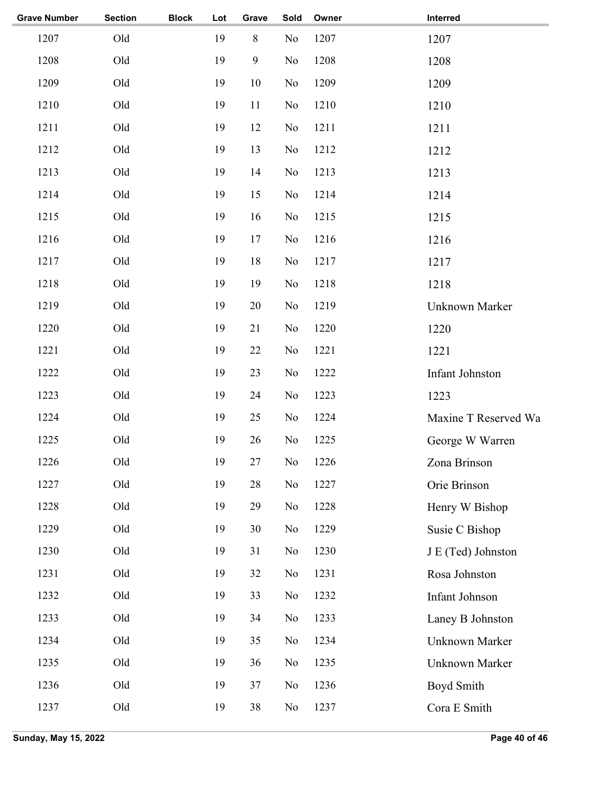| <b>Grave Number</b> | <b>Section</b> | <b>Block</b> | Lot | Grave  | Sold           | Owner | Interred             |
|---------------------|----------------|--------------|-----|--------|----------------|-------|----------------------|
| 1207                | Old            |              | 19  | $8\,$  | No             | 1207  | 1207                 |
| 1208                | Old            |              | 19  | 9      | N <sub>o</sub> | 1208  | 1208                 |
| 1209                | Old            |              | 19  | 10     | N <sub>0</sub> | 1209  | 1209                 |
| 1210                | Old            |              | 19  | 11     | N <sub>0</sub> | 1210  | 1210                 |
| 1211                | Old            |              | 19  | 12     | No             | 1211  | 1211                 |
| 1212                | Old            |              | 19  | 13     | No             | 1212  | 1212                 |
| 1213                | Old            |              | 19  | 14     | N <sub>0</sub> | 1213  | 1213                 |
| 1214                | Old            |              | 19  | 15     | N <sub>o</sub> | 1214  | 1214                 |
| 1215                | Old            |              | 19  | 16     | N <sub>0</sub> | 1215  | 1215                 |
| 1216                | Old            |              | 19  | 17     | N <sub>0</sub> | 1216  | 1216                 |
| 1217                | Old            |              | 19  | 18     | N <sub>0</sub> | 1217  | 1217                 |
| 1218                | Old            |              | 19  | 19     | N <sub>0</sub> | 1218  | 1218                 |
| 1219                | Old            |              | 19  | $20\,$ | No             | 1219  | Unknown Marker       |
| 1220                | Old            |              | 19  | 21     | No             | 1220  | 1220                 |
| 1221                | Old            |              | 19  | 22     | No             | 1221  | 1221                 |
| 1222                | Old            |              | 19  | 23     | No             | 1222  | Infant Johnston      |
| 1223                | Old            |              | 19  | 24     | No             | 1223  | 1223                 |
| 1224                | Old            |              | 19  | 25     | N <sub>0</sub> | 1224  | Maxine T Reserved Wa |
| 1225                | Old            |              | 19  | 26     | N <sub>0</sub> | 1225  | George W Warren      |
| 1226                | Old            |              | 19  | 27     | No             | 1226  | Zona Brinson         |
| 1227                | Old            |              | 19  | $28\,$ | No             | 1227  | Orie Brinson         |
| 1228                | Old            |              | 19  | 29     | No             | 1228  | Henry W Bishop       |
| 1229                | Old            |              | 19  | 30     | No             | 1229  | Susie C Bishop       |
| 1230                | Old            |              | 19  | 31     | No             | 1230  | J E (Ted) Johnston   |
| 1231                | Old            |              | 19  | 32     | No             | 1231  | Rosa Johnston        |
| 1232                | Old            |              | 19  | 33     | No             | 1232  | Infant Johnson       |
| 1233                | Old            |              | 19  | 34     | No             | 1233  | Laney B Johnston     |
| 1234                | Old            |              | 19  | 35     | No             | 1234  | Unknown Marker       |
| 1235                | Old            |              | 19  | 36     | N <sub>0</sub> | 1235  | Unknown Marker       |
| 1236                | Old            |              | 19  | 37     | No             | 1236  | Boyd Smith           |
| 1237                | Old            |              | 19  | 38     | N <sub>0</sub> | 1237  | Cora E Smith         |
|                     |                |              |     |        |                |       |                      |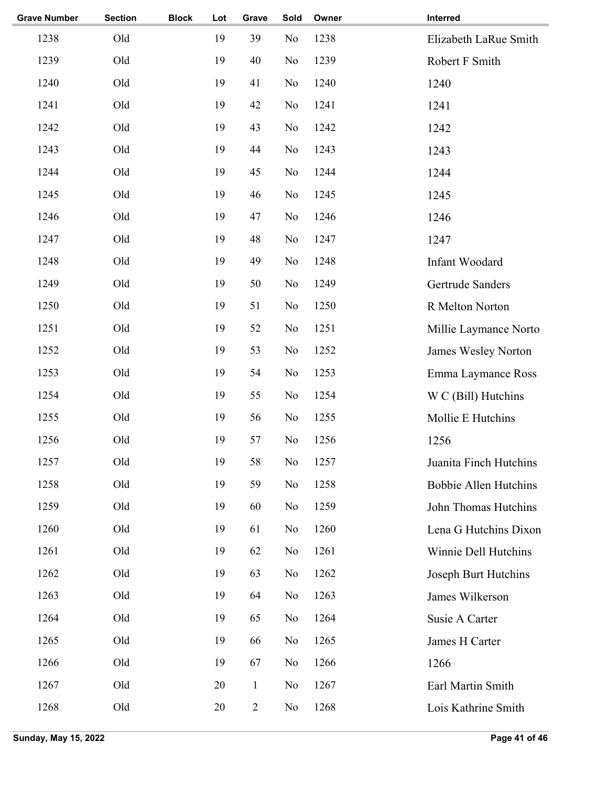| <b>Grave Number</b> | <b>Section</b> | <b>Block</b> | Lot | Grave          | Sold           | Owner | Interred                     |
|---------------------|----------------|--------------|-----|----------------|----------------|-------|------------------------------|
| 1238                | Old            |              | 19  | 39             | No             | 1238  | Elizabeth LaRue Smith        |
| 1239                | Old            |              | 19  | 40             | No             | 1239  | Robert F Smith               |
| 1240                | Old            |              | 19  | 41             | No             | 1240  | 1240                         |
| 1241                | Old            |              | 19  | 42             | No             | 1241  | 1241                         |
| 1242                | Old            |              | 19  | 43             | No             | 1242  | 1242                         |
| 1243                | Old            |              | 19  | 44             | No             | 1243  | 1243                         |
| 1244                | Old            |              | 19  | 45             | No             | 1244  | 1244                         |
| 1245                | Old            |              | 19  | 46             | No             | 1245  | 1245                         |
| 1246                | Old            |              | 19  | 47             | No             | 1246  | 1246                         |
| 1247                | Old            |              | 19  | 48             | No             | 1247  | 1247                         |
| 1248                | Old            |              | 19  | 49             | No             | 1248  | Infant Woodard               |
| 1249                | Old            |              | 19  | 50             | No             | 1249  | Gertrude Sanders             |
| 1250                | Old            |              | 19  | 51             | No             | 1250  | R Melton Norton              |
| 1251                | Old            |              | 19  | 52             | No             | 1251  | Millie Laymance Norto        |
| 1252                | Old            |              | 19  | 53             | No             | 1252  | James Wesley Norton          |
| 1253                | Old            |              | 19  | 54             | No             | 1253  | Emma Laymance Ross           |
| 1254                | Old            |              | 19  | 55             | No             | 1254  | W C (Bill) Hutchins          |
| 1255                | Old            |              | 19  | 56             | No             | 1255  | Mollie E Hutchins            |
| 1256                | Old            |              | 19  | 57             | No             | 1256  | 1256                         |
| 1257                | Old            |              | 19  | 58             | No             | 1257  | Juanita Finch Hutchins       |
| 1258                | Old            |              | 19  | 59             | No             | 1258  | <b>Bobbie Allen Hutchins</b> |
| 1259                | Old            |              | 19  | 60             | No             | 1259  | John Thomas Hutchins         |
| 1260                | Old            |              | 19  | 61             | N <sub>0</sub> | 1260  | Lena G Hutchins Dixon        |
| 1261                | Old            |              | 19  | 62             | No             | 1261  | Winnie Dell Hutchins         |
| 1262                | Old            |              | 19  | 63             | N <sub>0</sub> | 1262  | Joseph Burt Hutchins         |
| 1263                | Old            |              | 19  | 64             | N <sub>0</sub> | 1263  | James Wilkerson              |
| 1264                | Old            |              | 19  | 65             | No             | 1264  | Susie A Carter               |
| 1265                | Old            |              | 19  | 66             | No             | 1265  | James H Carter               |
| 1266                | Old            |              | 19  | 67             | N <sub>o</sub> | 1266  | 1266                         |
| 1267                | Old            |              | 20  | $\mathbf{1}$   | No             | 1267  | Earl Martin Smith            |
| 1268                | Old            |              | 20  | $\overline{2}$ | No             | 1268  | Lois Kathrine Smith          |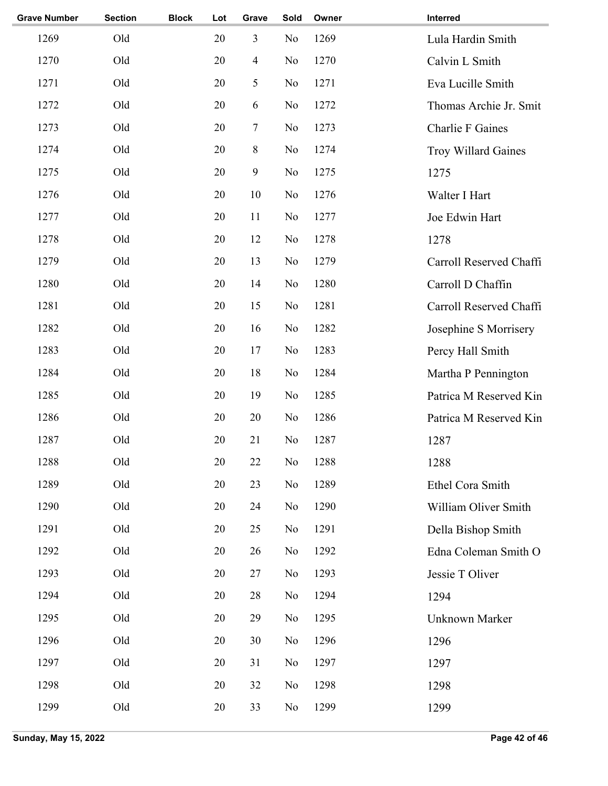| <b>Grave Number</b> | <b>Section</b> | <b>Block</b> | Lot | Grave          | Sold           | Owner | Interred                   |
|---------------------|----------------|--------------|-----|----------------|----------------|-------|----------------------------|
| 1269                | Old            |              | 20  | 3              | N <sub>o</sub> | 1269  | Lula Hardin Smith          |
| 1270                | Old            |              | 20  | $\overline{4}$ | No             | 1270  | Calvin L Smith             |
| 1271                | Old            |              | 20  | 5              | N <sub>o</sub> | 1271  | Eva Lucille Smith          |
| 1272                | Old            |              | 20  | 6              | N <sub>o</sub> | 1272  | Thomas Archie Jr. Smit     |
| 1273                | Old            |              | 20  | $\tau$         | No             | 1273  | <b>Charlie F Gaines</b>    |
| 1274                | Old            |              | 20  | 8              | No             | 1274  | <b>Troy Willard Gaines</b> |
| 1275                | Old            |              | 20  | 9              | No             | 1275  | 1275                       |
| 1276                | Old            |              | 20  | 10             | N <sub>o</sub> | 1276  | Walter I Hart              |
| 1277                | Old            |              | 20  | 11             | N <sub>0</sub> | 1277  | Joe Edwin Hart             |
| 1278                | Old            |              | 20  | 12             | N <sub>o</sub> | 1278  | 1278                       |
| 1279                | Old            |              | 20  | 13             | N <sub>0</sub> | 1279  | Carroll Reserved Chaffi    |
| 1280                | Old            |              | 20  | 14             | N <sub>0</sub> | 1280  | Carroll D Chaffin          |
| 1281                | Old            |              | 20  | 15             | N <sub>0</sub> | 1281  | Carroll Reserved Chaffi    |
| 1282                | Old            |              | 20  | 16             | No             | 1282  | Josephine S Morrisery      |
| 1283                | Old            |              | 20  | 17             | N <sub>0</sub> | 1283  | Percy Hall Smith           |
| 1284                | Old            |              | 20  | 18             | N <sub>0</sub> | 1284  | Martha P Pennington        |
| 1285                | Old            |              | 20  | 19             | N <sub>0</sub> | 1285  | Patrica M Reserved Kin     |
| 1286                | Old            |              | 20  | 20             | N <sub>0</sub> | 1286  | Patrica M Reserved Kin     |
| 1287                | Old            |              | 20  | 21             | N <sub>o</sub> | 1287  | 1287                       |
| 1288                | Old            |              | 20  | $22\,$         | No             | 1288  | 1288                       |
| 1289                | Old            |              | 20  | 23             | N <sub>o</sub> | 1289  | Ethel Cora Smith           |
| 1290                | Old            |              | 20  | 24             | N <sub>o</sub> | 1290  | William Oliver Smith       |
| 1291                | Old            |              | 20  | 25             | N <sub>0</sub> | 1291  | Della Bishop Smith         |
| 1292                | Old            |              | 20  | 26             | N <sub>0</sub> | 1292  | Edna Coleman Smith O       |
| 1293                | Old            |              | 20  | 27             | N <sub>0</sub> | 1293  | Jessie T Oliver            |
| 1294                | Old            |              | 20  | 28             | N <sub>o</sub> | 1294  | 1294                       |
| 1295                | Old            |              | 20  | 29             | No             | 1295  | Unknown Marker             |
| 1296                | Old            |              | 20  | 30             | N <sub>0</sub> | 1296  | 1296                       |
| 1297                | Old            |              | 20  | 31             | N <sub>o</sub> | 1297  | 1297                       |
| 1298                | Old            |              | 20  | 32             | N <sub>o</sub> | 1298  | 1298                       |
| 1299                | Old            |              | 20  | 33             | N <sub>0</sub> | 1299  | 1299                       |
|                     |                |              |     |                |                |       |                            |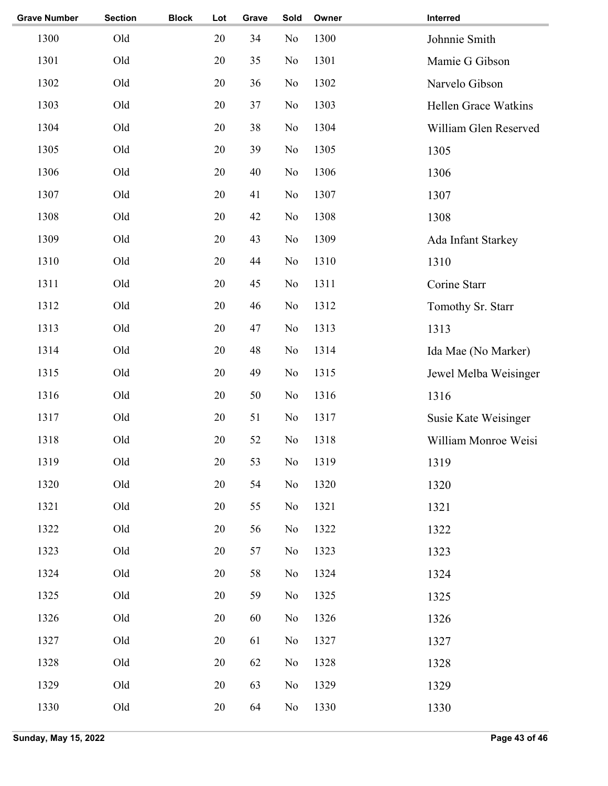| <b>Grave Number</b> | <b>Section</b> | <b>Block</b> | Lot    | Grave | Sold           | Owner | Interred                    |
|---------------------|----------------|--------------|--------|-------|----------------|-------|-----------------------------|
| 1300                | Old            |              | 20     | 34    | No             | 1300  | Johnnie Smith               |
| 1301                | Old            |              | 20     | 35    | No             | 1301  | Mamie G Gibson              |
| 1302                | Old            |              | 20     | 36    | N <sub>o</sub> | 1302  | Narvelo Gibson              |
| 1303                | Old            |              | 20     | 37    | N <sub>0</sub> | 1303  | <b>Hellen Grace Watkins</b> |
| 1304                | Old            |              | 20     | 38    | No             | 1304  | William Glen Reserved       |
| 1305                | Old            |              | 20     | 39    | No             | 1305  | 1305                        |
| 1306                | Old            |              | 20     | 40    | No             | 1306  | 1306                        |
| 1307                | Old            |              | 20     | 41    | No             | 1307  | 1307                        |
| 1308                | Old            |              | 20     | 42    | No             | 1308  | 1308                        |
| 1309                | Old            |              | 20     | 43    | No             | 1309  | Ada Infant Starkey          |
| 1310                | Old            |              | 20     | 44    | N <sub>0</sub> | 1310  | 1310                        |
| 1311                | Old            |              | 20     | 45    | No             | 1311  | Corine Starr                |
| 1312                | Old            |              | 20     | 46    | No             | 1312  | Tomothy Sr. Starr           |
| 1313                | Old            |              | 20     | 47    | No             | 1313  | 1313                        |
| 1314                | Old            |              | 20     | 48    | No             | 1314  | Ida Mae (No Marker)         |
| 1315                | Old            |              | 20     | 49    | No             | 1315  | Jewel Melba Weisinger       |
| 1316                | Old            |              | 20     | 50    | No             | 1316  | 1316                        |
| 1317                | Old            |              | 20     | 51    | N <sub>o</sub> | 1317  | Susie Kate Weisinger        |
| 1318                | Old            |              | 20     | 52    | No             | 1318  | William Monroe Weisi        |
| 1319                | Old            |              | 20     | 53    | No             | 1319  | 1319                        |
| 1320                | Old            |              | 20     | 54    | No             | 1320  | 1320                        |
| 1321                | Old            |              | 20     | 55    | No             | 1321  | 1321                        |
| 1322                | Old            |              | 20     | 56    | N <sub>0</sub> | 1322  | 1322                        |
| 1323                | Old            |              | 20     | 57    | No             | 1323  | 1323                        |
| 1324                | Old            |              | 20     | 58    | No             | 1324  | 1324                        |
| 1325                | Old            |              | 20     | 59    | No             | 1325  | 1325                        |
| 1326                | Old            |              | 20     | 60    | N <sub>0</sub> | 1326  | 1326                        |
| 1327                | Old            |              | 20     | 61    | N <sub>0</sub> | 1327  | 1327                        |
| 1328                | Old            |              | 20     | 62    | N <sub>0</sub> | 1328  | 1328                        |
| 1329                | Old            |              | 20     | 63    | No             | 1329  | 1329                        |
| 1330                | Old            |              | $20\,$ | 64    | No             | 1330  | 1330                        |
|                     |                |              |        |       |                |       |                             |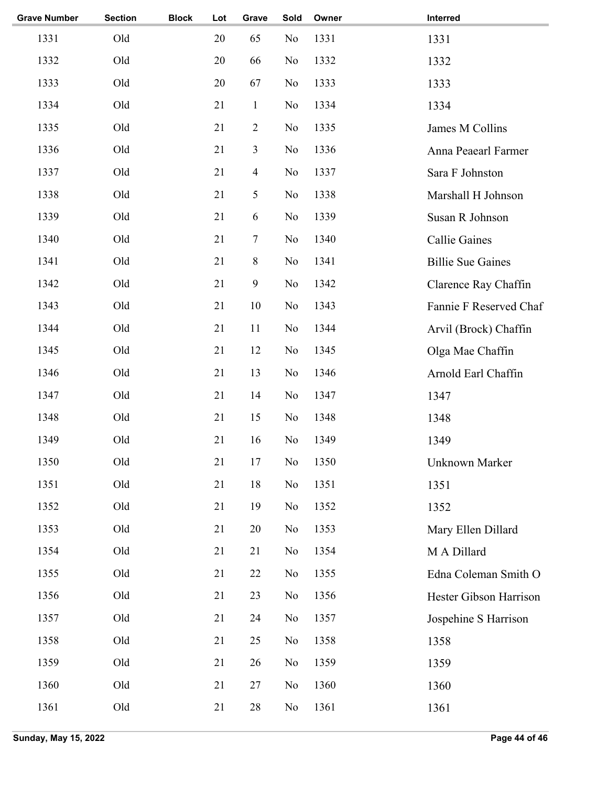| <b>Section</b> | <b>Block</b> | Lot | Grave          | Sold           | Owner | Interred                 |
|----------------|--------------|-----|----------------|----------------|-------|--------------------------|
| Old            |              | 20  | 65             | No             | 1331  | 1331                     |
| Old            |              | 20  | 66             | N <sub>o</sub> | 1332  | 1332                     |
| Old            |              | 20  | 67             | N <sub>o</sub> | 1333  | 1333                     |
| Old            |              | 21  | $\mathbf{1}$   | No             | 1334  | 1334                     |
| Old            |              | 21  | $\overline{2}$ | No             | 1335  | James M Collins          |
| Old            |              | 21  | 3              | No             | 1336  | Anna Peaearl Farmer      |
| Old            |              | 21  | $\overline{4}$ | No             | 1337  | Sara F Johnston          |
| Old            |              | 21  | 5              | No             | 1338  | Marshall H Johnson       |
| Old            |              | 21  | 6              | No             | 1339  | Susan R Johnson          |
| Old            |              | 21  | $\tau$         | No             | 1340  | <b>Callie Gaines</b>     |
| Old            |              | 21  | 8              | No             | 1341  | <b>Billie Sue Gaines</b> |
| Old            |              | 21  | 9              | N <sub>o</sub> | 1342  | Clarence Ray Chaffin     |
| Old            |              | 21  | 10             | No             | 1343  | Fannie F Reserved Chaf   |
| Old            |              | 21  | 11             | No             | 1344  | Arvil (Brock) Chaffin    |
| Old            |              | 21  | 12             | No             | 1345  | Olga Mae Chaffin         |
| Old            |              | 21  | 13             | N <sub>0</sub> | 1346  | Arnold Earl Chaffin      |
| Old            |              | 21  | 14             | No             | 1347  | 1347                     |
| Old            |              | 21  | 15             | N <sub>o</sub> | 1348  | 1348                     |
| Old            |              | 21  | 16             | No             | 1349  | 1349                     |
| Old            |              | 21  | 17             | $\rm No$       | 1350  | Unknown Marker           |
| Old            |              | 21  | 18             | No             | 1351  | 1351                     |
| Old            |              | 21  | 19             | N <sub>o</sub> | 1352  | 1352                     |
| Old            |              | 21  | $20\,$         | N <sub>0</sub> | 1353  | Mary Ellen Dillard       |
| Old            |              | 21  | 21             | No             | 1354  | M A Dillard              |
| Old            |              | 21  | 22             | N <sub>0</sub> | 1355  | Edna Coleman Smith O     |
| Old            |              | 21  | 23             | No             | 1356  | Hester Gibson Harrison   |
| Old            |              | 21  | 24             | N <sub>0</sub> | 1357  | Jospehine S Harrison     |
| Old            |              | 21  | 25             | No             | 1358  | 1358                     |
| Old            |              | 21  | 26             | No             | 1359  | 1359                     |
| Old            |              | 21  | 27             | N <sub>0</sub> | 1360  | 1360                     |
| Old            |              | 21  | $28\,$         | N <sub>0</sub> | 1361  | 1361                     |
|                |              |     |                |                |       |                          |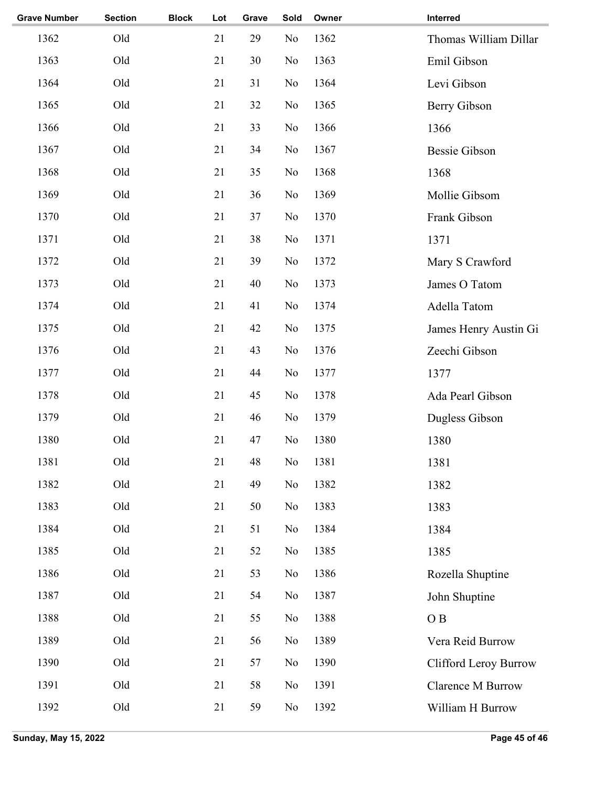| <b>Grave Number</b> | <b>Section</b> | <b>Block</b> | Lot | Grave | Sold           | Owner | Interred              |
|---------------------|----------------|--------------|-----|-------|----------------|-------|-----------------------|
| 1362                | Old            |              | 21  | 29    | N <sub>o</sub> | 1362  | Thomas William Dillar |
| 1363                | Old            |              | 21  | 30    | N <sub>o</sub> | 1363  | Emil Gibson           |
| 1364                | Old            |              | 21  | 31    | N <sub>o</sub> | 1364  | Levi Gibson           |
| 1365                | Old            |              | 21  | 32    | N <sub>o</sub> | 1365  | Berry Gibson          |
| 1366                | Old            |              | 21  | 33    | N <sub>o</sub> | 1366  | 1366                  |
| 1367                | Old            |              | 21  | 34    | N <sub>o</sub> | 1367  | <b>Bessie Gibson</b>  |
| 1368                | Old            |              | 21  | 35    | N <sub>o</sub> | 1368  | 1368                  |
| 1369                | Old            |              | 21  | 36    | N <sub>o</sub> | 1369  | Mollie Gibsom         |
| 1370                | Old            |              | 21  | 37    | N <sub>o</sub> | 1370  | Frank Gibson          |
| 1371                | Old            |              | 21  | 38    | N <sub>o</sub> | 1371  | 1371                  |
| 1372                | Old            |              | 21  | 39    | N <sub>o</sub> | 1372  | Mary S Crawford       |
| 1373                | Old            |              | 21  | 40    | N <sub>o</sub> | 1373  | James O Tatom         |
| 1374                | Old            |              | 21  | 41    | N <sub>o</sub> | 1374  | Adella Tatom          |
| 1375                | Old            |              | 21  | 42    | N <sub>o</sub> | 1375  | James Henry Austin Gi |
| 1376                | Old            |              | 21  | 43    | N <sub>o</sub> | 1376  | Zeechi Gibson         |
| 1377                | Old            |              | 21  | 44    | N <sub>o</sub> | 1377  | 1377                  |
| 1378                | Old            |              | 21  | 45    | N <sub>o</sub> | 1378  | Ada Pearl Gibson      |
| 1379                | Old            |              | 21  | 46    | N <sub>o</sub> | 1379  | Dugless Gibson        |
| 1380                | Old            |              | 21  | 47    | N <sub>o</sub> | 1380  | 1380                  |
| 1381                | Old            |              | 21  | 48    | No             | 1381  | 1381                  |
| 1382                | Old            |              | 21  | 49    | N <sub>o</sub> | 1382  | 1382                  |
| 1383                | Old            |              | 21  | 50    | No             | 1383  | 1383                  |
| 1384                | Old            |              | 21  | 51    | No             | 1384  | 1384                  |
| 1385                | Old            |              | 21  | 52    | N <sub>o</sub> | 1385  | 1385                  |
| 1386                | Old            |              | 21  | 53    | N <sub>o</sub> | 1386  | Rozella Shuptine      |
| 1387                | Old            |              | 21  | 54    | No             | 1387  | John Shuptine         |
| 1388                | Old            |              | 21  | 55    | No             | 1388  | O <sub>B</sub>        |
| 1389                | Old            |              | 21  | 56    | N <sub>o</sub> | 1389  | Vera Reid Burrow      |
| 1390                | Old            |              | 21  | 57    | N <sub>o</sub> | 1390  | Clifford Leroy Burrow |
| 1391                | Old            |              | 21  | 58    | No             | 1391  | Clarence M Burrow     |
| 1392                | Old            |              | 21  | 59    | No             | 1392  | William H Burrow      |
|                     |                |              |     |       |                |       |                       |